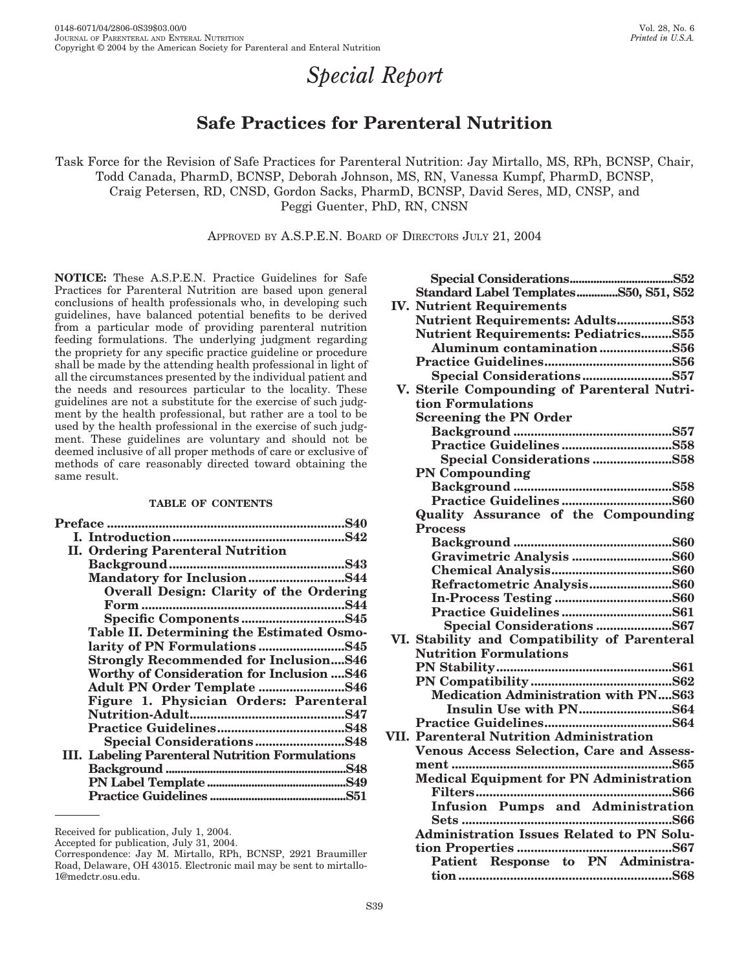# *Special Report*

## **Safe Practices for Parenteral Nutrition**

Task Force for the Revision of Safe Practices for Parenteral Nutrition: Jay Mirtallo, MS, RPh, BCNSP, Chair, Todd Canada, PharmD, BCNSP, Deborah Johnson, MS, RN, Vanessa Kumpf, PharmD, BCNSP, Craig Petersen, RD, CNSD, Gordon Sacks, PharmD, BCNSP, David Seres, MD, CNSP, and Peggi Guenter, PhD, RN, CNSN

APPROVED BY A.S.P.E.N. BOARD OF DIRECTORS JULY 21, 2004

**NOTICE:** These A.S.P.E.N. Practice Guidelines for Safe Practices for Parenteral Nutrition are based upon general conclusions of health professionals who, in developing such guidelines, have balanced potential benefits to be derived from a particular mode of providing parenteral nutrition feeding formulations. The underlying judgment regarding the propriety for any specific practice guideline or procedure shall be made by the attending health professional in light of all the circumstances presented by the individual patient and the needs and resources particular to the locality. These guidelines are not a substitute for the exercise of such judgment by the health professional, but rather are a tool to be used by the health professional in the exercise of such judgment. These guidelines are voluntary and should not be deemed inclusive of all proper methods of care or exclusive of methods of care reasonably directed toward obtaining the same result.

#### **TABLE OF CONTENTS**

| <b>II. Ordering Parenteral Nutrition</b>               |
|--------------------------------------------------------|
|                                                        |
|                                                        |
| Overall Design: Clarity of the Ordering                |
|                                                        |
|                                                        |
| Table II. Determining the Estimated Osmo-              |
|                                                        |
| <b>Strongly Recommended for InclusionS46</b>           |
| <b>Worthy of Consideration for Inclusion  S46</b>      |
|                                                        |
| Figure 1. Physician Orders: Parenteral                 |
|                                                        |
|                                                        |
|                                                        |
| <b>III.</b> Labeling Parenteral Nutrition Formulations |
|                                                        |
|                                                        |
|                                                        |
|                                                        |

Received for publication, July 1, 2004.

Accepted for publication, July 31, 2004.

|      | Standard Label TemplatesS50, S51, S52            |
|------|--------------------------------------------------|
|      | <b>IV. Nutrient Requirements</b>                 |
|      | Nutrient Requirements: AdultsS53                 |
|      | <b>Nutrient Requirements: PediatricsS55</b>      |
|      | Aluminum contaminationS56                        |
|      |                                                  |
|      | Special ConsiderationsS57                        |
|      | V. Sterile Compounding of Parenteral Nutri-      |
|      | tion Formulations                                |
|      | <b>Screening the PN Order</b>                    |
|      |                                                  |
|      |                                                  |
|      | Special Considerations S58                       |
|      | <b>PN Compounding</b>                            |
|      |                                                  |
|      |                                                  |
|      | Quality Assurance of the Compounding             |
|      | <b>Process</b>                                   |
|      |                                                  |
|      | Gravimetric Analysis S60                         |
|      |                                                  |
|      |                                                  |
|      |                                                  |
|      |                                                  |
|      | Special Considerations S67                       |
|      | VI. Stability and Compatibility of Parenteral    |
|      | <b>Nutrition Formulations</b>                    |
|      |                                                  |
|      |                                                  |
|      | Medication Administration with PNS63             |
|      |                                                  |
|      |                                                  |
| VII. | <b>Parenteral Nutrition Administration</b>       |
|      | <b>Venous Access Selection, Care and Assess-</b> |
|      |                                                  |
|      | <b>Medical Equipment for PN Administration</b>   |
|      |                                                  |
|      | Infusion Pumps and Administration                |
|      | S66<br><b>Sets </b>                              |
|      | Administration Issues Related to PN Solu-        |
|      |                                                  |
|      | Patient Response to PN Administra-               |
|      |                                                  |

Correspondence: Jay M. Mirtallo, RPh, BCNSP, 2921 Braumiller Road, Delaware, OH 43015. Electronic mail may be sent to mirtallo-1@medctr.osu.edu.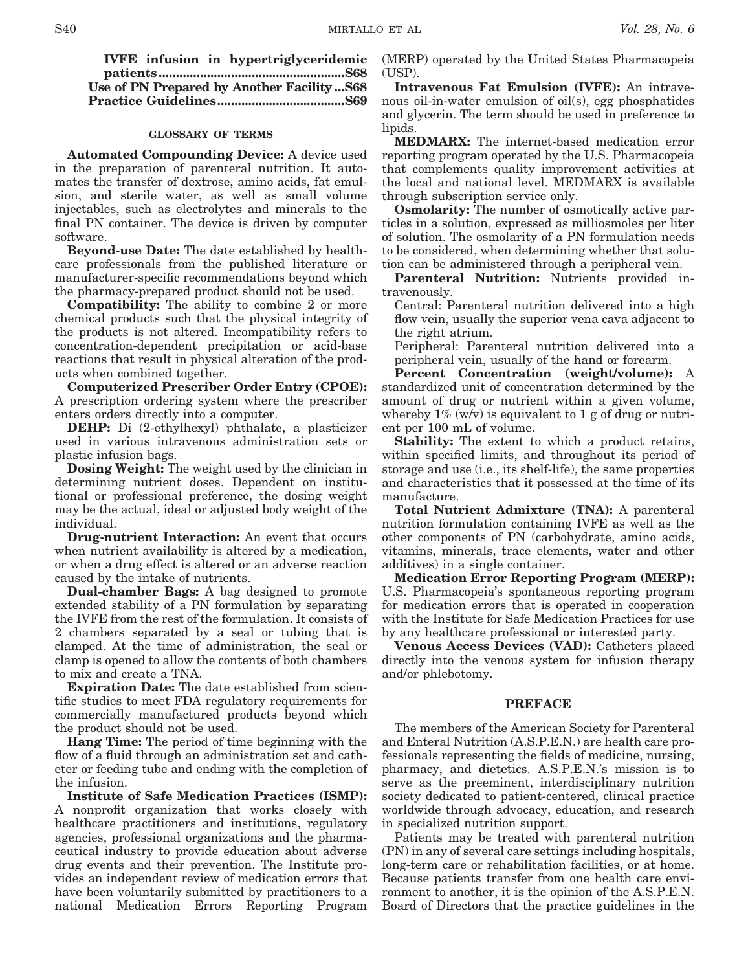**IVFE infusion in hypertriglyceridemic patients ......................................................S68 Use of PN Prepared by Another Facility ...S68 Practice Guidelines.....................................S69**

#### **GLOSSARY OF TERMS**

**Automated Compounding Device:** A device used in the preparation of parenteral nutrition. It automates the transfer of dextrose, amino acids, fat emulsion, and sterile water, as well as small volume injectables, such as electrolytes and minerals to the final PN container. The device is driven by computer software.

**Beyond-use Date:** The date established by healthcare professionals from the published literature or manufacturer-specific recommendations beyond which the pharmacy-prepared product should not be used.

**Compatibility:** The ability to combine 2 or more chemical products such that the physical integrity of the products is not altered. Incompatibility refers to concentration-dependent precipitation or acid-base reactions that result in physical alteration of the products when combined together.

**Computerized Prescriber Order Entry (CPOE):** A prescription ordering system where the prescriber enters orders directly into a computer.

**DEHP:** Di (2-ethylhexyl) phthalate, a plasticizer used in various intravenous administration sets or plastic infusion bags.

**Dosing Weight:** The weight used by the clinician in determining nutrient doses. Dependent on institutional or professional preference, the dosing weight may be the actual, ideal or adjusted body weight of the individual.

**Drug-nutrient Interaction:** An event that occurs when nutrient availability is altered by a medication, or when a drug effect is altered or an adverse reaction caused by the intake of nutrients.

**Dual-chamber Bags:** A bag designed to promote extended stability of a PN formulation by separating the IVFE from the rest of the formulation. It consists of 2 chambers separated by a seal or tubing that is clamped. At the time of administration, the seal or clamp is opened to allow the contents of both chambers to mix and create a TNA.

**Expiration Date:** The date established from scientific studies to meet FDA regulatory requirements for commercially manufactured products beyond which the product should not be used.

**Hang Time:** The period of time beginning with the flow of a fluid through an administration set and catheter or feeding tube and ending with the completion of the infusion.

**Institute of Safe Medication Practices (ISMP):** A nonprofit organization that works closely with healthcare practitioners and institutions, regulatory agencies, professional organizations and the pharmaceutical industry to provide education about adverse drug events and their prevention. The Institute provides an independent review of medication errors that have been voluntarily submitted by practitioners to a national Medication Errors Reporting Program (MERP) operated by the United States Pharmacopeia (USP).

**Intravenous Fat Emulsion (IVFE):** An intravenous oil-in-water emulsion of oil(s), egg phosphatides and glycerin. The term should be used in preference to lipids.

**MEDMARX:** The internet-based medication error reporting program operated by the U.S. Pharmacopeia that complements quality improvement activities at the local and national level. MEDMARX is available through subscription service only.

**Osmolarity:** The number of osmotically active particles in a solution, expressed as milliosmoles per liter of solution. The osmolarity of a PN formulation needs to be considered, when determining whether that solution can be administered through a peripheral vein.

**Parenteral Nutrition:** Nutrients provided intravenously.

Central: Parenteral nutrition delivered into a high flow vein, usually the superior vena cava adjacent to the right atrium.

Peripheral: Parenteral nutrition delivered into a peripheral vein, usually of the hand or forearm.

**Percent Concentration (weight/volume):** A standardized unit of concentration determined by the amount of drug or nutrient within a given volume, whereby  $1\%$  (w/v) is equivalent to 1 g of drug or nutrient per 100 mL of volume.

**Stability:** The extent to which a product retains, within specified limits, and throughout its period of storage and use (i.e., its shelf-life), the same properties and characteristics that it possessed at the time of its manufacture.

**Total Nutrient Admixture (TNA):** A parenteral nutrition formulation containing IVFE as well as the other components of PN (carbohydrate, amino acids, vitamins, minerals, trace elements, water and other additives) in a single container.

**Medication Error Reporting Program (MERP):** U.S. Pharmacopeia's spontaneous reporting program for medication errors that is operated in cooperation with the Institute for Safe Medication Practices for use by any healthcare professional or interested party.

**Venous Access Devices (VAD):** Catheters placed directly into the venous system for infusion therapy and/or phlebotomy.

#### **PREFACE**

The members of the American Society for Parenteral and Enteral Nutrition (A.S.P.E.N.) are health care professionals representing the fields of medicine, nursing, pharmacy, and dietetics. A.S.P.E.N.'s mission is to serve as the preeminent, interdisciplinary nutrition society dedicated to patient-centered, clinical practice worldwide through advocacy, education, and research in specialized nutrition support.

Patients may be treated with parenteral nutrition (PN) in any of several care settings including hospitals, long-term care or rehabilitation facilities, or at home. Because patients transfer from one health care environment to another, it is the opinion of the A.S.P.E.N. Board of Directors that the practice guidelines in the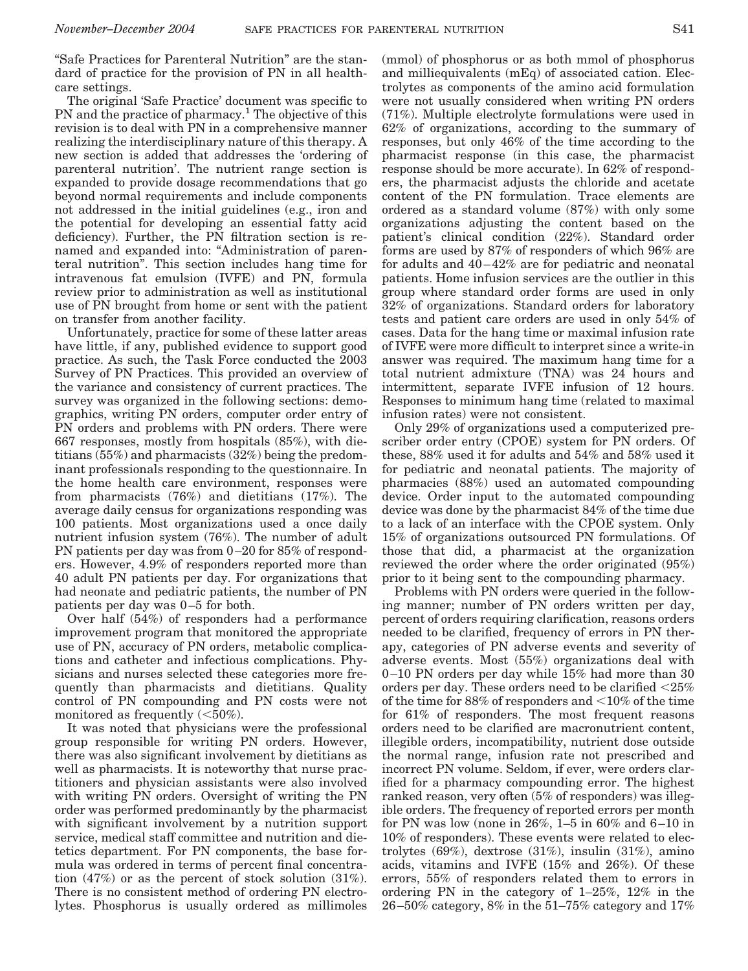"Safe Practices for Parenteral Nutrition" are the standard of practice for the provision of PN in all healthcare settings.

The original 'Safe Practice' document was specific to PN and the practice of pharmacy.<sup>1</sup> The objective of this revision is to deal with PN in a comprehensive manner realizing the interdisciplinary nature of this therapy. A new section is added that addresses the 'ordering of parenteral nutrition'. The nutrient range section is expanded to provide dosage recommendations that go beyond normal requirements and include components not addressed in the initial guidelines (e.g., iron and the potential for developing an essential fatty acid deficiency). Further, the PN filtration section is renamed and expanded into: "Administration of parenteral nutrition". This section includes hang time for intravenous fat emulsion (IVFE) and PN, formula review prior to administration as well as institutional use of PN brought from home or sent with the patient on transfer from another facility.

Unfortunately, practice for some of these latter areas have little, if any, published evidence to support good practice. As such, the Task Force conducted the 2003 Survey of PN Practices. This provided an overview of the variance and consistency of current practices. The survey was organized in the following sections: demographics, writing PN orders, computer order entry of PN orders and problems with PN orders. There were 667 responses, mostly from hospitals (85%), with dietitians (55%) and pharmacists (32%) being the predominant professionals responding to the questionnaire. In the home health care environment, responses were from pharmacists (76%) and dietitians (17%). The average daily census for organizations responding was 100 patients. Most organizations used a once daily nutrient infusion system (76%). The number of adult PN patients per day was from 0 –20 for 85% of responders. However, 4.9% of responders reported more than 40 adult PN patients per day. For organizations that had neonate and pediatric patients, the number of PN patients per day was 0 –5 for both.

Over half (54%) of responders had a performance improvement program that monitored the appropriate use of PN, accuracy of PN orders, metabolic complications and catheter and infectious complications. Physicians and nurses selected these categories more frequently than pharmacists and dietitians. Quality control of PN compounding and PN costs were not monitored as frequently  $(<50\%)$ .

It was noted that physicians were the professional group responsible for writing PN orders. However, there was also significant involvement by dietitians as well as pharmacists. It is noteworthy that nurse practitioners and physician assistants were also involved with writing PN orders. Oversight of writing the PN order was performed predominantly by the pharmacist with significant involvement by a nutrition support service, medical staff committee and nutrition and dietetics department. For PN components, the base formula was ordered in terms of percent final concentration (47%) or as the percent of stock solution (31%). There is no consistent method of ordering PN electrolytes. Phosphorus is usually ordered as millimoles (mmol) of phosphorus or as both mmol of phosphorus and milliequivalents (mEq) of associated cation. Electrolytes as components of the amino acid formulation were not usually considered when writing PN orders (71%). Multiple electrolyte formulations were used in 62% of organizations, according to the summary of responses, but only 46% of the time according to the pharmacist response (in this case, the pharmacist response should be more accurate). In 62% of responders, the pharmacist adjusts the chloride and acetate content of the PN formulation. Trace elements are ordered as a standard volume (87%) with only some organizations adjusting the content based on the patient's clinical condition (22%). Standard order forms are used by 87% of responders of which 96% are for adults and  $40 - 42\%$  are for pediatric and neonatal patients. Home infusion services are the outlier in this group where standard order forms are used in only 32% of organizations. Standard orders for laboratory tests and patient care orders are used in only 54% of cases. Data for the hang time or maximal infusion rate of IVFE were more difficult to interpret since a write-in answer was required. The maximum hang time for a total nutrient admixture (TNA) was 24 hours and intermittent, separate IVFE infusion of 12 hours. Responses to minimum hang time (related to maximal infusion rates) were not consistent.

Only 29% of organizations used a computerized prescriber order entry (CPOE) system for PN orders. Of these, 88% used it for adults and 54% and 58% used it for pediatric and neonatal patients. The majority of pharmacies (88%) used an automated compounding device. Order input to the automated compounding device was done by the pharmacist 84% of the time due to a lack of an interface with the CPOE system. Only 15% of organizations outsourced PN formulations. Of those that did, a pharmacist at the organization reviewed the order where the order originated (95%) prior to it being sent to the compounding pharmacy.

Problems with PN orders were queried in the following manner; number of PN orders written per day, percent of orders requiring clarification, reasons orders needed to be clarified, frequency of errors in PN therapy, categories of PN adverse events and severity of adverse events. Most (55%) organizations deal with 0 –10 PN orders per day while 15% had more than 30 orders per day. These orders need to be clarified  $\leq 25\%$ of the time for 88% of responders and  $\leq 10\%$  of the time for 61% of responders. The most frequent reasons orders need to be clarified are macronutrient content, illegible orders, incompatibility, nutrient dose outside the normal range, infusion rate not prescribed and incorrect PN volume. Seldom, if ever, were orders clarified for a pharmacy compounding error. The highest ranked reason, very often (5% of responders) was illegible orders. The frequency of reported errors per month for PN was low (none in  $26\%$ , 1–5 in 60% and 6–10 in 10% of responders). These events were related to electrolytes (69%), dextrose (31%), insulin (31%), amino acids, vitamins and IVFE (15% and 26%). Of these errors, 55% of responders related them to errors in ordering PN in the category of 1–25%, 12% in the 26–50% category, 8% in the 51–75% category and 17%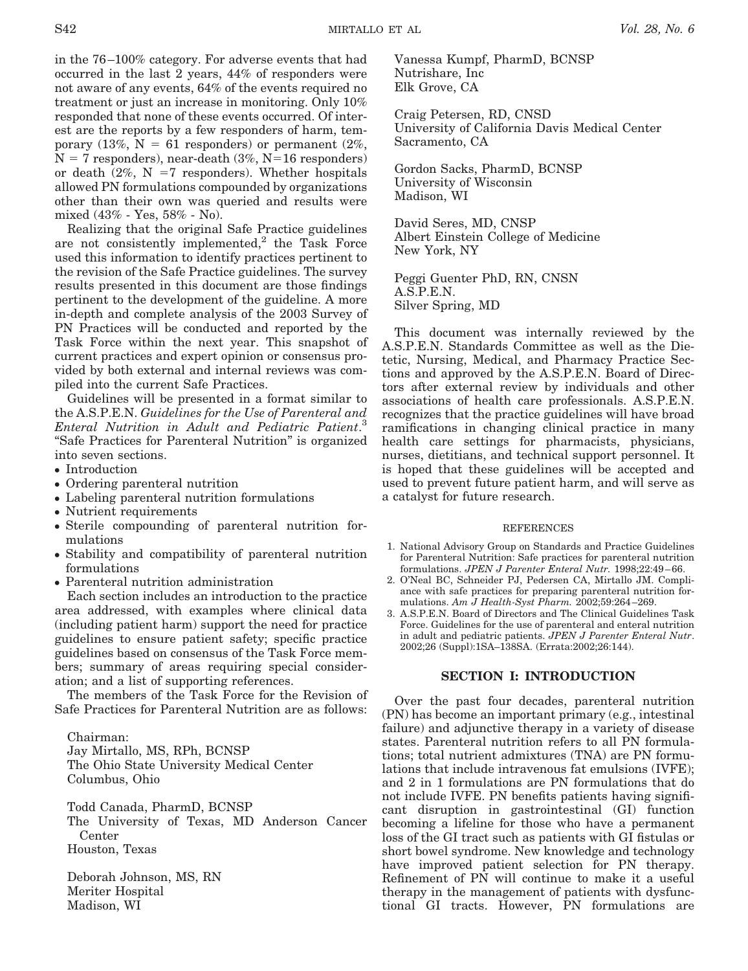in the 76 –100% category. For adverse events that had occurred in the last 2 years, 44% of responders were not aware of any events, 64% of the events required no treatment or just an increase in monitoring. Only 10% responded that none of these events occurred. Of interest are the reports by a few responders of harm, temporary  $(13\%, N = 61$  responders) or permanent  $(2\%,$  $N = 7$  responders), near-death (3%,  $N=16$  responders) or death  $(2\%, N = 7$  responders). Whether hospitals allowed PN formulations compounded by organizations other than their own was queried and results were mixed (43% - Yes, 58% - No).

Realizing that the original Safe Practice guidelines are not consistently implemented, $2$  the Task Force used this information to identify practices pertinent to the revision of the Safe Practice guidelines. The survey results presented in this document are those findings pertinent to the development of the guideline. A more in-depth and complete analysis of the 2003 Survey of PN Practices will be conducted and reported by the Task Force within the next year. This snapshot of current practices and expert opinion or consensus provided by both external and internal reviews was compiled into the current Safe Practices.

Guidelines will be presented in a format similar to the A.S.P.E.N. *Guidelines for the Use of Parenteral and Enteral Nutrition in Adult and Pediatric Patient*. 3 "Safe Practices for Parenteral Nutrition" is organized into seven sections.

- Introduction
- Ordering parenteral nutrition
- Labeling parenteral nutrition formulations
- Nutrient requirements
- Sterile compounding of parenteral nutrition formulations
- Stability and compatibility of parenteral nutrition formulations
- Parenteral nutrition administration

Each section includes an introduction to the practice area addressed, with examples where clinical data (including patient harm) support the need for practice guidelines to ensure patient safety; specific practice guidelines based on consensus of the Task Force members; summary of areas requiring special consideration; and a list of supporting references.

The members of the Task Force for the Revision of Safe Practices for Parenteral Nutrition are as follows:

Chairman:

Jay Mirtallo, MS, RPh, BCNSP The Ohio State University Medical Center Columbus, Ohio

Todd Canada, PharmD, BCNSP The University of Texas, MD Anderson Cancer Center Houston, Texas

Deborah Johnson, MS, RN Meriter Hospital Madison, WI

Vanessa Kumpf, PharmD, BCNSP Nutrishare, Inc Elk Grove, CA

Craig Petersen, RD, CNSD University of California Davis Medical Center Sacramento, CA

Gordon Sacks, PharmD, BCNSP University of Wisconsin Madison, WI

David Seres, MD, CNSP Albert Einstein College of Medicine New York, NY

Peggi Guenter PhD, RN, CNSN A.S.P.E.N. Silver Spring, MD

This document was internally reviewed by the A.S.P.E.N. Standards Committee as well as the Dietetic, Nursing, Medical, and Pharmacy Practice Sections and approved by the A.S.P.E.N. Board of Directors after external review by individuals and other associations of health care professionals. A.S.P.E.N. recognizes that the practice guidelines will have broad ramifications in changing clinical practice in many health care settings for pharmacists, physicians, nurses, dietitians, and technical support personnel. It is hoped that these guidelines will be accepted and used to prevent future patient harm, and will serve as a catalyst for future research.

#### REFERENCES

- 1. National Advisory Group on Standards and Practice Guidelines for Parenteral Nutrition: Safe practices for parenteral nutrition formulations. *JPEN J Parenter Enteral Nutr.* 1998;22:49 – 66.
- 2. O'Neal BC, Schneider PJ, Pedersen CA, Mirtallo JM. Compliance with safe practices for preparing parenteral nutrition formulations. *Am J Health-Syst Pharm.* 2002;59:264 –269.
- 3. A.S.P.E.N. Board of Directors and The Clinical Guidelines Task Force. Guidelines for the use of parenteral and enteral nutrition in adult and pediatric patients. *JPEN J Parenter Enteral Nutr*. 2002;26 (Suppl):1SA–138SA. (Errata:2002;26:144).

## **SECTION I: INTRODUCTION**

Over the past four decades, parenteral nutrition (PN) has become an important primary (e.g., intestinal failure) and adjunctive therapy in a variety of disease states. Parenteral nutrition refers to all PN formulations; total nutrient admixtures (TNA) are PN formulations that include intravenous fat emulsions (IVFE); and 2 in 1 formulations are PN formulations that do not include IVFE. PN benefits patients having significant disruption in gastrointestinal (GI) function becoming a lifeline for those who have a permanent loss of the GI tract such as patients with GI fistulas or short bowel syndrome. New knowledge and technology have improved patient selection for PN therapy. Refinement of PN will continue to make it a useful therapy in the management of patients with dysfunctional GI tracts. However, PN formulations are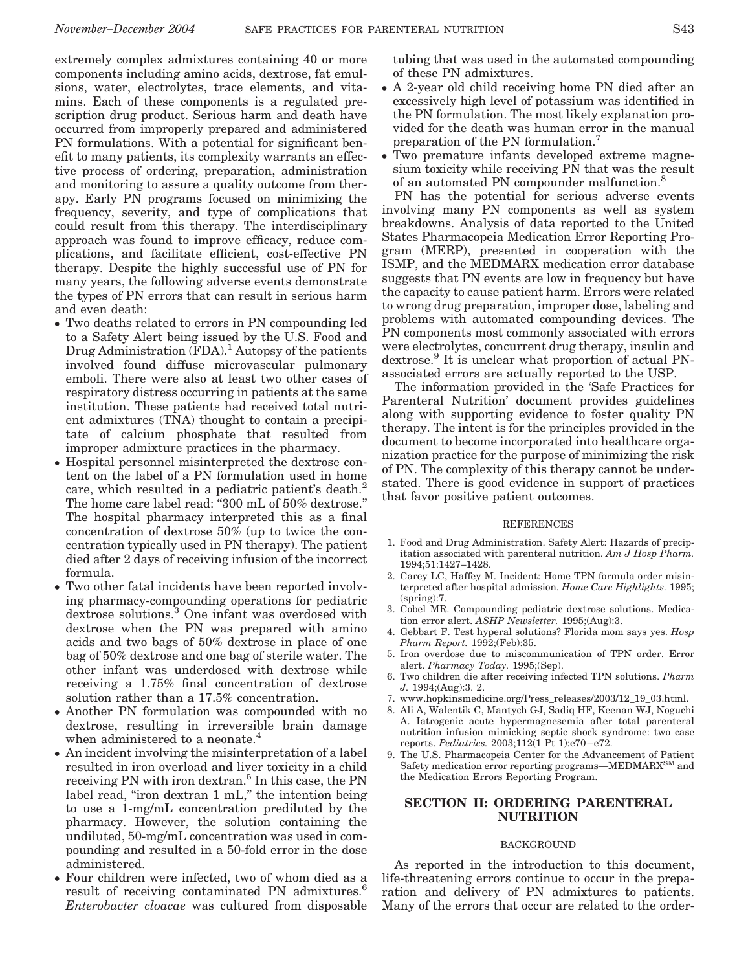extremely complex admixtures containing 40 or more components including amino acids, dextrose, fat emulsions, water, electrolytes, trace elements, and vitamins. Each of these components is a regulated prescription drug product. Serious harm and death have occurred from improperly prepared and administered PN formulations. With a potential for significant benefit to many patients, its complexity warrants an effective process of ordering, preparation, administration and monitoring to assure a quality outcome from therapy. Early PN programs focused on minimizing the frequency, severity, and type of complications that could result from this therapy. The interdisciplinary approach was found to improve efficacy, reduce complications, and facilitate efficient, cost-effective PN therapy. Despite the highly successful use of PN for many years, the following adverse events demonstrate the types of PN errors that can result in serious harm and even death:

- Two deaths related to errors in PN compounding led to a Safety Alert being issued by the U.S. Food and Drug Administration  $(FDA)^1$ . Autopsy of the patients involved found diffuse microvascular pulmonary emboli. There were also at least two other cases of respiratory distress occurring in patients at the same institution. These patients had received total nutrient admixtures (TNA) thought to contain a precipitate of calcium phosphate that resulted from improper admixture practices in the pharmacy.
- Hospital personnel misinterpreted the dextrose content on the label of a PN formulation used in home care, which resulted in a pediatric patient's death.<sup>2</sup> The home care label read: "300 mL of 50% dextrose." The hospital pharmacy interpreted this as a final concentration of dextrose 50% (up to twice the concentration typically used in PN therapy). The patient died after 2 days of receiving infusion of the incorrect formula.
- Two other fatal incidents have been reported involving pharmacy-compounding operations for pediatric dextrose solutions.<sup>3</sup> One infant was overdosed with dextrose when the PN was prepared with amino acids and two bags of 50% dextrose in place of one bag of 50% dextrose and one bag of sterile water. The other infant was underdosed with dextrose while receiving a 1.75% final concentration of dextrose solution rather than a 17.5% concentration.
- Another PN formulation was compounded with no dextrose, resulting in irreversible brain damage when administered to a neonate.<sup>4</sup>
- An incident involving the misinterpretation of a label resulted in iron overload and liver toxicity in a child receiving PN with iron dextran.<sup>5</sup> In this case, the PN label read, "iron dextran 1 mL," the intention being to use a 1-mg/mL concentration prediluted by the pharmacy. However, the solution containing the undiluted, 50-mg/mL concentration was used in compounding and resulted in a 50-fold error in the dose administered.
- Four children were infected, two of whom died as a result of receiving contaminated PN admixtures.<sup>6</sup> *Enterobacter cloacae* was cultured from disposable

tubing that was used in the automated compounding of these PN admixtures.

- A 2-year old child receiving home PN died after an excessively high level of potassium was identified in the PN formulation. The most likely explanation provided for the death was human error in the manual preparation of the PN formulation.<sup>7</sup>
- Two premature infants developed extreme magnesium toxicity while receiving PN that was the result of an automated PN compounder malfunction.<sup>8</sup>

PN has the potential for serious adverse events involving many PN components as well as system breakdowns. Analysis of data reported to the United States Pharmacopeia Medication Error Reporting Program (MERP), presented in cooperation with the ISMP, and the MEDMARX medication error database suggests that PN events are low in frequency but have the capacity to cause patient harm. Errors were related to wrong drug preparation, improper dose, labeling and problems with automated compounding devices. The PN components most commonly associated with errors were electrolytes, concurrent drug therapy, insulin and dextrose.<sup>9</sup> It is unclear what proportion of actual PNassociated errors are actually reported to the USP.

The information provided in the 'Safe Practices for Parenteral Nutrition' document provides guidelines along with supporting evidence to foster quality PN therapy. The intent is for the principles provided in the document to become incorporated into healthcare organization practice for the purpose of minimizing the risk of PN. The complexity of this therapy cannot be understated. There is good evidence in support of practices that favor positive patient outcomes.

#### REFERENCES

- 1. Food and Drug Administration. Safety Alert: Hazards of precipitation associated with parenteral nutrition. *Am J Hosp Pharm.* 1994;51:1427–1428.
- 2. Carey LC, Haffey M. Incident: Home TPN formula order misinterpreted after hospital admission. *Home Care Highlights.* 1995; (spring):7.
- 3. Cobel MR. Compounding pediatric dextrose solutions. Medication error alert. *ASHP Newsletter.* 1995;(Aug):3.
- 4. Gebbart F. Test hyperal solutions? Florida mom says yes. *Hosp Pharm Report.* 1992;(Feb):35.
- 5. Iron overdose due to miscommunication of TPN order. Error alert. *Pharmacy Today.* 1995;(Sep).
- 6. Two children die after receiving infected TPN solutions. *Pharm J.* 1994;(Aug):3. 2.
- 7. www.hopkinsmedicine.org/Press\_releases/2003/12\_19\_03.html.
- 8. Ali A, Walentik C, Mantych GJ, Sadiq HF, Keenan WJ, Noguchi A. Iatrogenic acute hypermagnesemia after total parenteral nutrition infusion mimicking septic shock syndrome: two case reports. *Pediatrics.* 2003;112(1 Pt 1):e70 – e72.
- 9. The U.S. Pharmacopeia Center for the Advancement of Patient Safety medication error reporting programs—MEDMARX<sup>SM</sup> and the Medication Errors Reporting Program.

## **SECTION II: ORDERING PARENTERAL NUTRITION**

#### BACKGROUND

As reported in the introduction to this document, life-threatening errors continue to occur in the preparation and delivery of PN admixtures to patients. Many of the errors that occur are related to the order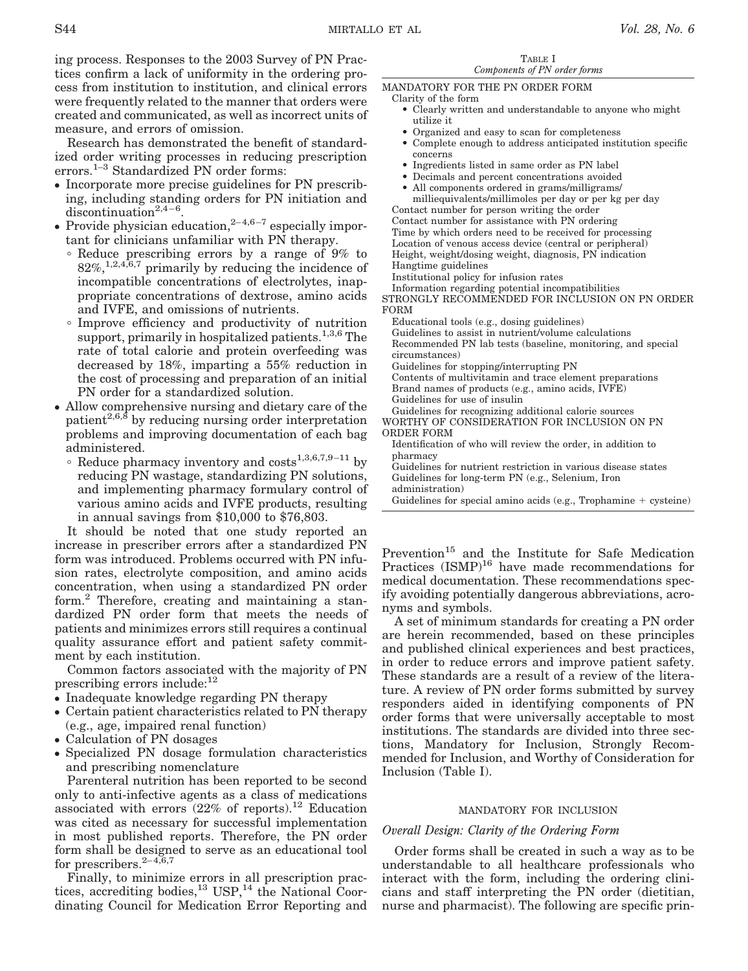ing process. Responses to the 2003 Survey of PN Practices confirm a lack of uniformity in the ordering process from institution to institution, and clinical errors were frequently related to the manner that orders were created and communicated, as well as incorrect units of measure, and errors of omission.

Research has demonstrated the benefit of standardized order writing processes in reducing prescription errors.1–3 Standardized PN order forms:

- Incorporate more precise guidelines for PN prescribing, including standing orders for PN initiation and discontinuation<sup>2,4-6</sup>.
- Provide physician education,  $2-4.6-7$  especially important for clinicians unfamiliar with PN therapy.
	- Reduce prescribing errors by a range of 9% to  $82\%, ^{1,2,4,6,7}$  primarily by reducing the incidence of incompatible concentrations of electrolytes, inappropriate concentrations of dextrose, amino acids and IVFE, and omissions of nutrients.
	- Improve efficiency and productivity of nutrition support, primarily in hospitalized patients.<sup>1,3,6</sup> The rate of total calorie and protein overfeeding was decreased by 18%, imparting a 55% reduction in the cost of processing and preparation of an initial PN order for a standardized solution.
- Allow comprehensive nursing and dietary care of the patient<sup>2,6,8</sup> by reducing nursing order interpretation problems and improving documentation of each bag administered.
	- Reduce pharmacy inventory and costs<sup>1,3,6,7,9–11</sup> by reducing PN wastage, standardizing PN solutions, and implementing pharmacy formulary control of various amino acids and IVFE products, resulting in annual savings from \$10,000 to \$76,803.

It should be noted that one study reported an increase in prescriber errors after a standardized PN form was introduced. Problems occurred with PN infusion rates, electrolyte composition, and amino acids concentration, when using a standardized PN order form.<sup>2</sup> Therefore, creating and maintaining a standardized PN order form that meets the needs of patients and minimizes errors still requires a continual quality assurance effort and patient safety commitment by each institution.

Common factors associated with the majority of PN prescribing errors include:12

- Inadequate knowledge regarding PN therapy
- Certain patient characteristics related to PN therapy (e.g., age, impaired renal function)
- Calculation of PN dosages
- Specialized PN dosage formulation characteristics and prescribing nomenclature

Parenteral nutrition has been reported to be second only to anti-infective agents as a class of medications associated with errors  $(22\%$  of reports).<sup>12</sup> Education was cited as necessary for successful implementation in most published reports. Therefore, the PN order form shall be designed to serve as an educational tool for prescribers.<sup>2-4,6,7</sup>

Finally, to minimize errors in all prescription practices, accrediting bodies,<sup>13</sup> USP,<sup>14</sup> the National Coordinating Council for Medication Error Reporting and

TABLE I *Components of PN order forms*

MANDATORY FOR THE PN ORDER FORM

- Clarity of the form
	- Clearly written and understandable to anyone who might utilize it
- Organized and easy to scan for completeness
- Complete enough to address anticipated institution specific concerns
- Ingredients listed in same order as PN label
- Decimals and percent concentrations avoided
- All components ordered in grams/milligrams/ milliequivalents/millimoles per day or per kg per day Contact number for person writing the order

Contact number for assistance with PN ordering Time by which orders need to be received for processing Location of venous access device (central or peripheral) Height, weight/dosing weight, diagnosis, PN indication Hangtime guidelines Institutional policy for infusion rates Information regarding potential incompatibilities

STRONGLY RECOMMENDED FOR INCLUSION ON PN ORDER FORM

Educational tools (e.g., dosing guidelines) Guidelines to assist in nutrient/volume calculations Recommended PN lab tests (baseline, monitoring, and special circumstances)

Guidelines for stopping/interrupting PN

Contents of multivitamin and trace element preparations Brand names of products (e.g., amino acids, IVFE)

Guidelines for use of insulin

Guidelines for recognizing additional calorie sources WORTHY OF CONSIDERATION FOR INCLUSION ON PN ORDER FORM

Identification of who will review the order, in addition to pharmacy

Guidelines for nutrient restriction in various disease states Guidelines for long-term PN (e.g., Selenium, Iron

administration) Guidelines for special amino acids (e.g., Trophamine  $+$  cysteine)

Prevention<sup>15</sup> and the Institute for Safe Medication Practices (ISMP)<sup>16</sup> have made recommendations for medical documentation. These recommendations specify avoiding potentially dangerous abbreviations, acronyms and symbols.

A set of minimum standards for creating a PN order are herein recommended, based on these principles and published clinical experiences and best practices, in order to reduce errors and improve patient safety. These standards are a result of a review of the literature. A review of PN order forms submitted by survey responders aided in identifying components of PN order forms that were universally acceptable to most institutions. The standards are divided into three sections, Mandatory for Inclusion, Strongly Recommended for Inclusion, and Worthy of Consideration for Inclusion (Table I).

#### MANDATORY FOR INCLUSION

#### *Overall Design: Clarity of the Ordering Form*

Order forms shall be created in such a way as to be understandable to all healthcare professionals who interact with the form, including the ordering clinicians and staff interpreting the PN order (dietitian, nurse and pharmacist). The following are specific prin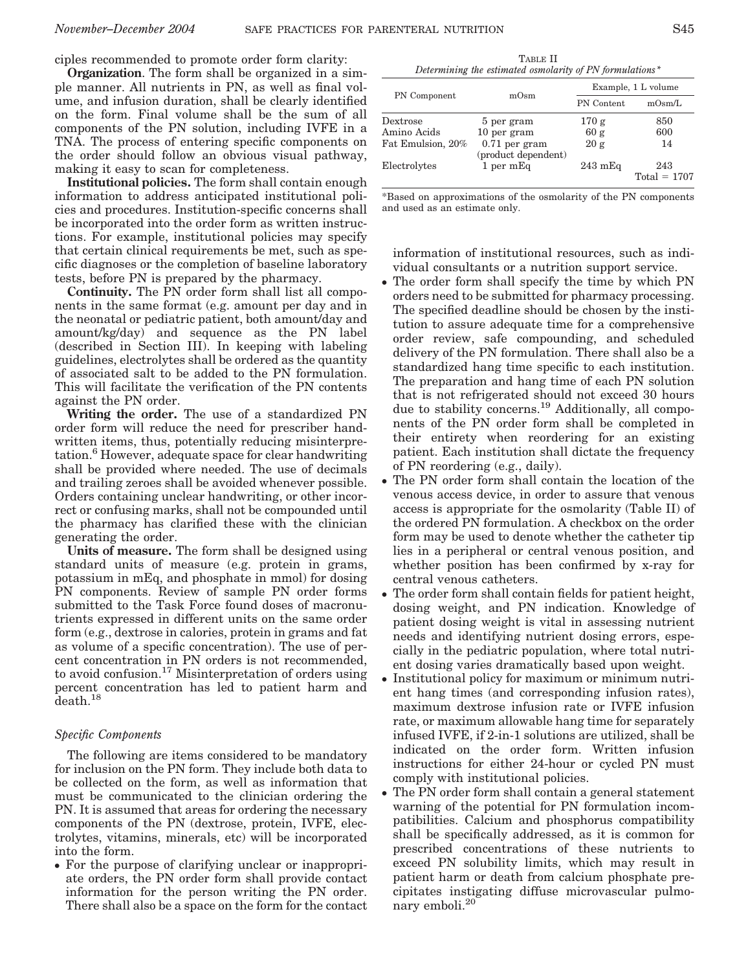ciples recommended to promote order form clarity:

**Organization**. The form shall be organized in a simple manner. All nutrients in PN, as well as final volume, and infusion duration, shall be clearly identified on the form. Final volume shall be the sum of all components of the PN solution, including IVFE in a TNA. The process of entering specific components on the order should follow an obvious visual pathway, making it easy to scan for completeness.

**Institutional policies.** The form shall contain enough information to address anticipated institutional policies and procedures. Institution-specific concerns shall be incorporated into the order form as written instructions. For example, institutional policies may specify that certain clinical requirements be met, such as specific diagnoses or the completion of baseline laboratory tests, before PN is prepared by the pharmacy.

**Continuity.** The PN order form shall list all components in the same format (e.g. amount per day and in the neonatal or pediatric patient, both amount/day and amount/kg/day) and sequence as the PN label (described in Section III). In keeping with labeling guidelines, electrolytes shall be ordered as the quantity of associated salt to be added to the PN formulation. This will facilitate the verification of the PN contents against the PN order.

**Writing the order.** The use of a standardized PN order form will reduce the need for prescriber handwritten items, thus, potentially reducing misinterpretation.<sup>6</sup> However, adequate space for clear handwriting shall be provided where needed. The use of decimals and trailing zeroes shall be avoided whenever possible. Orders containing unclear handwriting, or other incorrect or confusing marks, shall not be compounded until the pharmacy has clarified these with the clinician generating the order.

**Units of measure.** The form shall be designed using standard units of measure (e.g. protein in grams, potassium in mEq, and phosphate in mmol) for dosing PN components. Review of sample PN order forms submitted to the Task Force found doses of macronutrients expressed in different units on the same order form (e.g., dextrose in calories, protein in grams and fat as volume of a specific concentration). The use of percent concentration in PN orders is not recommended, to avoid confusion.<sup>17</sup> Misinterpretation of orders using percent concentration has led to patient harm and death.<sup>18</sup>

#### *Specific Components*

The following are items considered to be mandatory for inclusion on the PN form. They include both data to be collected on the form, as well as information that must be communicated to the clinician ordering the PN. It is assumed that areas for ordering the necessary components of the PN (dextrose, protein, IVFE, electrolytes, vitamins, minerals, etc) will be incorporated into the form.

● For the purpose of clarifying unclear or inappropriate orders, the PN order form shall provide contact information for the person writing the PN order. There shall also be a space on the form for the contact

TABLE II *Determining the estimated osmolarity of PN formulations\**

|                                              |                                                                     | Example, 1 L volume |                       |
|----------------------------------------------|---------------------------------------------------------------------|---------------------|-----------------------|
| PN Component                                 | mOsm                                                                | PN Content          | mOsm/L                |
| Dextrose<br>Amino Acids<br>Fat Emulsion, 20% | 5 per gram<br>10 per gram<br>$0.71$ per gram<br>(product dependent) | 170g<br>60g<br>20 g | 850<br>600<br>14      |
| Electrolytes                                 | 1 <sub>per</sub> mEq                                                | $243 \text{ mEq}$   | 243<br>$Total = 1707$ |

\*Based on approximations of the osmolarity of the PN components and used as an estimate only.

information of institutional resources, such as individual consultants or a nutrition support service.

- The order form shall specify the time by which PN orders need to be submitted for pharmacy processing. The specified deadline should be chosen by the institution to assure adequate time for a comprehensive order review, safe compounding, and scheduled delivery of the PN formulation. There shall also be a standardized hang time specific to each institution. The preparation and hang time of each PN solution that is not refrigerated should not exceed 30 hours due to stability concerns.<sup>19</sup> Additionally, all components of the PN order form shall be completed in their entirety when reordering for an existing patient. Each institution shall dictate the frequency of PN reordering (e.g., daily).
- The PN order form shall contain the location of the venous access device, in order to assure that venous access is appropriate for the osmolarity (Table II) of the ordered PN formulation. A checkbox on the order form may be used to denote whether the catheter tip lies in a peripheral or central venous position, and whether position has been confirmed by x-ray for central venous catheters.
- The order form shall contain fields for patient height, dosing weight, and PN indication. Knowledge of patient dosing weight is vital in assessing nutrient needs and identifying nutrient dosing errors, especially in the pediatric population, where total nutrient dosing varies dramatically based upon weight.
- Institutional policy for maximum or minimum nutrient hang times (and corresponding infusion rates), maximum dextrose infusion rate or IVFE infusion rate, or maximum allowable hang time for separately infused IVFE, if 2-in-1 solutions are utilized, shall be indicated on the order form. Written infusion instructions for either 24-hour or cycled PN must comply with institutional policies.
- The PN order form shall contain a general statement warning of the potential for PN formulation incompatibilities. Calcium and phosphorus compatibility shall be specifically addressed, as it is common for prescribed concentrations of these nutrients to exceed PN solubility limits, which may result in patient harm or death from calcium phosphate precipitates instigating diffuse microvascular pulmonary emboli.20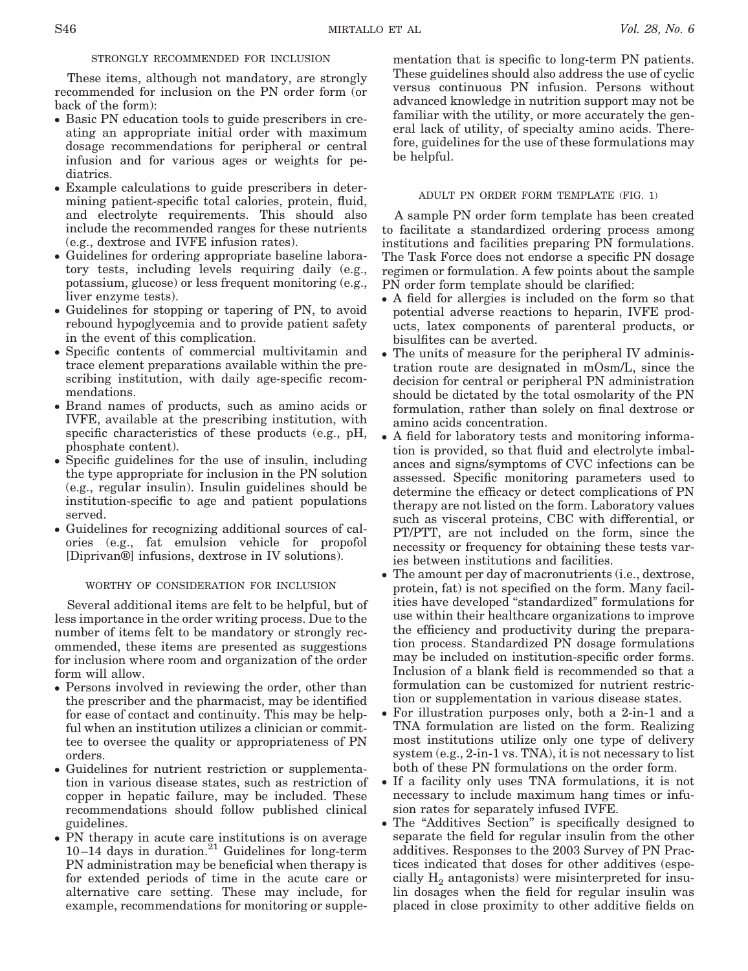#### STRONGLY RECOMMENDED FOR INCLUSION

These items, although not mandatory, are strongly recommended for inclusion on the PN order form (or back of the form):

- Basic PN education tools to guide prescribers in creating an appropriate initial order with maximum dosage recommendations for peripheral or central infusion and for various ages or weights for pediatrics.
- Example calculations to guide prescribers in determining patient-specific total calories, protein, fluid, and electrolyte requirements. This should also include the recommended ranges for these nutrients (e.g., dextrose and IVFE infusion rates).
- Guidelines for ordering appropriate baseline laboratory tests, including levels requiring daily (e.g., potassium, glucose) or less frequent monitoring (e.g., liver enzyme tests).
- Guidelines for stopping or tapering of PN, to avoid rebound hypoglycemia and to provide patient safety in the event of this complication.
- Specific contents of commercial multivitamin and trace element preparations available within the prescribing institution, with daily age-specific recommendations.
- Brand names of products, such as amino acids or IVFE, available at the prescribing institution, with specific characteristics of these products (e.g., pH, phosphate content).
- Specific guidelines for the use of insulin, including the type appropriate for inclusion in the PN solution (e.g., regular insulin). Insulin guidelines should be institution-specific to age and patient populations served.
- Guidelines for recognizing additional sources of calories (e.g., fat emulsion vehicle for propofol [Diprivan®] infusions, dextrose in IV solutions).

## WORTHY OF CONSIDERATION FOR INCLUSION

Several additional items are felt to be helpful, but of less importance in the order writing process. Due to the number of items felt to be mandatory or strongly recommended, these items are presented as suggestions for inclusion where room and organization of the order form will allow.

- Persons involved in reviewing the order, other than the prescriber and the pharmacist, may be identified for ease of contact and continuity. This may be helpful when an institution utilizes a clinician or committee to oversee the quality or appropriateness of PN orders.
- Guidelines for nutrient restriction or supplementation in various disease states, such as restriction of copper in hepatic failure, may be included. These recommendations should follow published clinical guidelines.
- PN therapy in acute care institutions is on average  $10-14$  days in duration.<sup>21</sup> Guidelines for long-term PN administration may be beneficial when therapy is for extended periods of time in the acute care or alternative care setting. These may include, for example, recommendations for monitoring or supple-

mentation that is specific to long-term PN patients. These guidelines should also address the use of cyclic versus continuous PN infusion. Persons without advanced knowledge in nutrition support may not be familiar with the utility, or more accurately the general lack of utility, of specialty amino acids. Therefore, guidelines for the use of these formulations may be helpful.

## ADULT PN ORDER FORM TEMPLATE (FIG. 1)

A sample PN order form template has been created to facilitate a standardized ordering process among institutions and facilities preparing PN formulations. The Task Force does not endorse a specific PN dosage regimen or formulation. A few points about the sample PN order form template should be clarified:

- A field for allergies is included on the form so that potential adverse reactions to heparin, IVFE products, latex components of parenteral products, or bisulfites can be averted.
- The units of measure for the peripheral IV administration route are designated in mOsm/L, since the decision for central or peripheral PN administration should be dictated by the total osmolarity of the PN formulation, rather than solely on final dextrose or amino acids concentration.
- A field for laboratory tests and monitoring information is provided, so that fluid and electrolyte imbalances and signs/symptoms of CVC infections can be assessed. Specific monitoring parameters used to determine the efficacy or detect complications of PN therapy are not listed on the form. Laboratory values such as visceral proteins, CBC with differential, or PT/PTT, are not included on the form, since the necessity or frequency for obtaining these tests varies between institutions and facilities.
- The amount per day of macronutrients (i.e., dextrose, protein, fat) is not specified on the form. Many facilities have developed "standardized" formulations for use within their healthcare organizations to improve the efficiency and productivity during the preparation process. Standardized PN dosage formulations may be included on institution-specific order forms. Inclusion of a blank field is recommended so that a formulation can be customized for nutrient restriction or supplementation in various disease states.
- For illustration purposes only, both a 2-in-1 and a TNA formulation are listed on the form. Realizing most institutions utilize only one type of delivery system (e.g., 2-in-1 vs. TNA), it is not necessary to list both of these PN formulations on the order form.
- If a facility only uses TNA formulations, it is not necessary to include maximum hang times or infusion rates for separately infused IVFE.
- The "Additives Section" is specifically designed to separate the field for regular insulin from the other additives. Responses to the 2003 Survey of PN Practices indicated that doses for other additives (especially  $H_2$  antagonists) were misinterpreted for insulin dosages when the field for regular insulin was placed in close proximity to other additive fields on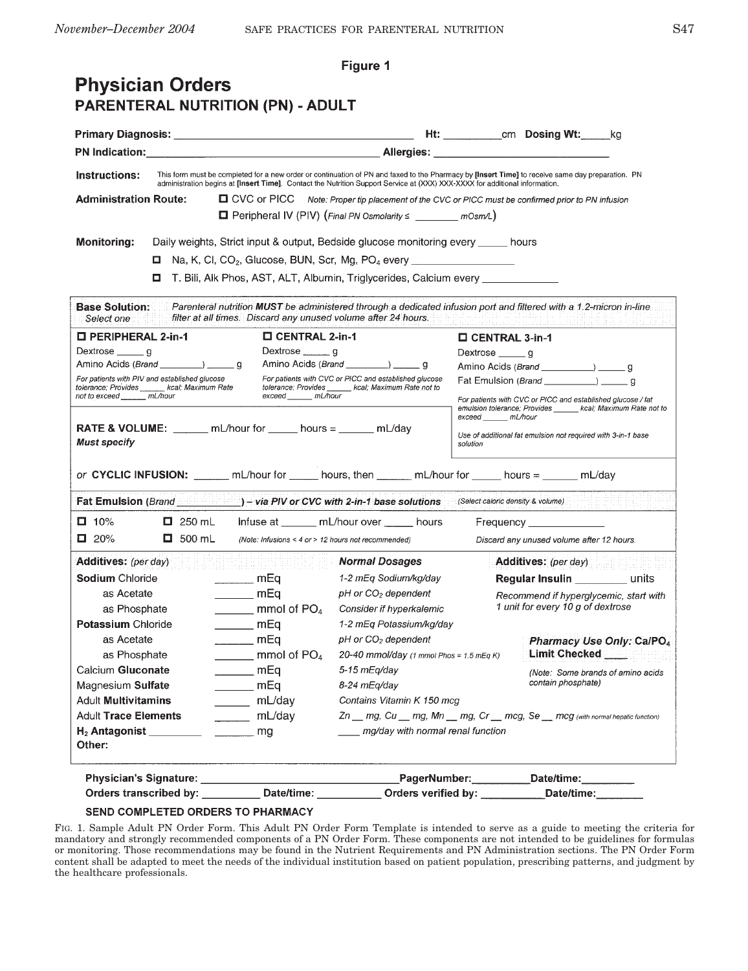Figure 1 **Physician Orders PARENTERAL NUTRITION (PN) - ADULT** 

| Instructions:<br>This form must be completed for a new order or continuation of PN and faxed to the Pharmacy by [Insert Time] to receive same day preparation. PN<br>administration begins at [Insert Time]. Contact the Nutrition Support Service at (XXX) XXX-XXXX for additional information.<br><b>Administration Route:</b><br>□ CVC or PICC Note: Proper tip placement of the CVC or PICC must be confirmed prior to PN infusion<br><b>O</b> Peripheral IV (PIV) (Final PN Osmolarity $\leq$ __________ mOsm/L)<br><b>Monitoring:</b><br>Daily weights, Strict input & output, Bedside glucose monitoring every ______ hours<br>T. Bili, Alk Phos, AST, ALT, Albumin, Triglycerides, Calcium every ____________<br>0<br><b>Base Solution:</b><br>Parenteral nutrition MUST be administered through a dedicated infusion port and filtered with a 1.2-micron in-line<br>filter at all times. Discard any unused volume after 24 hours.<br>Select one<br><u> Manatan di Kabupatèn Salam Salam Salam Salam Barat di Kabupatèn Salam Bandunggaran Salam Bandunggaran Salam Ba</u><br>□ PERIPHERAL 2-in-1<br>$\Box$ CENTRAL 2-in-1<br>□ CENTRAL 3-in-1<br>Dextrose $\rule{1em}{0.15mm}$ g<br>Dextrose $\rule{1em}{0.15mm}$ g<br>Dextrose $\rule{1em}{0.15mm}$ g<br>Amino Acids (Brand _________) _______ g<br>Amino Acids (Brand __________) ________ g<br>Amino Acids (Brand __________) ________ g<br>For patients with PIV and established glucose<br>For patients with CVC or PICC and established glucose<br>tolerance; Provides ______ kcal; Maximum Rate<br>tolerance; Provides ______ kcal; Maximum Rate not to<br>not to exceed ______ mL/hour<br>exceed mL/hour<br>For patients with CVC or PICC and established glucose / fat<br>emulsion tolerance; Provides ______ kcal; Maximum Rate not to<br>exceed mL/hour<br><b>RATE &amp; VOLUME:</b> $\qquad \qquad$ mL/hour for $\qquad \qquad$ hours = $\qquad \qquad$ mL/day<br>Use of additional fat emulsion not required with 3-in-1 base<br><b>Must specify</b><br>solution<br>or CYCLIC INFUSION: $\_\_\_\_\_\$ mL/hour for $\_\_\_\_\$ hours, then $\_\_\_\_\$ mL/hour for $\_\_\_\$ hours = $\_\_\_\_\$ mL/day<br>Fat Emulsion (Brand (Branch) - via PIV or CVC with 2-in-1 base solutions (Select caloric density & volume)<br>$\Box$ 10%<br>$\Box$ 250 mL<br>Infuse at _______ mL/hour over ______ hours<br>Frequency _____________<br>$\Box$ 20%<br>$\Box$ 500 mL<br>(Note: Infusions < 4 or > 12 hours not recommended)<br>Discard any unused volume after 12 hours.<br><b>Additives:</b> (per day)<br><b>Additives:</b> (per day)<br><b>Normal Dosages</b><br>, a provinciji in KTV P K H V (1941)<br>1943 program nastava postava s viso<br><b>Sodium</b> Chloride<br>1-2 mEq Sodium/kg/day<br>Regular Insulin ___________ units<br>$\frac{1}{\sqrt{1-\frac{1}{2}}}\text{mEq}$<br>$\rule{1em}{0.15mm}$ mEq<br>as Acetate<br>$pH$ or $CO2$ dependent<br>Recommend if hyperglycemic, start with<br>1 unit for every 10 g of dextrose<br>$\frac{1}{2}$ mmol of PO <sub>4</sub><br>as Phosphate<br>Consider if hyperkalemic<br><b>Potassium Chloride</b><br>$\frac{1}{\sqrt{1-\frac{1}{2}}}\text{mEq}$<br>1-2 mEq Potassium/kg/day<br>$\frac{1}{2}$ mEq<br>as Acetate<br>$pH$ or $CO2$ dependent<br>Pharmacy Use Only: Ca/PO <sub>4</sub><br>Limit Checked <b>Communist Checked</b><br>as Phosphate<br>$\frac{1}{2}$ mmol of PO <sub>4</sub><br>20-40 mmol/day (1 mmol Phos = $1.5$ mEq K)<br>Calcium Gluconate<br>$\rule{1em}{0.15mm}$ mEq<br>5-15 mEa/day<br>(Note: Some brands of amino acids<br>contain phosphate)<br>Magnesium Sulfate<br>8-24 mEq/day<br>_______ mEq<br>mL/day<br><b>Adult Multivitamins</b><br>Contains Vitamin K 150 mcg<br><b>Adult Trace Elements</b><br>$mL$ day<br>Zn __ mg, Cu __ mg, Mn __ mg, Cr __ mcg, Se __ mcg (with normal hepatic function)<br>mg/day with normal renal function<br>Other:<br>Physician's Signature: New York Changes and School and School and School and School and School and School and<br>PagerNumber:___________Date/time:_________ |  |  |  |  |  |  |
|-----------------------------------------------------------------------------------------------------------------------------------------------------------------------------------------------------------------------------------------------------------------------------------------------------------------------------------------------------------------------------------------------------------------------------------------------------------------------------------------------------------------------------------------------------------------------------------------------------------------------------------------------------------------------------------------------------------------------------------------------------------------------------------------------------------------------------------------------------------------------------------------------------------------------------------------------------------------------------------------------------------------------------------------------------------------------------------------------------------------------------------------------------------------------------------------------------------------------------------------------------------------------------------------------------------------------------------------------------------------------------------------------------------------------------------------------------------------------------------------------------------------------------------------------------------------------------------------------------------------------------------------------------------------------------------------------------------------------------------------------------------------------------------------------------------------------------------------------------------------------------------------------------------------------------------------------------------------------------------------------------------------------------------------------------------------------------------------------------------------------------------------------------------------------------------------------------------------------------------------------------------------------------------------------------------------------------------------------------------------------------------------------------------------------------------------------------------------------------------------------------------------------------------------------------------------------------------------------------------------------------------------------------------------------------------------------------------------------------------------------------------------------------------------------------------------------------------------------------------------------------------------------------------------------------------------------------------------------------------------------------------------------------------------------------------------------------------------------------------------------------------------------------------------------------------------------------------------------------------------------------------------------------------------------------------------------------------------------------------------------------------------------------------------------------------------------------------------------------------------------------------------------------------------------------------------------------------------------------------------------------------------------------------------------------------------------------------------------------------------------------------------------------------------------------------------------------------------------------------------------------------------------------------------------------------------------------------------------------------------------------------------------------------------------------------------|--|--|--|--|--|--|
|                                                                                                                                                                                                                                                                                                                                                                                                                                                                                                                                                                                                                                                                                                                                                                                                                                                                                                                                                                                                                                                                                                                                                                                                                                                                                                                                                                                                                                                                                                                                                                                                                                                                                                                                                                                                                                                                                                                                                                                                                                                                                                                                                                                                                                                                                                                                                                                                                                                                                                                                                                                                                                                                                                                                                                                                                                                                                                                                                                                                                                                                                                                                                                                                                                                                                                                                                                                                                                                                                                                                                                                                                                                                                                                                                                                                                                                                                                                                                                                                                                                                 |  |  |  |  |  |  |
|                                                                                                                                                                                                                                                                                                                                                                                                                                                                                                                                                                                                                                                                                                                                                                                                                                                                                                                                                                                                                                                                                                                                                                                                                                                                                                                                                                                                                                                                                                                                                                                                                                                                                                                                                                                                                                                                                                                                                                                                                                                                                                                                                                                                                                                                                                                                                                                                                                                                                                                                                                                                                                                                                                                                                                                                                                                                                                                                                                                                                                                                                                                                                                                                                                                                                                                                                                                                                                                                                                                                                                                                                                                                                                                                                                                                                                                                                                                                                                                                                                                                 |  |  |  |  |  |  |
|                                                                                                                                                                                                                                                                                                                                                                                                                                                                                                                                                                                                                                                                                                                                                                                                                                                                                                                                                                                                                                                                                                                                                                                                                                                                                                                                                                                                                                                                                                                                                                                                                                                                                                                                                                                                                                                                                                                                                                                                                                                                                                                                                                                                                                                                                                                                                                                                                                                                                                                                                                                                                                                                                                                                                                                                                                                                                                                                                                                                                                                                                                                                                                                                                                                                                                                                                                                                                                                                                                                                                                                                                                                                                                                                                                                                                                                                                                                                                                                                                                                                 |  |  |  |  |  |  |
|                                                                                                                                                                                                                                                                                                                                                                                                                                                                                                                                                                                                                                                                                                                                                                                                                                                                                                                                                                                                                                                                                                                                                                                                                                                                                                                                                                                                                                                                                                                                                                                                                                                                                                                                                                                                                                                                                                                                                                                                                                                                                                                                                                                                                                                                                                                                                                                                                                                                                                                                                                                                                                                                                                                                                                                                                                                                                                                                                                                                                                                                                                                                                                                                                                                                                                                                                                                                                                                                                                                                                                                                                                                                                                                                                                                                                                                                                                                                                                                                                                                                 |  |  |  |  |  |  |
|                                                                                                                                                                                                                                                                                                                                                                                                                                                                                                                                                                                                                                                                                                                                                                                                                                                                                                                                                                                                                                                                                                                                                                                                                                                                                                                                                                                                                                                                                                                                                                                                                                                                                                                                                                                                                                                                                                                                                                                                                                                                                                                                                                                                                                                                                                                                                                                                                                                                                                                                                                                                                                                                                                                                                                                                                                                                                                                                                                                                                                                                                                                                                                                                                                                                                                                                                                                                                                                                                                                                                                                                                                                                                                                                                                                                                                                                                                                                                                                                                                                                 |  |  |  |  |  |  |
|                                                                                                                                                                                                                                                                                                                                                                                                                                                                                                                                                                                                                                                                                                                                                                                                                                                                                                                                                                                                                                                                                                                                                                                                                                                                                                                                                                                                                                                                                                                                                                                                                                                                                                                                                                                                                                                                                                                                                                                                                                                                                                                                                                                                                                                                                                                                                                                                                                                                                                                                                                                                                                                                                                                                                                                                                                                                                                                                                                                                                                                                                                                                                                                                                                                                                                                                                                                                                                                                                                                                                                                                                                                                                                                                                                                                                                                                                                                                                                                                                                                                 |  |  |  |  |  |  |
|                                                                                                                                                                                                                                                                                                                                                                                                                                                                                                                                                                                                                                                                                                                                                                                                                                                                                                                                                                                                                                                                                                                                                                                                                                                                                                                                                                                                                                                                                                                                                                                                                                                                                                                                                                                                                                                                                                                                                                                                                                                                                                                                                                                                                                                                                                                                                                                                                                                                                                                                                                                                                                                                                                                                                                                                                                                                                                                                                                                                                                                                                                                                                                                                                                                                                                                                                                                                                                                                                                                                                                                                                                                                                                                                                                                                                                                                                                                                                                                                                                                                 |  |  |  |  |  |  |
|                                                                                                                                                                                                                                                                                                                                                                                                                                                                                                                                                                                                                                                                                                                                                                                                                                                                                                                                                                                                                                                                                                                                                                                                                                                                                                                                                                                                                                                                                                                                                                                                                                                                                                                                                                                                                                                                                                                                                                                                                                                                                                                                                                                                                                                                                                                                                                                                                                                                                                                                                                                                                                                                                                                                                                                                                                                                                                                                                                                                                                                                                                                                                                                                                                                                                                                                                                                                                                                                                                                                                                                                                                                                                                                                                                                                                                                                                                                                                                                                                                                                 |  |  |  |  |  |  |
|                                                                                                                                                                                                                                                                                                                                                                                                                                                                                                                                                                                                                                                                                                                                                                                                                                                                                                                                                                                                                                                                                                                                                                                                                                                                                                                                                                                                                                                                                                                                                                                                                                                                                                                                                                                                                                                                                                                                                                                                                                                                                                                                                                                                                                                                                                                                                                                                                                                                                                                                                                                                                                                                                                                                                                                                                                                                                                                                                                                                                                                                                                                                                                                                                                                                                                                                                                                                                                                                                                                                                                                                                                                                                                                                                                                                                                                                                                                                                                                                                                                                 |  |  |  |  |  |  |
|                                                                                                                                                                                                                                                                                                                                                                                                                                                                                                                                                                                                                                                                                                                                                                                                                                                                                                                                                                                                                                                                                                                                                                                                                                                                                                                                                                                                                                                                                                                                                                                                                                                                                                                                                                                                                                                                                                                                                                                                                                                                                                                                                                                                                                                                                                                                                                                                                                                                                                                                                                                                                                                                                                                                                                                                                                                                                                                                                                                                                                                                                                                                                                                                                                                                                                                                                                                                                                                                                                                                                                                                                                                                                                                                                                                                                                                                                                                                                                                                                                                                 |  |  |  |  |  |  |
|                                                                                                                                                                                                                                                                                                                                                                                                                                                                                                                                                                                                                                                                                                                                                                                                                                                                                                                                                                                                                                                                                                                                                                                                                                                                                                                                                                                                                                                                                                                                                                                                                                                                                                                                                                                                                                                                                                                                                                                                                                                                                                                                                                                                                                                                                                                                                                                                                                                                                                                                                                                                                                                                                                                                                                                                                                                                                                                                                                                                                                                                                                                                                                                                                                                                                                                                                                                                                                                                                                                                                                                                                                                                                                                                                                                                                                                                                                                                                                                                                                                                 |  |  |  |  |  |  |
|                                                                                                                                                                                                                                                                                                                                                                                                                                                                                                                                                                                                                                                                                                                                                                                                                                                                                                                                                                                                                                                                                                                                                                                                                                                                                                                                                                                                                                                                                                                                                                                                                                                                                                                                                                                                                                                                                                                                                                                                                                                                                                                                                                                                                                                                                                                                                                                                                                                                                                                                                                                                                                                                                                                                                                                                                                                                                                                                                                                                                                                                                                                                                                                                                                                                                                                                                                                                                                                                                                                                                                                                                                                                                                                                                                                                                                                                                                                                                                                                                                                                 |  |  |  |  |  |  |
|                                                                                                                                                                                                                                                                                                                                                                                                                                                                                                                                                                                                                                                                                                                                                                                                                                                                                                                                                                                                                                                                                                                                                                                                                                                                                                                                                                                                                                                                                                                                                                                                                                                                                                                                                                                                                                                                                                                                                                                                                                                                                                                                                                                                                                                                                                                                                                                                                                                                                                                                                                                                                                                                                                                                                                                                                                                                                                                                                                                                                                                                                                                                                                                                                                                                                                                                                                                                                                                                                                                                                                                                                                                                                                                                                                                                                                                                                                                                                                                                                                                                 |  |  |  |  |  |  |
|                                                                                                                                                                                                                                                                                                                                                                                                                                                                                                                                                                                                                                                                                                                                                                                                                                                                                                                                                                                                                                                                                                                                                                                                                                                                                                                                                                                                                                                                                                                                                                                                                                                                                                                                                                                                                                                                                                                                                                                                                                                                                                                                                                                                                                                                                                                                                                                                                                                                                                                                                                                                                                                                                                                                                                                                                                                                                                                                                                                                                                                                                                                                                                                                                                                                                                                                                                                                                                                                                                                                                                                                                                                                                                                                                                                                                                                                                                                                                                                                                                                                 |  |  |  |  |  |  |
|                                                                                                                                                                                                                                                                                                                                                                                                                                                                                                                                                                                                                                                                                                                                                                                                                                                                                                                                                                                                                                                                                                                                                                                                                                                                                                                                                                                                                                                                                                                                                                                                                                                                                                                                                                                                                                                                                                                                                                                                                                                                                                                                                                                                                                                                                                                                                                                                                                                                                                                                                                                                                                                                                                                                                                                                                                                                                                                                                                                                                                                                                                                                                                                                                                                                                                                                                                                                                                                                                                                                                                                                                                                                                                                                                                                                                                                                                                                                                                                                                                                                 |  |  |  |  |  |  |
|                                                                                                                                                                                                                                                                                                                                                                                                                                                                                                                                                                                                                                                                                                                                                                                                                                                                                                                                                                                                                                                                                                                                                                                                                                                                                                                                                                                                                                                                                                                                                                                                                                                                                                                                                                                                                                                                                                                                                                                                                                                                                                                                                                                                                                                                                                                                                                                                                                                                                                                                                                                                                                                                                                                                                                                                                                                                                                                                                                                                                                                                                                                                                                                                                                                                                                                                                                                                                                                                                                                                                                                                                                                                                                                                                                                                                                                                                                                                                                                                                                                                 |  |  |  |  |  |  |
|                                                                                                                                                                                                                                                                                                                                                                                                                                                                                                                                                                                                                                                                                                                                                                                                                                                                                                                                                                                                                                                                                                                                                                                                                                                                                                                                                                                                                                                                                                                                                                                                                                                                                                                                                                                                                                                                                                                                                                                                                                                                                                                                                                                                                                                                                                                                                                                                                                                                                                                                                                                                                                                                                                                                                                                                                                                                                                                                                                                                                                                                                                                                                                                                                                                                                                                                                                                                                                                                                                                                                                                                                                                                                                                                                                                                                                                                                                                                                                                                                                                                 |  |  |  |  |  |  |
|                                                                                                                                                                                                                                                                                                                                                                                                                                                                                                                                                                                                                                                                                                                                                                                                                                                                                                                                                                                                                                                                                                                                                                                                                                                                                                                                                                                                                                                                                                                                                                                                                                                                                                                                                                                                                                                                                                                                                                                                                                                                                                                                                                                                                                                                                                                                                                                                                                                                                                                                                                                                                                                                                                                                                                                                                                                                                                                                                                                                                                                                                                                                                                                                                                                                                                                                                                                                                                                                                                                                                                                                                                                                                                                                                                                                                                                                                                                                                                                                                                                                 |  |  |  |  |  |  |
|                                                                                                                                                                                                                                                                                                                                                                                                                                                                                                                                                                                                                                                                                                                                                                                                                                                                                                                                                                                                                                                                                                                                                                                                                                                                                                                                                                                                                                                                                                                                                                                                                                                                                                                                                                                                                                                                                                                                                                                                                                                                                                                                                                                                                                                                                                                                                                                                                                                                                                                                                                                                                                                                                                                                                                                                                                                                                                                                                                                                                                                                                                                                                                                                                                                                                                                                                                                                                                                                                                                                                                                                                                                                                                                                                                                                                                                                                                                                                                                                                                                                 |  |  |  |  |  |  |
|                                                                                                                                                                                                                                                                                                                                                                                                                                                                                                                                                                                                                                                                                                                                                                                                                                                                                                                                                                                                                                                                                                                                                                                                                                                                                                                                                                                                                                                                                                                                                                                                                                                                                                                                                                                                                                                                                                                                                                                                                                                                                                                                                                                                                                                                                                                                                                                                                                                                                                                                                                                                                                                                                                                                                                                                                                                                                                                                                                                                                                                                                                                                                                                                                                                                                                                                                                                                                                                                                                                                                                                                                                                                                                                                                                                                                                                                                                                                                                                                                                                                 |  |  |  |  |  |  |
|                                                                                                                                                                                                                                                                                                                                                                                                                                                                                                                                                                                                                                                                                                                                                                                                                                                                                                                                                                                                                                                                                                                                                                                                                                                                                                                                                                                                                                                                                                                                                                                                                                                                                                                                                                                                                                                                                                                                                                                                                                                                                                                                                                                                                                                                                                                                                                                                                                                                                                                                                                                                                                                                                                                                                                                                                                                                                                                                                                                                                                                                                                                                                                                                                                                                                                                                                                                                                                                                                                                                                                                                                                                                                                                                                                                                                                                                                                                                                                                                                                                                 |  |  |  |  |  |  |
|                                                                                                                                                                                                                                                                                                                                                                                                                                                                                                                                                                                                                                                                                                                                                                                                                                                                                                                                                                                                                                                                                                                                                                                                                                                                                                                                                                                                                                                                                                                                                                                                                                                                                                                                                                                                                                                                                                                                                                                                                                                                                                                                                                                                                                                                                                                                                                                                                                                                                                                                                                                                                                                                                                                                                                                                                                                                                                                                                                                                                                                                                                                                                                                                                                                                                                                                                                                                                                                                                                                                                                                                                                                                                                                                                                                                                                                                                                                                                                                                                                                                 |  |  |  |  |  |  |
|                                                                                                                                                                                                                                                                                                                                                                                                                                                                                                                                                                                                                                                                                                                                                                                                                                                                                                                                                                                                                                                                                                                                                                                                                                                                                                                                                                                                                                                                                                                                                                                                                                                                                                                                                                                                                                                                                                                                                                                                                                                                                                                                                                                                                                                                                                                                                                                                                                                                                                                                                                                                                                                                                                                                                                                                                                                                                                                                                                                                                                                                                                                                                                                                                                                                                                                                                                                                                                                                                                                                                                                                                                                                                                                                                                                                                                                                                                                                                                                                                                                                 |  |  |  |  |  |  |
|                                                                                                                                                                                                                                                                                                                                                                                                                                                                                                                                                                                                                                                                                                                                                                                                                                                                                                                                                                                                                                                                                                                                                                                                                                                                                                                                                                                                                                                                                                                                                                                                                                                                                                                                                                                                                                                                                                                                                                                                                                                                                                                                                                                                                                                                                                                                                                                                                                                                                                                                                                                                                                                                                                                                                                                                                                                                                                                                                                                                                                                                                                                                                                                                                                                                                                                                                                                                                                                                                                                                                                                                                                                                                                                                                                                                                                                                                                                                                                                                                                                                 |  |  |  |  |  |  |
|                                                                                                                                                                                                                                                                                                                                                                                                                                                                                                                                                                                                                                                                                                                                                                                                                                                                                                                                                                                                                                                                                                                                                                                                                                                                                                                                                                                                                                                                                                                                                                                                                                                                                                                                                                                                                                                                                                                                                                                                                                                                                                                                                                                                                                                                                                                                                                                                                                                                                                                                                                                                                                                                                                                                                                                                                                                                                                                                                                                                                                                                                                                                                                                                                                                                                                                                                                                                                                                                                                                                                                                                                                                                                                                                                                                                                                                                                                                                                                                                                                                                 |  |  |  |  |  |  |
|                                                                                                                                                                                                                                                                                                                                                                                                                                                                                                                                                                                                                                                                                                                                                                                                                                                                                                                                                                                                                                                                                                                                                                                                                                                                                                                                                                                                                                                                                                                                                                                                                                                                                                                                                                                                                                                                                                                                                                                                                                                                                                                                                                                                                                                                                                                                                                                                                                                                                                                                                                                                                                                                                                                                                                                                                                                                                                                                                                                                                                                                                                                                                                                                                                                                                                                                                                                                                                                                                                                                                                                                                                                                                                                                                                                                                                                                                                                                                                                                                                                                 |  |  |  |  |  |  |
|                                                                                                                                                                                                                                                                                                                                                                                                                                                                                                                                                                                                                                                                                                                                                                                                                                                                                                                                                                                                                                                                                                                                                                                                                                                                                                                                                                                                                                                                                                                                                                                                                                                                                                                                                                                                                                                                                                                                                                                                                                                                                                                                                                                                                                                                                                                                                                                                                                                                                                                                                                                                                                                                                                                                                                                                                                                                                                                                                                                                                                                                                                                                                                                                                                                                                                                                                                                                                                                                                                                                                                                                                                                                                                                                                                                                                                                                                                                                                                                                                                                                 |  |  |  |  |  |  |
|                                                                                                                                                                                                                                                                                                                                                                                                                                                                                                                                                                                                                                                                                                                                                                                                                                                                                                                                                                                                                                                                                                                                                                                                                                                                                                                                                                                                                                                                                                                                                                                                                                                                                                                                                                                                                                                                                                                                                                                                                                                                                                                                                                                                                                                                                                                                                                                                                                                                                                                                                                                                                                                                                                                                                                                                                                                                                                                                                                                                                                                                                                                                                                                                                                                                                                                                                                                                                                                                                                                                                                                                                                                                                                                                                                                                                                                                                                                                                                                                                                                                 |  |  |  |  |  |  |
|                                                                                                                                                                                                                                                                                                                                                                                                                                                                                                                                                                                                                                                                                                                                                                                                                                                                                                                                                                                                                                                                                                                                                                                                                                                                                                                                                                                                                                                                                                                                                                                                                                                                                                                                                                                                                                                                                                                                                                                                                                                                                                                                                                                                                                                                                                                                                                                                                                                                                                                                                                                                                                                                                                                                                                                                                                                                                                                                                                                                                                                                                                                                                                                                                                                                                                                                                                                                                                                                                                                                                                                                                                                                                                                                                                                                                                                                                                                                                                                                                                                                 |  |  |  |  |  |  |
|                                                                                                                                                                                                                                                                                                                                                                                                                                                                                                                                                                                                                                                                                                                                                                                                                                                                                                                                                                                                                                                                                                                                                                                                                                                                                                                                                                                                                                                                                                                                                                                                                                                                                                                                                                                                                                                                                                                                                                                                                                                                                                                                                                                                                                                                                                                                                                                                                                                                                                                                                                                                                                                                                                                                                                                                                                                                                                                                                                                                                                                                                                                                                                                                                                                                                                                                                                                                                                                                                                                                                                                                                                                                                                                                                                                                                                                                                                                                                                                                                                                                 |  |  |  |  |  |  |
|                                                                                                                                                                                                                                                                                                                                                                                                                                                                                                                                                                                                                                                                                                                                                                                                                                                                                                                                                                                                                                                                                                                                                                                                                                                                                                                                                                                                                                                                                                                                                                                                                                                                                                                                                                                                                                                                                                                                                                                                                                                                                                                                                                                                                                                                                                                                                                                                                                                                                                                                                                                                                                                                                                                                                                                                                                                                                                                                                                                                                                                                                                                                                                                                                                                                                                                                                                                                                                                                                                                                                                                                                                                                                                                                                                                                                                                                                                                                                                                                                                                                 |  |  |  |  |  |  |
|                                                                                                                                                                                                                                                                                                                                                                                                                                                                                                                                                                                                                                                                                                                                                                                                                                                                                                                                                                                                                                                                                                                                                                                                                                                                                                                                                                                                                                                                                                                                                                                                                                                                                                                                                                                                                                                                                                                                                                                                                                                                                                                                                                                                                                                                                                                                                                                                                                                                                                                                                                                                                                                                                                                                                                                                                                                                                                                                                                                                                                                                                                                                                                                                                                                                                                                                                                                                                                                                                                                                                                                                                                                                                                                                                                                                                                                                                                                                                                                                                                                                 |  |  |  |  |  |  |
|                                                                                                                                                                                                                                                                                                                                                                                                                                                                                                                                                                                                                                                                                                                                                                                                                                                                                                                                                                                                                                                                                                                                                                                                                                                                                                                                                                                                                                                                                                                                                                                                                                                                                                                                                                                                                                                                                                                                                                                                                                                                                                                                                                                                                                                                                                                                                                                                                                                                                                                                                                                                                                                                                                                                                                                                                                                                                                                                                                                                                                                                                                                                                                                                                                                                                                                                                                                                                                                                                                                                                                                                                                                                                                                                                                                                                                                                                                                                                                                                                                                                 |  |  |  |  |  |  |
| Ht: _____________cm Dosing Wt: ______kg                                                                                                                                                                                                                                                                                                                                                                                                                                                                                                                                                                                                                                                                                                                                                                                                                                                                                                                                                                                                                                                                                                                                                                                                                                                                                                                                                                                                                                                                                                                                                                                                                                                                                                                                                                                                                                                                                                                                                                                                                                                                                                                                                                                                                                                                                                                                                                                                                                                                                                                                                                                                                                                                                                                                                                                                                                                                                                                                                                                                                                                                                                                                                                                                                                                                                                                                                                                                                                                                                                                                                                                                                                                                                                                                                                                                                                                                                                                                                                                                                         |  |  |  |  |  |  |

SEND COMPLETED ORDERS TO PHARMACY

FIG. 1. Sample Adult PN Order Form. This Adult PN Order Form Template is intended to serve as a guide to meeting the criteria for mandatory and strongly recommended components of a PN Order Form. These components are not intended to be guidelines for formulas or monitoring. Those recommendations may be found in the Nutrient Requirements and PN Administration sections. The PN Order Form content shall be adapted to meet the needs of the individual institution based on patient population, prescribing patterns, and judgment by the healthcare professionals.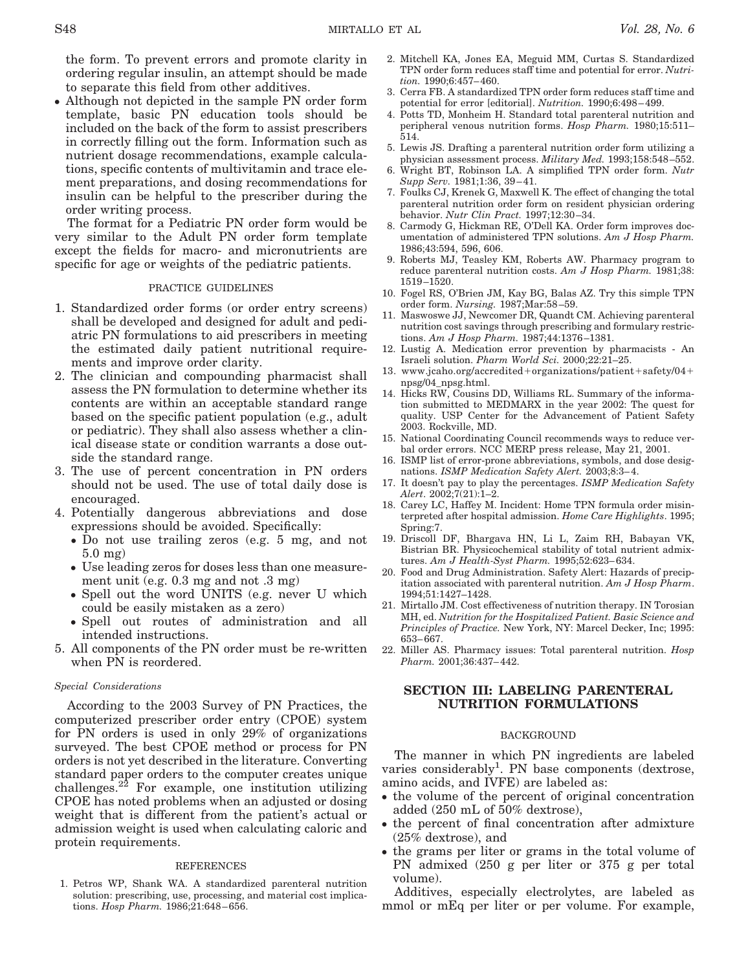the form. To prevent errors and promote clarity in ordering regular insulin, an attempt should be made to separate this field from other additives.

• Although not depicted in the sample PN order form template, basic PN education tools should be included on the back of the form to assist prescribers in correctly filling out the form. Information such as nutrient dosage recommendations, example calculations, specific contents of multivitamin and trace element preparations, and dosing recommendations for insulin can be helpful to the prescriber during the order writing process.

The format for a Pediatric PN order form would be very similar to the Adult PN order form template except the fields for macro- and micronutrients are specific for age or weights of the pediatric patients.

## PRACTICE GUIDELINES

- 1. Standardized order forms (or order entry screens) shall be developed and designed for adult and pediatric PN formulations to aid prescribers in meeting the estimated daily patient nutritional requirements and improve order clarity.
- 2. The clinician and compounding pharmacist shall assess the PN formulation to determine whether its contents are within an acceptable standard range based on the specific patient population (e.g., adult or pediatric). They shall also assess whether a clinical disease state or condition warrants a dose outside the standard range.
- 3. The use of percent concentration in PN orders should not be used. The use of total daily dose is encouraged.
- 4. Potentially dangerous abbreviations and dose expressions should be avoided. Specifically:
	- Do not use trailing zeros (e.g. 5 mg, and not 5.0 mg)
	- Use leading zeros for doses less than one measurement unit (e.g. 0.3 mg and not .3 mg)
	- Spell out the word UNITS (e.g. never U which could be easily mistaken as a zero)
	- Spell out routes of administration and all intended instructions.
- 5. All components of the PN order must be re-written when PN is reordered.

#### *Special Considerations*

According to the 2003 Survey of PN Practices, the computerized prescriber order entry (CPOE) system for PN orders is used in only 29% of organizations surveyed. The best CPOE method or process for PN orders is not yet described in the literature. Converting standard paper orders to the computer creates unique challenges.<sup>22</sup> For example, one institution utilizing CPOE has noted problems when an adjusted or dosing weight that is different from the patient's actual or admission weight is used when calculating caloric and protein requirements.

#### REFERENCES

1. Petros WP, Shank WA. A standardized parenteral nutrition solution: prescribing, use, processing, and material cost implications. *Hosp Pharm.* 1986;21:648 – 656.

- 2. Mitchell KA, Jones EA, Meguid MM, Curtas S. Standardized TPN order form reduces staff time and potential for error. *Nutrition.* 1990;6:457– 460.
- 3. Cerra FB. A standardized TPN order form reduces staff time and potential for error [editorial]. *Nutrition.* 1990;6:498 – 499.
- 4. Potts TD, Monheim H. Standard total parenteral nutrition and peripheral venous nutrition forms. *Hosp Pharm.* 1980;15:511– 514.
- 5. Lewis JS. Drafting a parenteral nutrition order form utilizing a physician assessment process. *Military Med.* 1993;158:548 –552.
- 6. Wright BT, Robinson LA. A simplified TPN order form. *Nutr Supp Serv.* 1981;1:36, 39 – 41.
- 7. Foulks CJ, Krenek G, Maxwell K. The effect of changing the total parenteral nutrition order form on resident physician ordering behavior. *Nutr Clin Pract.* 1997;12:30 –34.
- 8. Carmody G, Hickman RE, O'Dell KA. Order form improves documentation of administered TPN solutions. *Am J Hosp Pharm.* 1986;43:594, 596, 606.
- 9. Roberts MJ, Teasley KM, Roberts AW. Pharmacy program to reduce parenteral nutrition costs. *Am J Hosp Pharm.* 1981;38: 1519 –1520.
- 10. Fogel RS, O'Brien JM, Kay BG, Balas AZ. Try this simple TPN order form. *Nursing.* 1987;Mar:58 –59.
- 11. Maswoswe JJ, Newcomer DR, Quandt CM. Achieving parenteral nutrition cost savings through prescribing and formulary restrictions. *Am J Hosp Pharm.* 1987;44:1376 –1381.
- 12. Lustig A. Medication error prevention by pharmacists An Israeli solution. *Pharm World Sci.* 2000;22:21–25.
- 13. www.jcaho.org/accredited+organizations/patient+safety/04+ npsg/04\_npsg.html.
- 14. Hicks RW, Cousins DD, Williams RL. Summary of the information submitted to MEDMARX in the year 2002: The quest for quality. USP Center for the Advancement of Patient Safety 2003. Rockville, MD.
- 15. National Coordinating Council recommends ways to reduce verbal order errors. NCC MERP press release, May 21, 2001.
- 16. ISMP list of error-prone abbreviations, symbols, and dose designations. *ISMP Medication Safety Alert.* 2003;8:3– 4.
- 17. It doesn't pay to play the percentages. *ISMP Medication Safety Alert*. 2002;7(21):1–2.
- 18. Carey LC, Haffey M. Incident: Home TPN formula order misinterpreted after hospital admission. *Home Care Highlights*. 1995; Spring:7.
- 19. Driscoll DF, Bhargava HN, Li L, Zaim RH, Babayan VK, Bistrian BR. Physicochemical stability of total nutrient admixtures. *Am J Health-Syst Pharm.* 1995;52:623– 634.
- 20. Food and Drug Administration. Safety Alert: Hazards of precipitation associated with parenteral nutrition. *Am J Hosp Pharm*. 1994;51:1427–1428.
- 21. Mirtallo JM. Cost effectiveness of nutrition therapy. IN Torosian MH, ed. *Nutrition for the Hospitalized Patient. Basic Science and Principles of Practice.* New York, NY: Marcel Decker, Inc; 1995: 653– 667.
- 22. Miller AS. Pharmacy issues: Total parenteral nutrition. *Hosp Pharm.* 2001;36:437– 442.

## **SECTION III: LABELING PARENTERAL NUTRITION FORMULATIONS**

## BACKGROUND

The manner in which PN ingredients are labeled varies considerably<sup>1</sup>. PN base components (dextrose, amino acids, and IVFE) are labeled as:

- the volume of the percent of original concentration added (250 mL of 50% dextrose),
- the percent of final concentration after admixture (25% dextrose), and
- the grams per liter or grams in the total volume of PN admixed (250 g per liter or 375 g per total volume).

Additives, especially electrolytes, are labeled as mmol or mEq per liter or per volume. For example,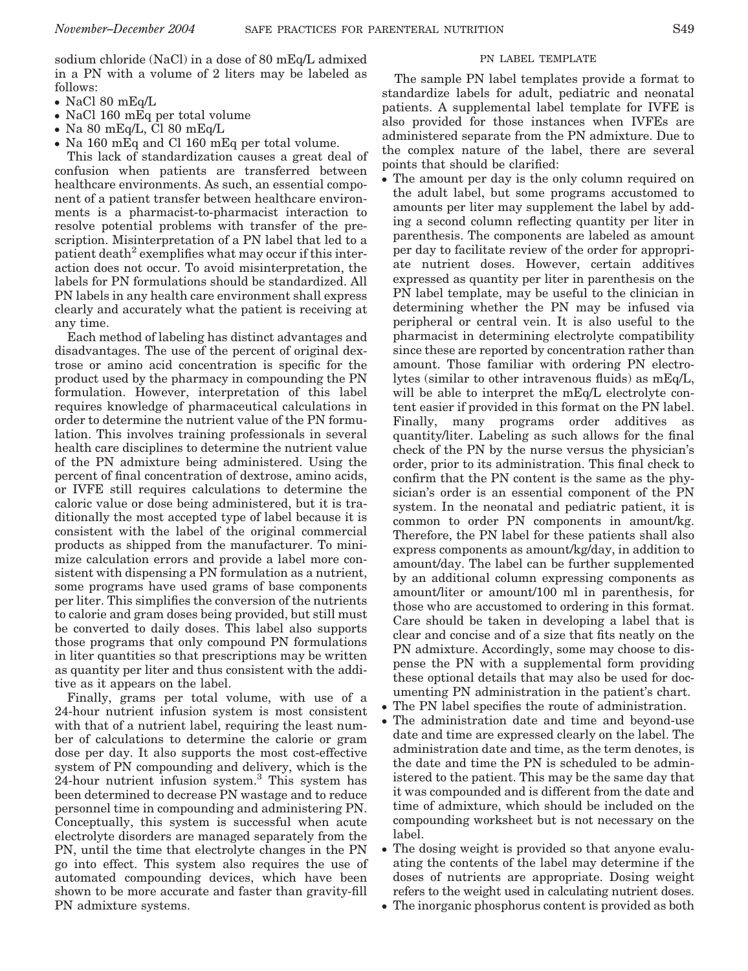sodium chloride (NaCl) in a dose of 80 mEq/L admixed in a PN with a volume of 2 liters may be labeled as follows:

- NaCl 80 mEq/ $L$
- NaCl 160 mEq per total volume
- Na 80 mEq/L, Cl 80 mEq/L
- Na 160 mEq and Cl 160 mEq per total volume.

This lack of standardization causes a great deal of confusion when patients are transferred between healthcare environments. As such, an essential component of a patient transfer between healthcare environments is a pharmacist-to-pharmacist interaction to resolve potential problems with transfer of the prescription. Misinterpretation of a PN label that led to a patient death<sup>2</sup> exemplifies what may occur if this interaction does not occur. To avoid misinterpretation, the labels for PN formulations should be standardized. All PN labels in any health care environment shall express clearly and accurately what the patient is receiving at any time.

Each method of labeling has distinct advantages and disadvantages. The use of the percent of original dextrose or amino acid concentration is specific for the product used by the pharmacy in compounding the PN formulation. However, interpretation of this label requires knowledge of pharmaceutical calculations in order to determine the nutrient value of the PN formulation. This involves training professionals in several health care disciplines to determine the nutrient value of the PN admixture being administered. Using the percent of final concentration of dextrose, amino acids, or IVFE still requires calculations to determine the caloric value or dose being administered, but it is traditionally the most accepted type of label because it is consistent with the label of the original commercial products as shipped from the manufacturer. To minimize calculation errors and provide a label more consistent with dispensing a PN formulation as a nutrient, some programs have used grams of base components per liter. This simplifies the conversion of the nutrients to calorie and gram doses being provided, but still must be converted to daily doses. This label also supports those programs that only compound PN formulations in liter quantities so that prescriptions may be written as quantity per liter and thus consistent with the additive as it appears on the label.

Finally, grams per total volume, with use of a 24-hour nutrient infusion system is most consistent with that of a nutrient label, requiring the least number of calculations to determine the calorie or gram dose per day. It also supports the most cost-effective system of PN compounding and delivery, which is the 24-hour nutrient infusion system.3 This system has been determined to decrease PN wastage and to reduce personnel time in compounding and administering PN. Conceptually, this system is successful when acute electrolyte disorders are managed separately from the PN, until the time that electrolyte changes in the PN go into effect. This system also requires the use of automated compounding devices, which have been shown to be more accurate and faster than gravity-fill PN admixture systems.

## PN LABEL TEMPLATE

The sample PN label templates provide a format to standardize labels for adult, pediatric and neonatal patients. A supplemental label template for IVFE is also provided for those instances when IVFEs are administered separate from the PN admixture. Due to the complex nature of the label, there are several points that should be clarified:

- The amount per day is the only column required on the adult label, but some programs accustomed to amounts per liter may supplement the label by adding a second column reflecting quantity per liter in parenthesis. The components are labeled as amount per day to facilitate review of the order for appropriate nutrient doses. However, certain additives expressed as quantity per liter in parenthesis on the PN label template, may be useful to the clinician in determining whether the PN may be infused via peripheral or central vein. It is also useful to the pharmacist in determining electrolyte compatibility since these are reported by concentration rather than amount. Those familiar with ordering PN electrolytes (similar to other intravenous fluids) as mEq/L, will be able to interpret the mEq/L electrolyte content easier if provided in this format on the PN label. Finally, many programs order additives as quantity/liter. Labeling as such allows for the final check of the PN by the nurse versus the physician's order, prior to its administration. This final check to confirm that the PN content is the same as the physician's order is an essential component of the PN system. In the neonatal and pediatric patient, it is common to order PN components in amount/kg. Therefore, the PN label for these patients shall also express components as amount/kg/day, in addition to amount/day. The label can be further supplemented by an additional column expressing components as amount/liter or amount/100 ml in parenthesis, for those who are accustomed to ordering in this format. Care should be taken in developing a label that is clear and concise and of a size that fits neatly on the PN admixture. Accordingly, some may choose to dispense the PN with a supplemental form providing these optional details that may also be used for documenting PN administration in the patient's chart.
- The PN label specifies the route of administration.
- The administration date and time and beyond-use date and time are expressed clearly on the label. The administration date and time, as the term denotes, is the date and time the PN is scheduled to be administered to the patient. This may be the same day that it was compounded and is different from the date and time of admixture, which should be included on the compounding worksheet but is not necessary on the label.
- The dosing weight is provided so that anyone evaluating the contents of the label may determine if the doses of nutrients are appropriate. Dosing weight refers to the weight used in calculating nutrient doses.
- The inorganic phosphorus content is provided as both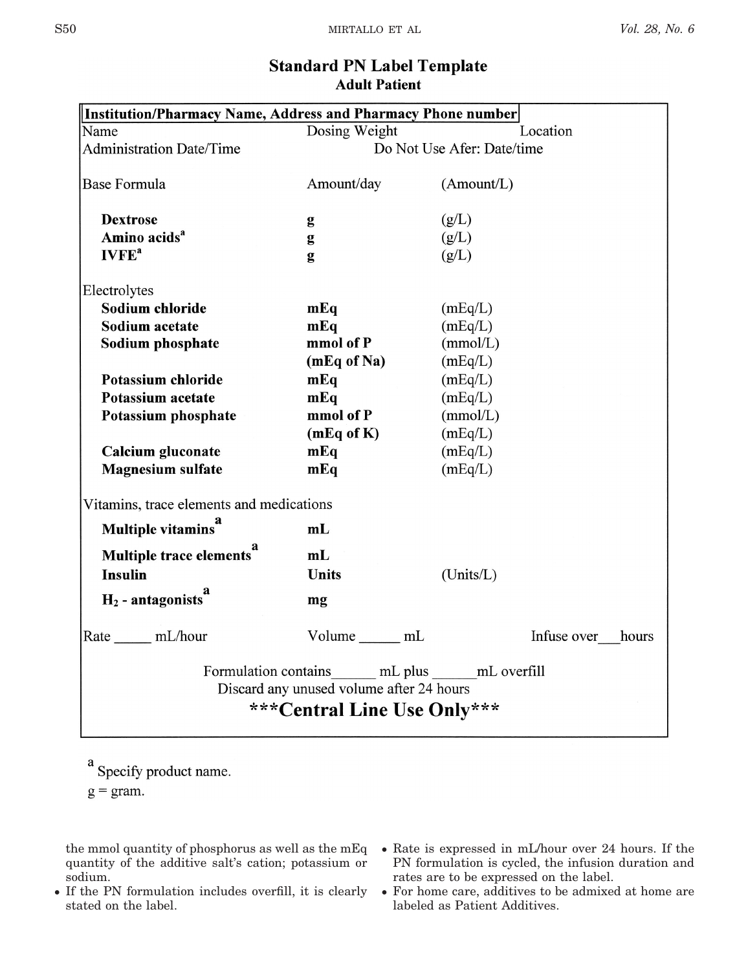| Institution/Pharmacy Name, Address and Pharmacy Phone number |                                                |                            |  |
|--------------------------------------------------------------|------------------------------------------------|----------------------------|--|
| Name                                                         | Dosing Weight                                  | Location                   |  |
| <b>Administration Date/Time</b>                              |                                                | Do Not Use Afer: Date/time |  |
|                                                              |                                                |                            |  |
| <b>Base Formula</b>                                          | Amount/day                                     | (Amount/L)                 |  |
|                                                              |                                                |                            |  |
| <b>Dextrose</b>                                              | g                                              | (g/L)                      |  |
| Amino acids <sup>a</sup>                                     | g                                              | (g/L)                      |  |
| <b>IVFE</b> <sup>a</sup>                                     | g                                              | (g/L)                      |  |
|                                                              |                                                |                            |  |
| Electrolytes                                                 |                                                |                            |  |
| Sodium chloride                                              | mEq                                            | (mEq/L)                    |  |
| Sodium acetate                                               | mEq                                            | (mEq/L)                    |  |
| Sodium phosphate                                             | mmol of P                                      | (mmol/L)                   |  |
|                                                              | (mEq of Na)                                    | (mEq/L)                    |  |
| Potassium chloride                                           | mEq                                            | (mEq/L)                    |  |
| Potassium acetate                                            | mEq                                            | (mEq/L)                    |  |
| Potassium phosphate                                          | mmol of P                                      | (mmol/L)                   |  |
|                                                              | (mEq of K)                                     | (mEq/L)                    |  |
| Calcium gluconate                                            | mEq                                            | (mEq/L)                    |  |
| <b>Magnesium sulfate</b>                                     | mEq                                            | (mEq/L)                    |  |
| Vitamins, trace elements and medications                     |                                                |                            |  |
| Multiple vitamins <sup>a</sup>                               | mL                                             |                            |  |
| Multiple trace elements <sup>a</sup>                         | m <sub>L</sub>                                 |                            |  |
| <b>Insulin</b>                                               | <b>Units</b>                                   | (Units/L)                  |  |
|                                                              |                                                |                            |  |
| $H_2$ - antagonists <sup>a</sup>                             | mg                                             |                            |  |
| Rate _____ mL/hour                                           | Volume mL                                      | Infuse over hours          |  |
|                                                              | Formulation contains 11 mL plus 11 mL overfill |                            |  |
|                                                              | Discard any unused volume after 24 hours       |                            |  |
| ***Central Line Use Only***                                  |                                                |                            |  |
|                                                              |                                                |                            |  |
|                                                              |                                                |                            |  |

## **Standard PN Label Template Adult Patient**

<sup>a</sup> Specify product name.

 $g = gram$ .

the mmol quantity of phosphorus as well as the mEq quantity of the additive salt's cation; potassium or sodium.

- If the PN formulation includes overfill, it is clearly stated on the label.
- $\bullet$  Rate is expressed in mL/hour over 24 hours. If the PN formulation is cycled, the infusion duration and rates are to be expressed on the label.
- For home care, additives to be admixed at home are labeled as Patient Additives.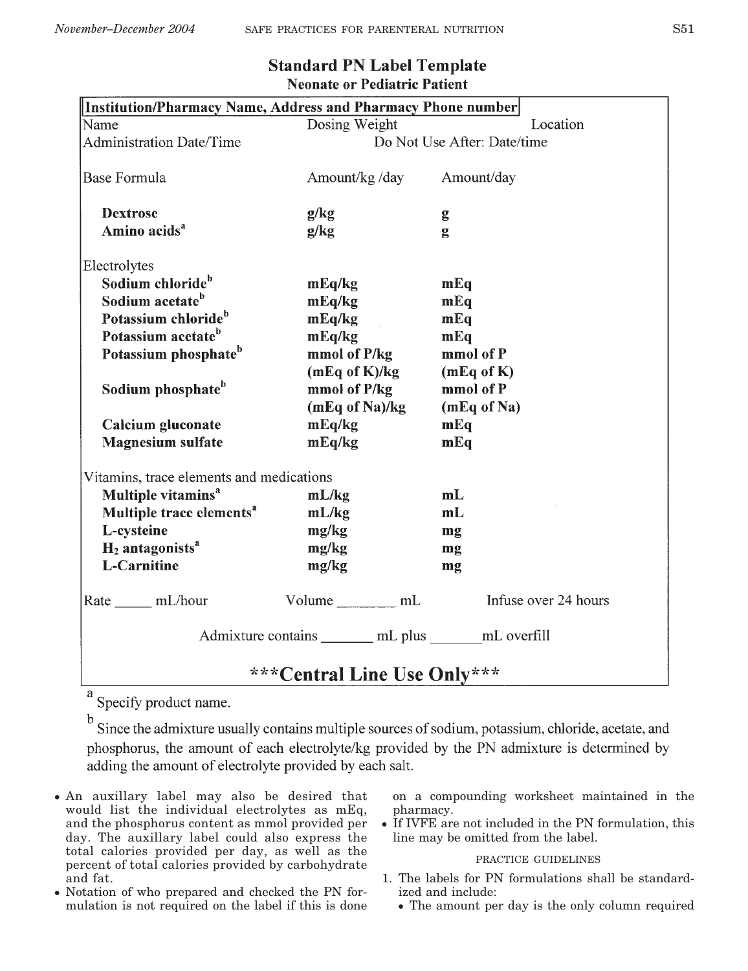| Institution/Pharmacy Name, Address and Pharmacy Phone number |                                                       |                             |  |
|--------------------------------------------------------------|-------------------------------------------------------|-----------------------------|--|
| Name                                                         | Dosing Weight                                         | Location                    |  |
| <b>Administration Date/Time</b>                              |                                                       | Do Not Use After: Date/time |  |
| <b>Base Formula</b>                                          | Amount/kg /day                                        | Amount/day                  |  |
| <b>Dextrose</b>                                              | g/kg                                                  | g                           |  |
| Amino acids <sup>a</sup>                                     | g/kg                                                  | g                           |  |
| Electrolytes                                                 |                                                       |                             |  |
| Sodium chloride <sup>b</sup>                                 | mEq/kg                                                | mEq                         |  |
| Sodium acetate <sup>b</sup>                                  | mEq/kg                                                | mEq                         |  |
| Potassium chloride <sup>b</sup>                              | mEq/kg                                                | mEq                         |  |
| Potassium acetate <sup>b</sup>                               | mEq/kg                                                | mEq                         |  |
| Potassium phosphate <sup>b</sup>                             | mmol of P/kg                                          | mmol of P                   |  |
|                                                              | (mEq of K)/kg                                         | (mEq of K)                  |  |
| Sodium phosphate <sup>b</sup>                                | mmol of P/kg                                          | mmol of P                   |  |
|                                                              | (mEq of Na)/kg                                        | (mEq of Na)                 |  |
| Calcium gluconate                                            | mEq/kg                                                | mEq                         |  |
| <b>Magnesium sulfate</b>                                     | mEq/kg                                                | mEq                         |  |
| Vitamins, trace elements and medications                     |                                                       |                             |  |
| Multiple vitamins <sup>a</sup>                               | mL/kg                                                 | m <sub>L</sub>              |  |
| Multiple trace elements <sup>a</sup>                         | mL/kg                                                 | m <sub>L</sub>              |  |
| L-cysteine                                                   | mg/kg                                                 | mg                          |  |
| $H_2$ antagonists <sup>a</sup>                               | mg/kg                                                 | mg                          |  |
| <b>L-Carnitine</b>                                           | mg/kg                                                 | mg                          |  |
| Rate ______ mL/hour                                          | Volume mL                                             | Infuse over 24 hours        |  |
|                                                              | Admixture contains _______ mL plus ______ mL overfill |                             |  |
|                                                              | ***Central Line Use Only***                           |                             |  |

## **Standard PN Label Template Neonate or Pediatric Patient**

<sup>a</sup> Specify product name.

b Since the admixture usually contains multiple sources of sodium, potassium, chloride, acetate, and phosphorus, the amount of each electrolyte/kg provided by the PN admixture is determined by adding the amount of electrolyte provided by each salt.

- An auxillary label may also be desired that would list the individual electrolytes as mEq, and the phosphorus content as mmol provided per day. The auxillary label could also express the total calories provided per day, as well as the percent of total calories provided by carbohydrate and fat.
- Notation of who prepared and checked the PN formulation is not required on the label if this is done

on a compounding worksheet maintained in the pharmacy.

• If IVFE are not included in the PN formulation, this line may be omitted from the label.

## PRACTICE GUIDELINES

- 1. The labels for PN formulations shall be standardized and include:
	- The amount per day is the only column required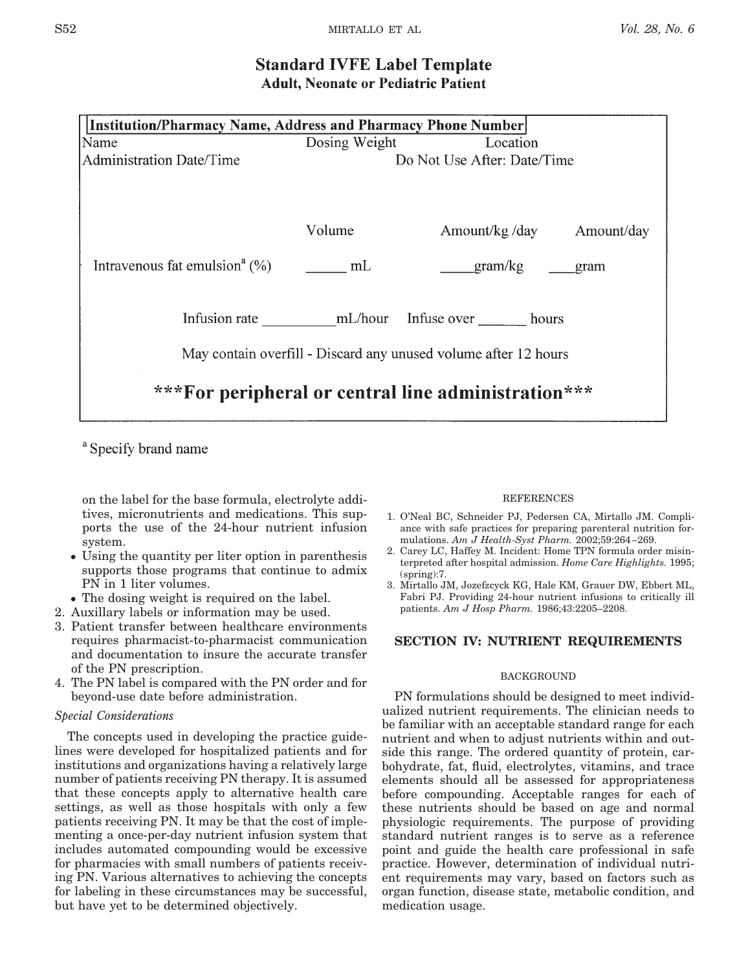## **Standard IVFE Label Template Adult, Neonate or Pediatric Patient**

| <b>Institution/Pharmacy Name, Address and Pharmacy Phone Number</b> |               |                                                                 |            |
|---------------------------------------------------------------------|---------------|-----------------------------------------------------------------|------------|
| Name                                                                | Dosing Weight | Location                                                        |            |
| <b>Administration Date/Time</b>                                     |               | Do Not Use After: Date/Time                                     |            |
|                                                                     | Volume        | Amount/kg/day                                                   | Amount/day |
| Intravenous fat emulsion <sup>a</sup> $(\%)$                        | <u>m</u> L    | gram/kg                                                         | gram       |
|                                                                     |               | Infusion rate mL/hour Infuse over hours                         |            |
|                                                                     |               | May contain overfill - Discard any unused volume after 12 hours |            |
| ***For peripheral or central line administration***                 |               |                                                                 |            |

<sup>a</sup> Specify brand name

on the label for the base formula, electrolyte additives, micronutrients and medications. This supports the use of the 24-hour nutrient infusion system.

- Using the quantity per liter option in parenthesis supports those programs that continue to admix PN in 1 liter volumes.
- The dosing weight is required on the label.
- 2. Auxillary labels or information may be used.
- 3. Patient transfer between healthcare environments requires pharmacist-to-pharmacist communication and documentation to insure the accurate transfer of the PN prescription.
- 4. The PN label is compared with the PN order and for beyond-use date before administration.

## *Special Considerations*

The concepts used in developing the practice guidelines were developed for hospitalized patients and for institutions and organizations having a relatively large number of patients receiving PN therapy. It is assumed that these concepts apply to alternative health care settings, as well as those hospitals with only a few patients receiving PN. It may be that the cost of implementing a once-per-day nutrient infusion system that includes automated compounding would be excessive for pharmacies with small numbers of patients receiving PN. Various alternatives to achieving the concepts for labeling in these circumstances may be successful, but have yet to be determined objectively.

#### REFERENCES

- 1. O'Neal BC, Schneider PJ, Pedersen CA, Mirtallo JM. Compliance with safe practices for preparing parenteral nutrition formulations. *Am J Health-Syst Pharm.* 2002;59:264 –269.
- 2. Carey LC, Haffey M. Incident: Home TPN formula order misinterpreted after hospital admission. *Home Care Highlights.* 1995; (spring):7.
- 3. Mirtallo JM, Jozefzcyck KG, Hale KM, Grauer DW, Ebbert ML, Fabri PJ. Providing 24-hour nutrient infusions to critically ill patients. *Am J Hosp Pharm.* 1986;43:2205–2208.

## **SECTION IV: NUTRIENT REQUIREMENTS**

## **BACKGROUND**

PN formulations should be designed to meet individualized nutrient requirements. The clinician needs to be familiar with an acceptable standard range for each nutrient and when to adjust nutrients within and outside this range. The ordered quantity of protein, carbohydrate, fat, fluid, electrolytes, vitamins, and trace elements should all be assessed for appropriateness before compounding. Acceptable ranges for each of these nutrients should be based on age and normal physiologic requirements. The purpose of providing standard nutrient ranges is to serve as a reference point and guide the health care professional in safe practice. However, determination of individual nutrient requirements may vary, based on factors such as organ function, disease state, metabolic condition, and medication usage.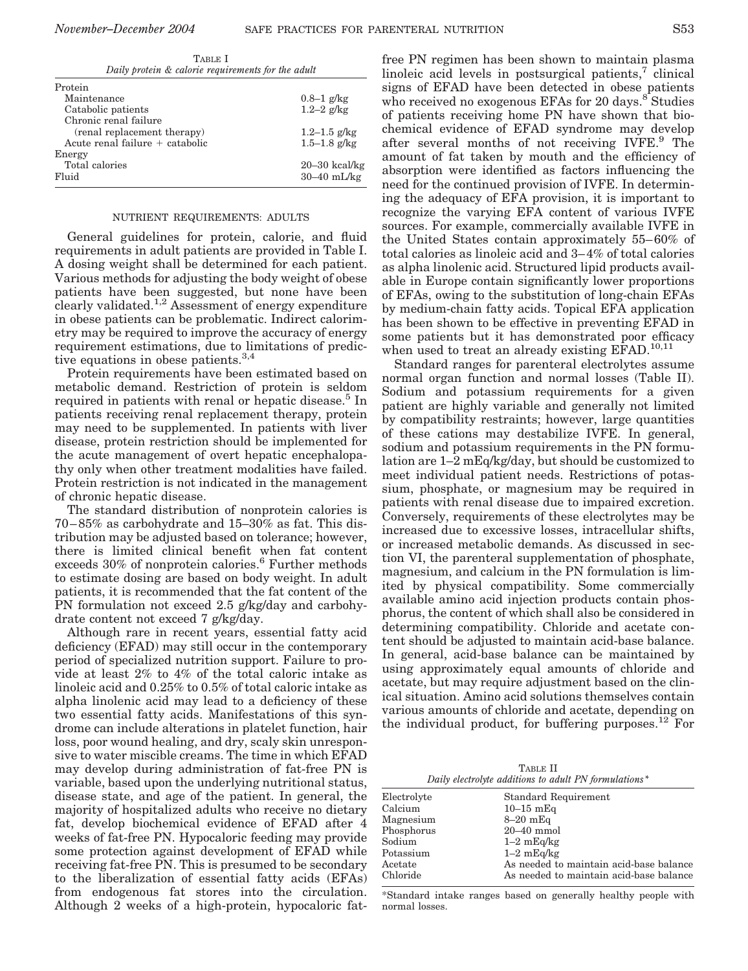| TABLE I<br>Daily protein & calorie requirements for the adult |                  |  |
|---------------------------------------------------------------|------------------|--|
| Protein                                                       |                  |  |
| Maintenance                                                   | $0.8 - 1$ g/kg   |  |
| Catabolic patients                                            | $1.2-2$ g/kg     |  |
| Chronic renal failure                                         |                  |  |
| (renal replacement therapy)                                   | $1.2 - 1.5$ g/kg |  |
| Acute renal failure $+$ catabolic                             | $1.5 - 1.8$ g/kg |  |
| Energy                                                        |                  |  |
| Total calories                                                | $20-30$ kcal/kg  |  |
| Fluid                                                         | $30-40$ mL/kg    |  |

#### NUTRIENT REQUIREMENTS: ADULTS

General guidelines for protein, calorie, and fluid requirements in adult patients are provided in Table I. A dosing weight shall be determined for each patient. Various methods for adjusting the body weight of obese patients have been suggested, but none have been clearly validated.<sup>1,2</sup> Assessment of energy expenditure in obese patients can be problematic. Indirect calorimetry may be required to improve the accuracy of energy requirement estimations, due to limitations of predictive equations in obese patients. $3,4$ 

Protein requirements have been estimated based on metabolic demand. Restriction of protein is seldom required in patients with renal or hepatic disease.<sup>5</sup> In patients receiving renal replacement therapy, protein may need to be supplemented. In patients with liver disease, protein restriction should be implemented for the acute management of overt hepatic encephalopathy only when other treatment modalities have failed. Protein restriction is not indicated in the management of chronic hepatic disease.

The standard distribution of nonprotein calories is 70 – 85% as carbohydrate and 15–30% as fat. This distribution may be adjusted based on tolerance; however, there is limited clinical benefit when fat content exceeds 30% of nonprotein calories.<sup>6</sup> Further methods to estimate dosing are based on body weight. In adult patients, it is recommended that the fat content of the PN formulation not exceed 2.5 g/kg/day and carbohydrate content not exceed 7 g/kg/day.

Although rare in recent years, essential fatty acid deficiency (EFAD) may still occur in the contemporary period of specialized nutrition support. Failure to provide at least 2% to 4% of the total caloric intake as linoleic acid and 0.25% to 0.5% of total caloric intake as alpha linolenic acid may lead to a deficiency of these two essential fatty acids. Manifestations of this syndrome can include alterations in platelet function, hair loss, poor wound healing, and dry, scaly skin unresponsive to water miscible creams. The time in which EFAD may develop during administration of fat-free PN is variable, based upon the underlying nutritional status, disease state, and age of the patient. In general, the majority of hospitalized adults who receive no dietary fat, develop biochemical evidence of EFAD after 4 weeks of fat-free PN. Hypocaloric feeding may provide some protection against development of EFAD while receiving fat-free PN. This is presumed to be secondary to the liberalization of essential fatty acids (EFAs) from endogenous fat stores into the circulation. Although 2 weeks of a high-protein, hypocaloric fatfree PN regimen has been shown to maintain plasma linoleic acid levels in postsurgical patients, $\alpha$  clinical signs of EFAD have been detected in obese patients who received no exogenous EFAs for 20 days.<sup>8</sup> Studies of patients receiving home PN have shown that biochemical evidence of EFAD syndrome may develop after several months of not receiving IVFE.<sup>9</sup> The amount of fat taken by mouth and the efficiency of absorption were identified as factors influencing the need for the continued provision of IVFE. In determining the adequacy of EFA provision, it is important to recognize the varying EFA content of various IVFE sources. For example, commercially available IVFE in the United States contain approximately 55– 60% of total calories as linoleic acid and 3– 4% of total calories as alpha linolenic acid. Structured lipid products available in Europe contain significantly lower proportions of EFAs, owing to the substitution of long-chain EFAs by medium-chain fatty acids. Topical EFA application has been shown to be effective in preventing EFAD in some patients but it has demonstrated poor efficacy when used to treat an already existing EFAD.<sup>10,11</sup>

Standard ranges for parenteral electrolytes assume normal organ function and normal losses (Table II). Sodium and potassium requirements for a given patient are highly variable and generally not limited by compatibility restraints; however, large quantities of these cations may destabilize IVFE. In general, sodium and potassium requirements in the PN formulation are 1–2 mEq/kg/day, but should be customized to meet individual patient needs. Restrictions of potassium, phosphate, or magnesium may be required in patients with renal disease due to impaired excretion. Conversely, requirements of these electrolytes may be increased due to excessive losses, intracellular shifts, or increased metabolic demands. As discussed in section VI, the parenteral supplementation of phosphate, magnesium, and calcium in the PN formulation is limited by physical compatibility. Some commercially available amino acid injection products contain phosphorus, the content of which shall also be considered in determining compatibility. Chloride and acetate content should be adjusted to maintain acid-base balance. In general, acid-base balance can be maintained by using approximately equal amounts of chloride and acetate, but may require adjustment based on the clinical situation. Amino acid solutions themselves contain various amounts of chloride and acetate, depending on the individual product, for buffering purposes.<sup>12</sup> For

TABLE II *Daily electrolyte additions to adult PN formulations\**

| Electrolyte      | Standard Requirement                    |
|------------------|-----------------------------------------|
| Calcium          | $10-15$ mEq                             |
| Magnesium        | $8-20$ mEq                              |
| Phosphorus       | $20-40$ mmol                            |
| Sodium           | $1-2$ mEq/kg                            |
| Potassium        | $1-2$ mEq/kg                            |
| Acetate          | As needed to maintain acid-base balance |
| ${\rm Chloride}$ | As needed to maintain acid-base balance |

\*Standard intake ranges based on generally healthy people with normal losses.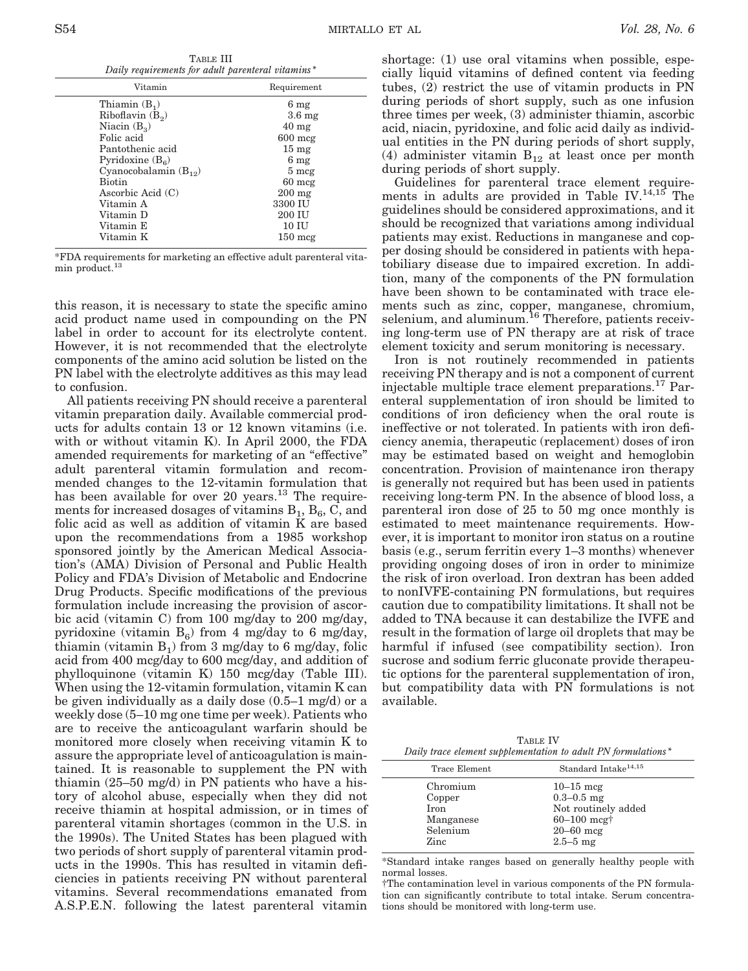TABLE III *Daily requirements for adult parenteral vitamins\**

| Vitamin                     | Requirement        |
|-----------------------------|--------------------|
| Thiamin $(B_1)$             | 6 <sub>mg</sub>    |
| Riboflavin(B <sub>2</sub> ) | $3.6 \text{ mg}$   |
| Niacin $(B_3)$              | $40 \text{ mg}$    |
| Folic acid                  | $600 \text{~mg}$   |
| Pantothenic acid            | $15 \,\mathrm{mg}$ |
| Pyridoxine $(B_{\kappa})$   | 6 <sub>mg</sub>    |
| Cyanocobalamin $(B_{12})$   | 5~meq              |
| <b>Biotin</b>               | $60 \text{ mg}$    |
| Ascorbic Acid (C)           | $200$ mg           |
| Vitamin A                   | 3300 IU            |
| Vitamin D                   | 200 IU             |
| Vitamin E                   | 10 IU              |
| Vitamin K                   | $150 \text{ mcg}$  |
|                             |                    |

\*FDA requirements for marketing an effective adult parenteral vitamin product.<sup>13</sup>

this reason, it is necessary to state the specific amino acid product name used in compounding on the PN label in order to account for its electrolyte content. However, it is not recommended that the electrolyte components of the amino acid solution be listed on the PN label with the electrolyte additives as this may lead to confusion.

All patients receiving PN should receive a parenteral vitamin preparation daily. Available commercial products for adults contain 13 or 12 known vitamins (i.e. with or without vitamin K). In April 2000, the FDA amended requirements for marketing of an "effective" adult parenteral vitamin formulation and recommended changes to the 12-vitamin formulation that has been available for over 20 years.<sup>13</sup> The requirements for increased dosages of vitamins  $B_1$ ,  $B_6$ , C, and folic acid as well as addition of vitamin K are based upon the recommendations from a 1985 workshop sponsored jointly by the American Medical Association's (AMA) Division of Personal and Public Health Policy and FDA's Division of Metabolic and Endocrine Drug Products. Specific modifications of the previous formulation include increasing the provision of ascorbic acid (vitamin C) from 100 mg/day to 200 mg/day, pyridoxine (vitamin  $B_6$ ) from 4 mg/day to 6 mg/day, thiamin (vitamin  $B_1$ ) from 3 mg/day to 6 mg/day, folic acid from 400 mcg/day to 600 mcg/day, and addition of phylloquinone (vitamin K) 150 mcg/day (Table III). When using the 12-vitamin formulation, vitamin K can be given individually as a daily dose (0.5–1 mg/d) or a weekly dose (5–10 mg one time per week). Patients who are to receive the anticoagulant warfarin should be monitored more closely when receiving vitamin K to assure the appropriate level of anticoagulation is maintained. It is reasonable to supplement the PN with thiamin (25–50 mg/d) in PN patients who have a history of alcohol abuse, especially when they did not receive thiamin at hospital admission, or in times of parenteral vitamin shortages (common in the U.S. in the 1990s). The United States has been plagued with two periods of short supply of parenteral vitamin products in the 1990s. This has resulted in vitamin deficiencies in patients receiving PN without parenteral vitamins. Several recommendations emanated from A.S.P.E.N. following the latest parenteral vitamin shortage: (1) use oral vitamins when possible, especially liquid vitamins of defined content via feeding tubes, (2) restrict the use of vitamin products in PN during periods of short supply, such as one infusion three times per week, (3) administer thiamin, ascorbic acid, niacin, pyridoxine, and folic acid daily as individual entities in the PN during periods of short supply, (4) administer vitamin  $B_{12}$  at least once per month during periods of short supply.

Guidelines for parenteral trace element requirements in adults are provided in Table IV. $^{14,15}$  The guidelines should be considered approximations, and it should be recognized that variations among individual patients may exist. Reductions in manganese and copper dosing should be considered in patients with hepatobiliary disease due to impaired excretion. In addition, many of the components of the PN formulation have been shown to be contaminated with trace elements such as zinc, copper, manganese, chromium, selenium, and aluminum.<sup>16</sup> Therefore, patients receiving long-term use of PN therapy are at risk of trace element toxicity and serum monitoring is necessary.

Iron is not routinely recommended in patients receiving PN therapy and is not a component of current injectable multiple trace element preparations.17 Parenteral supplementation of iron should be limited to conditions of iron deficiency when the oral route is ineffective or not tolerated. In patients with iron deficiency anemia, therapeutic (replacement) doses of iron may be estimated based on weight and hemoglobin concentration. Provision of maintenance iron therapy is generally not required but has been used in patients receiving long-term PN. In the absence of blood loss, a parenteral iron dose of 25 to 50 mg once monthly is estimated to meet maintenance requirements. However, it is important to monitor iron status on a routine basis (e.g., serum ferritin every 1–3 months) whenever providing ongoing doses of iron in order to minimize the risk of iron overload. Iron dextran has been added to nonIVFE-containing PN formulations, but requires caution due to compatibility limitations. It shall not be added to TNA because it can destabilize the IVFE and result in the formation of large oil droplets that may be harmful if infused (see compatibility section). Iron sucrose and sodium ferric gluconate provide therapeutic options for the parenteral supplementation of iron, but compatibility data with PN formulations is not available.

TABLE IV *Daily trace element supplementation to adult PN formulations\**

| Trace Element | Standard Intake <sup>14,15</sup> |
|---------------|----------------------------------|
| Chromium      | $10-15$ mcg                      |
| Copper        | $0.3 - 0.5$ mg                   |
| <b>Iron</b>   | Not routinely added              |
| Manganese     | $60 - 100$ mcg <sup>+</sup>      |
| Selenium      | $20 - 60$ mcg                    |
| Zinc          | $2.5 - 5$ mg                     |

\*Standard intake ranges based on generally healthy people with normal losses.

†The contamination level in various components of the PN formulation can significantly contribute to total intake. Serum concentrations should be monitored with long-term use.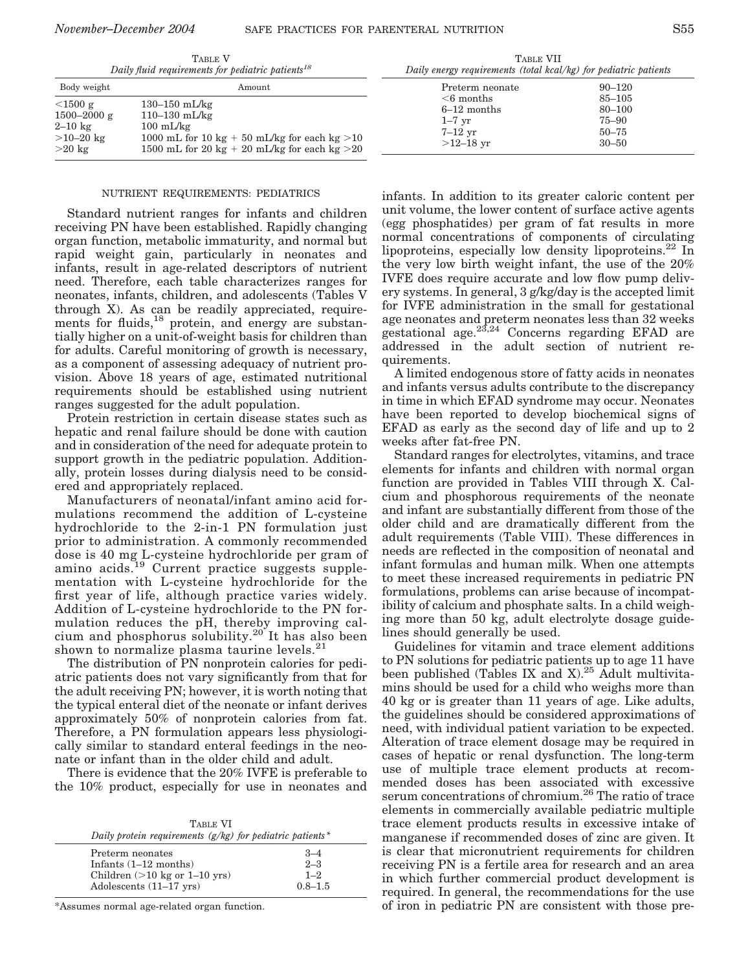TABLE V *Daily fluid requirements for pediatric patients18*

| Body weight     | Amount                                          |
|-----------------|-------------------------------------------------|
| $<$ 1500 g      | $130 - 150$ mL/kg                               |
| $1500 - 2000$ g | $110 - 130$ mL/kg                               |
| $2 - 10$ kg     | $100 \text{ mL/kg}$                             |
| $>10-20$ kg     | 1000 mL for 10 kg + 50 mL/kg for each kg $>10$  |
| $>20$ kg        | 1500 mL for 20 kg + 20 mL/kg for each kg $>$ 20 |

#### NUTRIENT REQUIREMENTS: PEDIATRICS

Standard nutrient ranges for infants and children receiving PN have been established. Rapidly changing organ function, metabolic immaturity, and normal but rapid weight gain, particularly in neonates and infants, result in age-related descriptors of nutrient need. Therefore, each table characterizes ranges for neonates, infants, children, and adolescents (Tables V through X). As can be readily appreciated, requirements for fluids,<sup>18</sup> protein, and energy are substantially higher on a unit-of-weight basis for children than for adults. Careful monitoring of growth is necessary, as a component of assessing adequacy of nutrient provision. Above 18 years of age, estimated nutritional requirements should be established using nutrient ranges suggested for the adult population.

Protein restriction in certain disease states such as hepatic and renal failure should be done with caution and in consideration of the need for adequate protein to support growth in the pediatric population. Additionally, protein losses during dialysis need to be considered and appropriately replaced.

Manufacturers of neonatal/infant amino acid formulations recommend the addition of L-cysteine hydrochloride to the 2-in-1 PN formulation just prior to administration. A commonly recommended dose is 40 mg L-cysteine hydrochloride per gram of amino acids.<sup>19</sup> Current practice suggests supplementation with L-cysteine hydrochloride for the first year of life, although practice varies widely. Addition of L-cysteine hydrochloride to the PN formulation reduces the pH, thereby improving calcium and phosphorus solubility.<sup>20</sup> It has also been shown to normalize plasma taurine levels.<sup>21</sup>

The distribution of PN nonprotein calories for pediatric patients does not vary significantly from that for the adult receiving PN; however, it is worth noting that the typical enteral diet of the neonate or infant derives approximately 50% of nonprotein calories from fat. Therefore, a PN formulation appears less physiologically similar to standard enteral feedings in the neonate or infant than in the older child and adult.

There is evidence that the 20% IVFE is preferable to the 10% product, especially for use in neonates and

TABLE VI

| Daily protein requirements $(g/kg)$ for pediatric patients <sup>*</sup>                         |                               |
|-------------------------------------------------------------------------------------------------|-------------------------------|
| Preterm neonates<br>Infants $(1-12$ months)<br>Children $(>10 \text{ kg or } 1-10 \text{ yrs})$ | $3 - 4$<br>$2 - 3$<br>$1 - 2$ |
| Adolescents $(11-17 \text{ yrs})$                                                               | $0.8 - 1.5$                   |

\*Assumes normal age-related organ function.

TABLE VII *Daily energy requirements (total kcal/kg) for pediatric patients*

| Duny chergy requirements (total way vg) for peaturite pattents |            |
|----------------------------------------------------------------|------------|
| Preterm neonate                                                | $90 - 120$ |
| $<$ 6 months                                                   | $85 - 105$ |
| $6-12$ months                                                  | $80 - 100$ |
| $1-7$ yr                                                       | $75 - 90$  |
| $7-12$ yr                                                      | $50 - 75$  |
| $>12-18$ yr                                                    | $30 - 50$  |
|                                                                |            |

infants. In addition to its greater caloric content per unit volume, the lower content of surface active agents (egg phosphatides) per gram of fat results in more normal concentrations of components of circulating lipoproteins, especially low density lipoproteins.22 In the very low birth weight infant, the use of the 20% IVFE does require accurate and low flow pump delivery systems. In general, 3 g/kg/day is the accepted limit for IVFE administration in the small for gestational age neonates and preterm neonates less than 32 weeks gestational age.<sup>23,24</sup> Concerns regarding EFAD are addressed in the adult section of nutrient requirements.

A limited endogenous store of fatty acids in neonates and infants versus adults contribute to the discrepancy in time in which EFAD syndrome may occur. Neonates have been reported to develop biochemical signs of EFAD as early as the second day of life and up to 2 weeks after fat-free PN.

Standard ranges for electrolytes, vitamins, and trace elements for infants and children with normal organ function are provided in Tables VIII through X. Calcium and phosphorous requirements of the neonate and infant are substantially different from those of the older child and are dramatically different from the adult requirements (Table VIII). These differences in needs are reflected in the composition of neonatal and infant formulas and human milk. When one attempts to meet these increased requirements in pediatric PN formulations, problems can arise because of incompatibility of calcium and phosphate salts. In a child weighing more than 50 kg, adult electrolyte dosage guidelines should generally be used.

Guidelines for vitamin and trace element additions to PN solutions for pediatric patients up to age 11 have been published (Tables IX and X).<sup>25</sup> Adult multivitamins should be used for a child who weighs more than 40 kg or is greater than 11 years of age. Like adults, the guidelines should be considered approximations of need, with individual patient variation to be expected. Alteration of trace element dosage may be required in cases of hepatic or renal dysfunction. The long-term use of multiple trace element products at recommended doses has been associated with excessive serum concentrations of chromium.26 The ratio of trace elements in commercially available pediatric multiple trace element products results in excessive intake of manganese if recommended doses of zinc are given. It is clear that micronutrient requirements for children receiving PN is a fertile area for research and an area in which further commercial product development is required. In general, the recommendations for the use of iron in pediatric PN are consistent with those pre-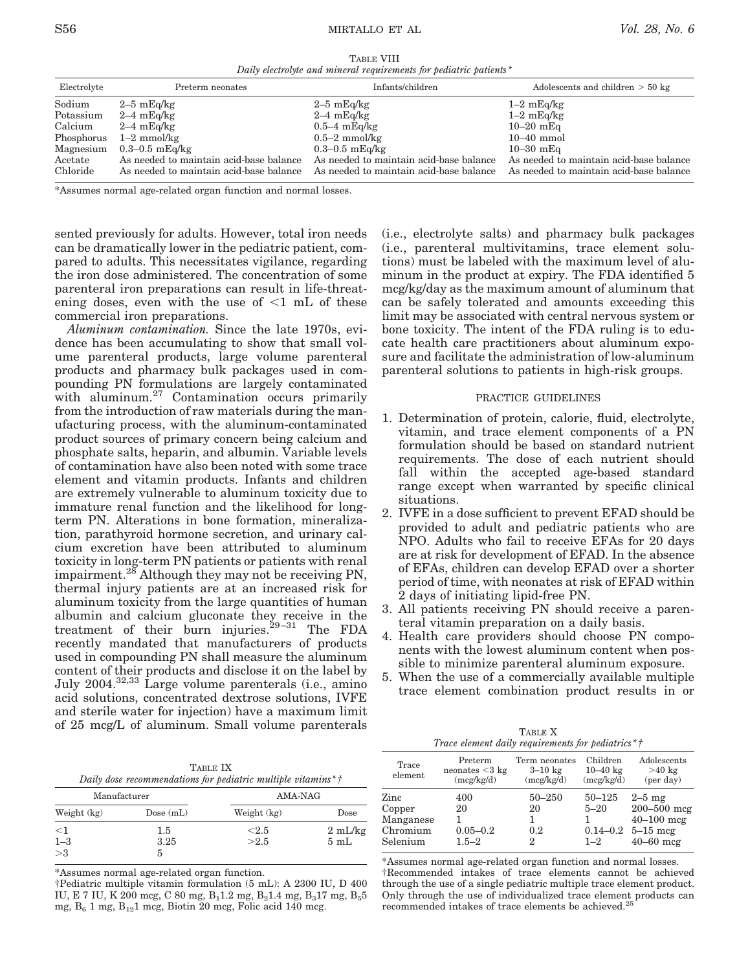| TABLE VIII                                                         |  |
|--------------------------------------------------------------------|--|
| Daily electrolyte and mineral requirements for pediatric patients* |  |

| Electrolyte | Preterm neonates                        | Infants/children                        | Adolescents and children $>$ 50 kg      |
|-------------|-----------------------------------------|-----------------------------------------|-----------------------------------------|
| Sodium      | $2-5$ mEq/kg                            | $2-5$ mEq/kg                            | $1-2 \text{ mEq/kg}$                    |
| Potassium   | $2-4$ mEq/kg                            | $2-4$ mEq/kg                            | $1-2$ mEq/kg                            |
| Calcium     | $2-4$ mEq/kg                            | $0.5-4$ mEq/kg                          | $10-20$ mEq                             |
| Phosphorus  | $1-2$ mmol/kg                           | $0.5-2$ mmol/kg                         | $10-40$ mmol                            |
| Magnesium   | $0.3 - 0.5$ mEq/kg                      | $0.3 - 0.5$ mEq/kg                      | $10-30$ mEq                             |
| Acetate     | As needed to maintain acid-base balance | As needed to maintain acid-base balance | As needed to maintain acid-base balance |
| Chloride    | As needed to maintain acid-base balance | As needed to maintain acid-base balance | As needed to maintain acid-base balance |

\*Assumes normal age-related organ function and normal losses.

sented previously for adults. However, total iron needs can be dramatically lower in the pediatric patient, compared to adults. This necessitates vigilance, regarding the iron dose administered. The concentration of some parenteral iron preparations can result in life-threatening doses, even with the use of  $\leq 1$  mL of these commercial iron preparations.

*Aluminum contamination.* Since the late 1970s, evidence has been accumulating to show that small volume parenteral products, large volume parenteral products and pharmacy bulk packages used in compounding PN formulations are largely contaminated with aluminum.<sup>27</sup> Contamination occurs primarily from the introduction of raw materials during the manufacturing process, with the aluminum-contaminated product sources of primary concern being calcium and phosphate salts, heparin, and albumin. Variable levels of contamination have also been noted with some trace element and vitamin products. Infants and children are extremely vulnerable to aluminum toxicity due to immature renal function and the likelihood for longterm PN. Alterations in bone formation, mineralization, parathyroid hormone secretion, and urinary calcium excretion have been attributed to aluminum toxicity in long-term PN patients or patients with renal impairment.<sup>28</sup> Although they may not be receiving PN, thermal injury patients are at an increased risk for aluminum toxicity from the large quantities of human albumin and calcium gluconate they receive in the treatment of their burn injuries.<sup>29-31</sup> The FDA recently mandated that manufacturers of products used in compounding PN shall measure the aluminum content of their products and disclose it on the label by July 2004.32,33 Large volume parenterals (i.e., amino acid solutions, concentrated dextrose solutions, IVFE and sterile water for injection) have a maximum limit of 25 mcg/L of aluminum. Small volume parenterals

TABLE IX *Daily dose recommendations for pediatric multiple vitamins\*†*

| Manufacturer                                     |             | AMA-NAG     |                   |
|--------------------------------------------------|-------------|-------------|-------------------|
| Weight $(kg)$                                    | Dose $(mL)$ | Weight (kg) | Dose              |
| $<$ 1                                            | $1.5\,$     | $2.5$       | $2 \text{ mL/kg}$ |
| $\begin{array}{c} 1\text{--}3 \\ >3 \end{array}$ | 3.25        | >2.5        | 5mL               |
|                                                  | ÷.          |             |                   |

\*Assumes normal age-related organ function.

†Pediatric multiple vitamin formulation (5 mL): A 2300 IU, D 400 IU, E 7 IU, K 200 mcg, C 80 mg, B<sub>1</sub>1.2 mg, B<sub>2</sub>1.4 mg, B<sub>3</sub>17 mg, B<sub>5</sub>5 mg,  $B_6$  1 mg,  $B_{12}$ 1 mcg, Biotin 20 mcg, Folic acid 140 mcg.

(i.e., electrolyte salts) and pharmacy bulk packages (i.e., parenteral multivitamins, trace element solutions) must be labeled with the maximum level of aluminum in the product at expiry. The FDA identified 5 mcg/kg/day as the maximum amount of aluminum that can be safely tolerated and amounts exceeding this limit may be associated with central nervous system or bone toxicity. The intent of the FDA ruling is to educate health care practitioners about aluminum exposure and facilitate the administration of low-aluminum parenteral solutions to patients in high-risk groups.

#### PRACTICE GUIDELINES

- 1. Determination of protein, calorie, fluid, electrolyte, vitamin, and trace element components of a PN formulation should be based on standard nutrient requirements. The dose of each nutrient should fall within the accepted age-based standard range except when warranted by specific clinical situations.
- 2. IVFE in a dose sufficient to prevent EFAD should be provided to adult and pediatric patients who are NPO. Adults who fail to receive EFAs for 20 days are at risk for development of EFAD. In the absence of EFAs, children can develop EFAD over a shorter period of time, with neonates at risk of EFAD within 2 days of initiating lipid-free PN.
- 3. All patients receiving PN should receive a parenteral vitamin preparation on a daily basis.
- 4. Health care providers should choose PN components with the lowest aluminum content when possible to minimize parenteral aluminum exposure.
- 5. When the use of a commercially available multiple trace element combination product results in or

|                                                     | TABLE X |  |
|-----------------------------------------------------|---------|--|
| Trace element daily requirements for pediatrics * † |         |  |

| Trace<br>element                                    | Preterm<br>neonates $<$ 3 kg<br>(mcg/kg/d) | Term neonates<br>$3-10$ kg<br>(mcg/kg/d)  | Children<br>$10 - 40$ kg<br>(mcg/kg/d) | Adolescents<br>$>40$ kg<br>$(\text{per day})$                                             |
|-----------------------------------------------------|--------------------------------------------|-------------------------------------------|----------------------------------------|-------------------------------------------------------------------------------------------|
| Zinc<br>Copper<br>Manganese<br>Chromium<br>Selenium | 400<br>20<br>$0.05 - 0.2$<br>$1.5 - 2$     | $50 - 250$<br>20<br>0.2 <sub>1</sub><br>2 | $50 - 125$<br>$5 - 20$<br>$1 - 2$      | $2-5$ mg<br>$200 - 500$ mcg<br>$40 - 100$ mcg<br>$0.14 - 0.2$ 5 - 15 mcg<br>$40 - 60$ mcg |

\*Assumes normal age-related organ function and normal losses. †Recommended intakes of trace elements cannot be achieved through the use of a single pediatric multiple trace element product. Only through the use of individualized trace element products can recommended intakes of trace elements be achieved.<sup>25</sup>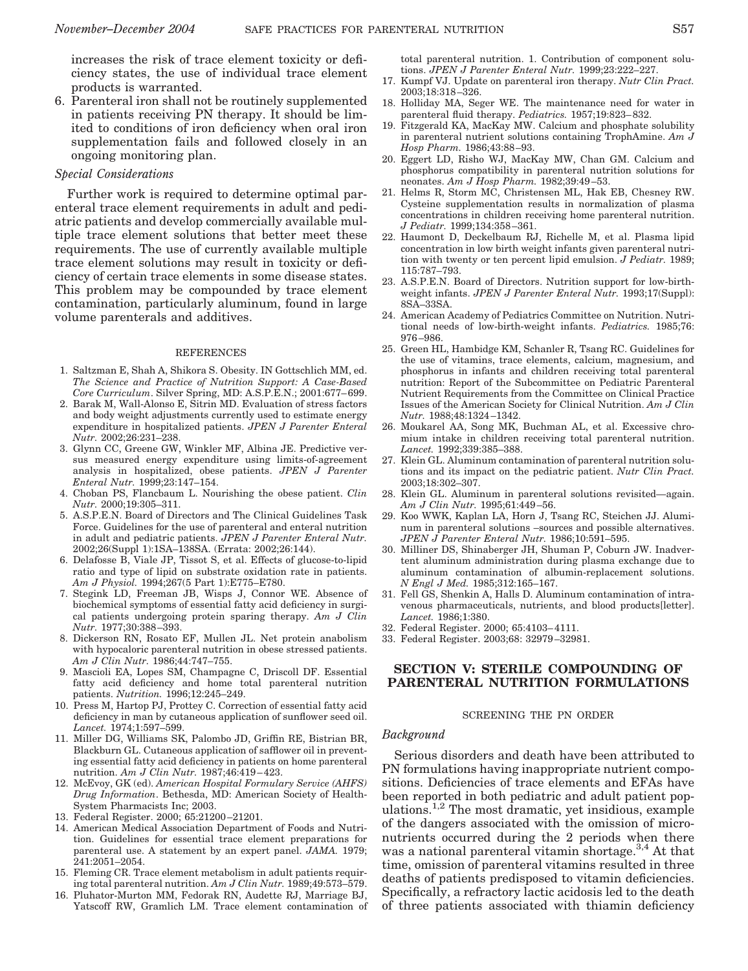increases the risk of trace element toxicity or deficiency states, the use of individual trace element products is warranted.

6. Parenteral iron shall not be routinely supplemented in patients receiving PN therapy. It should be limited to conditions of iron deficiency when oral iron supplementation fails and followed closely in an ongoing monitoring plan.

## *Special Considerations*

Further work is required to determine optimal parenteral trace element requirements in adult and pediatric patients and develop commercially available multiple trace element solutions that better meet these requirements. The use of currently available multiple trace element solutions may result in toxicity or deficiency of certain trace elements in some disease states. This problem may be compounded by trace element contamination, particularly aluminum, found in large volume parenterals and additives.

#### REFERENCES

- 1. Saltzman E, Shah A, Shikora S. Obesity. IN Gottschlich MM, ed. *The Science and Practice of Nutrition Support: A Case-Based Core Curriculum*. Silver Spring, MD: A.S.P.E.N.; 2001:677– 699.
- 2. Barak M, Wall-Alonso E, Sitrin MD. Evaluation of stress factors and body weight adjustments currently used to estimate energy expenditure in hospitalized patients. *JPEN J Parenter Enteral Nutr.* 2002;26:231–238.
- 3. Glynn CC, Greene GW, Winkler MF, Albina JE. Predictive versus measured energy expenditure using limits-of-agreement analysis in hospitalized, obese patients. *JPEN J Parenter Enteral Nutr.* 1999;23:147–154.
- 4. Choban PS, Flancbaum L. Nourishing the obese patient. *Clin Nutr.* 2000;19:305–311.
- 5. A.S.P.E.N. Board of Directors and The Clinical Guidelines Task Force. Guidelines for the use of parenteral and enteral nutrition in adult and pediatric patients. *JPEN J Parenter Enteral Nutr.* 2002;26(Suppl 1):1SA–138SA. (Errata: 2002;26:144).
- 6. Delafosse B, Viale JP, Tissot S, et al. Effects of glucose-to-lipid ratio and type of lipid on substrate oxidation rate in patients. *Am J Physiol.* 1994;267(5 Part 1):E775–E780.
- 7. Stegink LD, Freeman JB, Wisps J, Connor WE. Absence of biochemical symptoms of essential fatty acid deficiency in surgical patients undergoing protein sparing therapy. *Am J Clin Nutr.* 1977;30:388 –393.
- 8. Dickerson RN, Rosato EF, Mullen JL. Net protein anabolism with hypocaloric parenteral nutrition in obese stressed patients. *Am J Clin Nutr.* 1986;44:747–755.
- 9. Mascioli EA, Lopes SM, Champagne C, Driscoll DF. Essential fatty acid deficiency and home total parenteral nutrition patients. *Nutrition.* 1996;12:245–249.
- 10. Press M, Hartop PJ, Prottey C. Correction of essential fatty acid deficiency in man by cutaneous application of sunflower seed oil. *Lancet.* 1974;1:597–599.
- 11. Miller DG, Williams SK, Palombo JD, Griffin RE, Bistrian BR, Blackburn GL. Cutaneous application of safflower oil in preventing essential fatty acid deficiency in patients on home parenteral nutrition. *Am J Clin Nutr.* 1987;46:419 – 423.
- 12. McEvoy, GK (ed). *American Hospital Formulary Service (AHFS) Drug Information*. Bethesda, MD: American Society of Health-System Pharmacists Inc; 2003.
- 13. Federal Register. 2000; 65:21200 –21201.
- 14. American Medical Association Department of Foods and Nutrition. Guidelines for essential trace element preparations for parenteral use. A statement by an expert panel. *JAMA.* 1979; 241:2051–2054.
- 15. Fleming CR. Trace element metabolism in adult patients requiring total parenteral nutrition. *Am J Clin Nutr.* 1989;49:573–579.
- 16. Pluhator-Murton MM, Fedorak RN, Audette RJ, Marriage BJ, Yatscoff RW, Gramlich LM. Trace element contamination of

total parenteral nutrition. 1. Contribution of component solutions. *JPEN J Parenter Enteral Nutr.* 1999;23:222–227.

- 17. Kumpf VJ. Update on parenteral iron therapy. *Nutr Clin Pract.* 2003;18:318 –326.
- 18. Holliday MA, Seger WE. The maintenance need for water in parenteral fluid therapy. *Pediatrics.* 1957;19:823– 832.
- 19. Fitzgerald KA, MacKay MW. Calcium and phosphate solubility in parenteral nutrient solutions containing TrophAmine. *Am J Hosp Pharm.* 1986;43:88 –93.
- 20. Eggert LD, Risho WJ, MacKay MW, Chan GM. Calcium and phosphorus compatibility in parenteral nutrition solutions for neonates. *Am J Hosp Pharm.* 1982;39:49 –53.
- 21. Helms R, Storm MC, Christensen ML, Hak EB, Chesney RW. Cysteine supplementation results in normalization of plasma concentrations in children receiving home parenteral nutrition. *J Pediatr.* 1999;134:358 –361.
- 22. Haumont D, Deckelbaum RJ, Richelle M, et al. Plasma lipid concentration in low birth weight infants given parenteral nutrition with twenty or ten percent lipid emulsion. *J Pediatr.* 1989; 115:787–793.
- 23. A.S.P.E.N. Board of Directors. Nutrition support for low-birthweight infants. *JPEN J Parenter Enteral Nutr.* 1993;17(Suppl): 8SA–33SA.
- 24. American Academy of Pediatrics Committee on Nutrition. Nutritional needs of low-birth-weight infants. *Pediatrics.* 1985;76: 976 –986.
- 25. Green HL, Hambidge KM, Schanler R, Tsang RC. Guidelines for the use of vitamins, trace elements, calcium, magnesium, and phosphorus in infants and children receiving total parenteral nutrition: Report of the Subcommittee on Pediatric Parenteral Nutrient Requirements from the Committee on Clinical Practice Issues of the American Society for Clinical Nutrition. *Am J Clin Nutr.* 1988;48:1324 –1342.
- 26. Moukarel AA, Song MK, Buchman AL, et al. Excessive chromium intake in children receiving total parenteral nutrition. *Lancet.* 1992;339:385–388.
- 27. Klein GL. Aluminum contamination of parenteral nutrition solutions and its impact on the pediatric patient. *Nutr Clin Pract.* 2003;18:302–307.
- 28. Klein GL. Aluminum in parenteral solutions revisited—again. *Am J Clin Nutr.* 1995;61:449 –56.
- 29. Koo WWK, Kaplan LA, Horn J, Tsang RC, Steichen JJ. Aluminum in parenteral solutions –sources and possible alternatives. *JPEN J Parenter Enteral Nutr.* 1986;10:591–595.
- 30. Milliner DS, Shinaberger JH, Shuman P, Coburn JW. Inadvertent aluminum administration during plasma exchange due to aluminum contamination of albumin-replacement solutions. *N Engl J Med.* 1985;312:165–167.
- 31. Fell GS, Shenkin A, Halls D. Aluminum contamination of intravenous pharmaceuticals, nutrients, and blood products[letter]. *Lancet.* 1986;1:380.
- 32. Federal Register. 2000; 65:4103– 4111.
- 33. Federal Register. 2003;68: 32979 –32981.

## **SECTION V: STERILE COMPOUNDING OF PARENTERAL NUTRITION FORMULATIONS**

#### SCREENING THE PN ORDER

#### *Background*

Serious disorders and death have been attributed to PN formulations having inappropriate nutrient compositions. Deficiencies of trace elements and EFAs have been reported in both pediatric and adult patient populations.1,2 The most dramatic, yet insidious, example of the dangers associated with the omission of micronutrients occurred during the 2 periods when there was a national parenteral vitamin shortage.<sup>3,4</sup> At that time, omission of parenteral vitamins resulted in three deaths of patients predisposed to vitamin deficiencies. Specifically, a refractory lactic acidosis led to the death of three patients associated with thiamin deficiency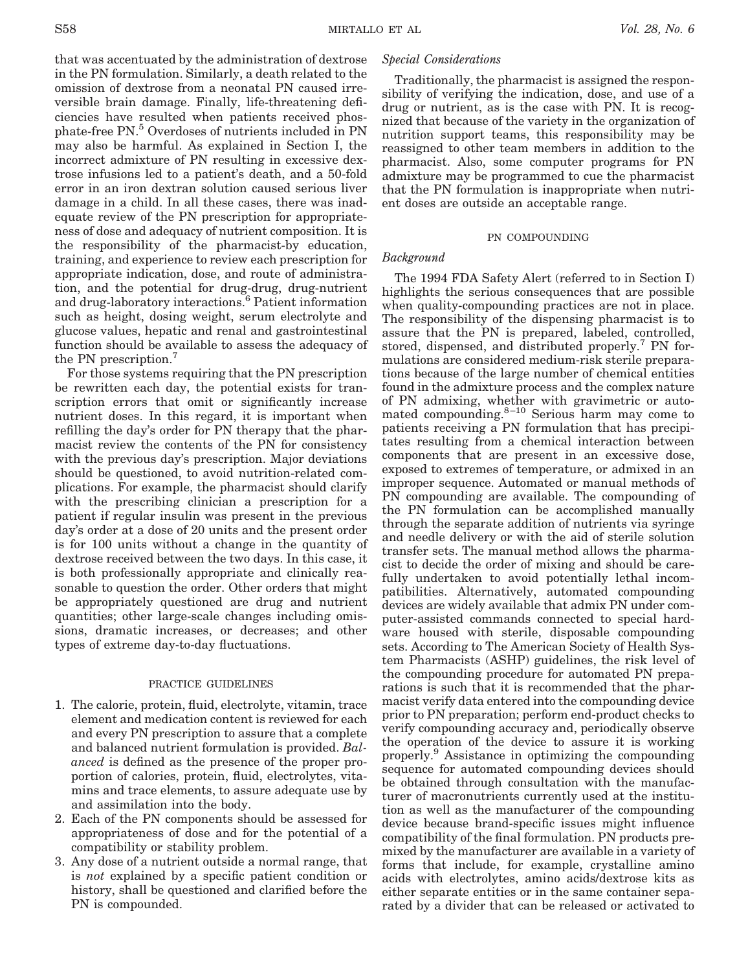that was accentuated by the administration of dextrose in the PN formulation. Similarly, a death related to the omission of dextrose from a neonatal PN caused irreversible brain damage. Finally, life-threatening deficiencies have resulted when patients received phosphate-free PN.5 Overdoses of nutrients included in PN may also be harmful. As explained in Section I, the incorrect admixture of PN resulting in excessive dextrose infusions led to a patient's death, and a 50-fold error in an iron dextran solution caused serious liver damage in a child. In all these cases, there was inadequate review of the PN prescription for appropriateness of dose and adequacy of nutrient composition. It is the responsibility of the pharmacist-by education, training, and experience to review each prescription for appropriate indication, dose, and route of administration, and the potential for drug-drug, drug-nutrient and drug-laboratory interactions.<sup>6</sup> Patient information such as height, dosing weight, serum electrolyte and glucose values, hepatic and renal and gastrointestinal function should be available to assess the adequacy of the PN prescription.<sup>7</sup>

For those systems requiring that the PN prescription be rewritten each day, the potential exists for transcription errors that omit or significantly increase nutrient doses. In this regard, it is important when refilling the day's order for PN therapy that the pharmacist review the contents of the PN for consistency with the previous day's prescription. Major deviations should be questioned, to avoid nutrition-related complications. For example, the pharmacist should clarify with the prescribing clinician a prescription for a patient if regular insulin was present in the previous day's order at a dose of 20 units and the present order is for 100 units without a change in the quantity of dextrose received between the two days. In this case, it is both professionally appropriate and clinically reasonable to question the order. Other orders that might be appropriately questioned are drug and nutrient quantities; other large-scale changes including omissions, dramatic increases, or decreases; and other types of extreme day-to-day fluctuations.

#### PRACTICE GUIDELINES

- 1. The calorie, protein, fluid, electrolyte, vitamin, trace element and medication content is reviewed for each and every PN prescription to assure that a complete and balanced nutrient formulation is provided. *Balanced* is defined as the presence of the proper proportion of calories, protein, fluid, electrolytes, vitamins and trace elements, to assure adequate use by and assimilation into the body.
- 2. Each of the PN components should be assessed for appropriateness of dose and for the potential of a compatibility or stability problem.
- 3. Any dose of a nutrient outside a normal range, that is *not* explained by a specific patient condition or history, shall be questioned and clarified before the PN is compounded.

## *Special Considerations*

Traditionally, the pharmacist is assigned the responsibility of verifying the indication, dose, and use of a drug or nutrient, as is the case with PN. It is recognized that because of the variety in the organization of nutrition support teams, this responsibility may be reassigned to other team members in addition to the pharmacist. Also, some computer programs for PN admixture may be programmed to cue the pharmacist that the PN formulation is inappropriate when nutrient doses are outside an acceptable range.

## PN COMPOUNDING

#### *Background*

The 1994 FDA Safety Alert (referred to in Section I) highlights the serious consequences that are possible when quality-compounding practices are not in place. The responsibility of the dispensing pharmacist is to assure that the PN is prepared, labeled, controlled, stored, dispensed, and distributed properly.<sup>7</sup> PN formulations are considered medium-risk sterile preparations because of the large number of chemical entities found in the admixture process and the complex nature of PN admixing, whether with gravimetric or automated compounding.<sup>8-10</sup> Serious harm may come to patients receiving a PN formulation that has precipitates resulting from a chemical interaction between components that are present in an excessive dose, exposed to extremes of temperature, or admixed in an improper sequence. Automated or manual methods of PN compounding are available. The compounding of the PN formulation can be accomplished manually through the separate addition of nutrients via syringe and needle delivery or with the aid of sterile solution transfer sets. The manual method allows the pharmacist to decide the order of mixing and should be carefully undertaken to avoid potentially lethal incompatibilities. Alternatively, automated compounding devices are widely available that admix PN under computer-assisted commands connected to special hardware housed with sterile, disposable compounding sets. According to The American Society of Health System Pharmacists (ASHP) guidelines, the risk level of the compounding procedure for automated PN preparations is such that it is recommended that the pharmacist verify data entered into the compounding device prior to PN preparation; perform end-product checks to verify compounding accuracy and, periodically observe the operation of the device to assure it is working properly.<sup>9</sup> Assistance in optimizing the compounding sequence for automated compounding devices should be obtained through consultation with the manufacturer of macronutrients currently used at the institution as well as the manufacturer of the compounding device because brand-specific issues might influence compatibility of the final formulation. PN products premixed by the manufacturer are available in a variety of forms that include, for example, crystalline amino acids with electrolytes, amino acids/dextrose kits as either separate entities or in the same container separated by a divider that can be released or activated to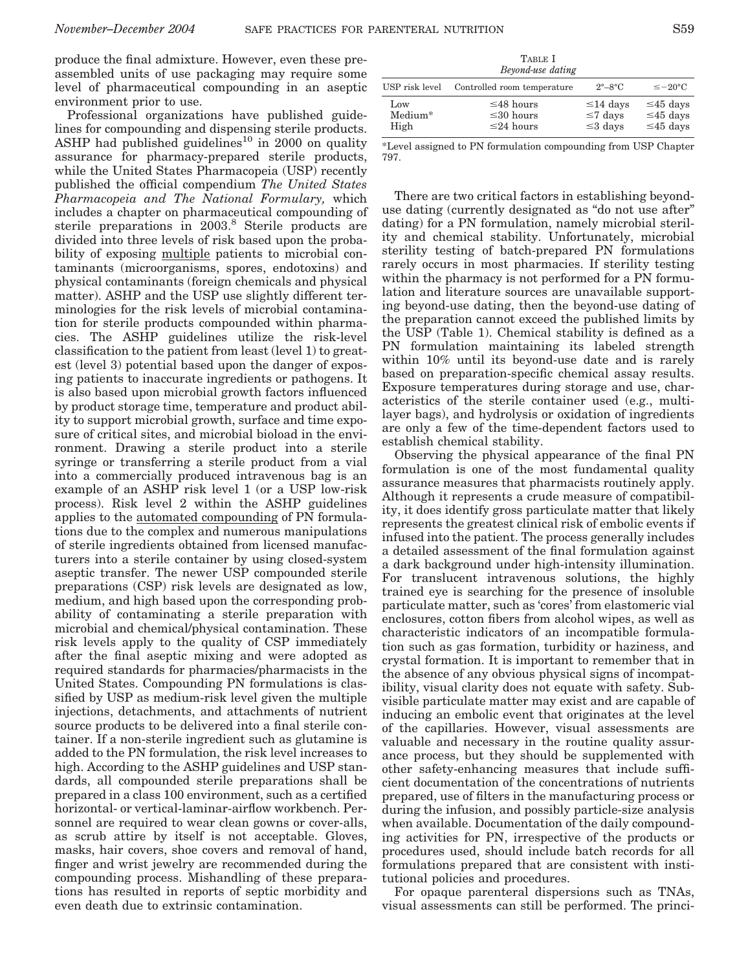produce the final admixture. However, even these preassembled units of use packaging may require some level of pharmaceutical compounding in an aseptic environment prior to use.

Professional organizations have published guidelines for compounding and dispensing sterile products. ASHP had published guidelines<sup>10</sup> in 2000 on quality assurance for pharmacy-prepared sterile products, while the United States Pharmacopeia (USP) recently published the official compendium *The United States Pharmacopeia and The National Formulary,* which includes a chapter on pharmaceutical compounding of sterile preparations in 2003.<sup>8</sup> Sterile products are divided into three levels of risk based upon the probability of exposing multiple patients to microbial contaminants (microorganisms, spores, endotoxins) and physical contaminants (foreign chemicals and physical matter). ASHP and the USP use slightly different terminologies for the risk levels of microbial contamination for sterile products compounded within pharmacies. The ASHP guidelines utilize the risk-level classification to the patient from least (level 1) to greatest (level 3) potential based upon the danger of exposing patients to inaccurate ingredients or pathogens. It is also based upon microbial growth factors influenced by product storage time, temperature and product ability to support microbial growth, surface and time exposure of critical sites, and microbial bioload in the environment. Drawing a sterile product into a sterile syringe or transferring a sterile product from a vial into a commercially produced intravenous bag is an example of an ASHP risk level 1 (or a USP low-risk process). Risk level 2 within the ASHP guidelines applies to the automated compounding of PN formulations due to the complex and numerous manipulations of sterile ingredients obtained from licensed manufacturers into a sterile container by using closed-system aseptic transfer. The newer USP compounded sterile preparations (CSP) risk levels are designated as low, medium, and high based upon the corresponding probability of contaminating a sterile preparation with microbial and chemical/physical contamination. These risk levels apply to the quality of CSP immediately after the final aseptic mixing and were adopted as required standards for pharmacies/pharmacists in the United States. Compounding PN formulations is classified by USP as medium-risk level given the multiple injections, detachments, and attachments of nutrient source products to be delivered into a final sterile container. If a non-sterile ingredient such as glutamine is added to the PN formulation, the risk level increases to high. According to the ASHP guidelines and USP standards, all compounded sterile preparations shall be prepared in a class 100 environment, such as a certified horizontal- or vertical-laminar-airflow workbench. Personnel are required to wear clean gowns or cover-alls, as scrub attire by itself is not acceptable. Gloves, masks, hair covers, shoe covers and removal of hand, finger and wrist jewelry are recommended during the compounding process. Mishandling of these preparations has resulted in reports of septic morbidity and even death due to extrinsic contamination.

| TABLE I                   |  |
|---------------------------|--|
| $\mathbf{r}$ $\mathbf{r}$ |  |

| Beyond-use dating      |                                                       |                                                  |                                                    |
|------------------------|-------------------------------------------------------|--------------------------------------------------|----------------------------------------------------|
| USP risk level         | Controlled room temperature                           | $2^\circ - 8^\circ C$                            | $\leq -20$ °C                                      |
| Low<br>Medium*<br>High | $\leq$ 48 hours<br>$\leq$ 30 hours<br>$\leq$ 24 hours | $\leq$ 14 days<br>$\leq$ 7 days<br>$\leq$ 3 days | $\leq$ 45 days<br>$\leq$ 45 days<br>$\leq$ 45 days |

\*Level assigned to PN formulation compounding from USP Chapter 797.

There are two critical factors in establishing beyonduse dating (currently designated as "do not use after" dating) for a PN formulation, namely microbial sterility and chemical stability. Unfortunately, microbial sterility testing of batch-prepared PN formulations rarely occurs in most pharmacies. If sterility testing within the pharmacy is not performed for a PN formulation and literature sources are unavailable supporting beyond-use dating, then the beyond-use dating of the preparation cannot exceed the published limits by the USP (Table 1). Chemical stability is defined as a PN formulation maintaining its labeled strength within 10% until its beyond-use date and is rarely based on preparation-specific chemical assay results. Exposure temperatures during storage and use, characteristics of the sterile container used (e.g., multilayer bags), and hydrolysis or oxidation of ingredients are only a few of the time-dependent factors used to establish chemical stability.

Observing the physical appearance of the final PN formulation is one of the most fundamental quality assurance measures that pharmacists routinely apply. Although it represents a crude measure of compatibility, it does identify gross particulate matter that likely represents the greatest clinical risk of embolic events if infused into the patient. The process generally includes a detailed assessment of the final formulation against a dark background under high-intensity illumination. For translucent intravenous solutions, the highly trained eye is searching for the presence of insoluble particulate matter, such as 'cores' from elastomeric vial enclosures, cotton fibers from alcohol wipes, as well as characteristic indicators of an incompatible formulation such as gas formation, turbidity or haziness, and crystal formation. It is important to remember that in the absence of any obvious physical signs of incompatibility, visual clarity does not equate with safety. Subvisible particulate matter may exist and are capable of inducing an embolic event that originates at the level of the capillaries. However, visual assessments are valuable and necessary in the routine quality assurance process, but they should be supplemented with other safety-enhancing measures that include sufficient documentation of the concentrations of nutrients prepared, use of filters in the manufacturing process or during the infusion, and possibly particle-size analysis when available. Documentation of the daily compounding activities for PN, irrespective of the products or procedures used, should include batch records for all formulations prepared that are consistent with institutional policies and procedures.

For opaque parenteral dispersions such as TNAs, visual assessments can still be performed. The princi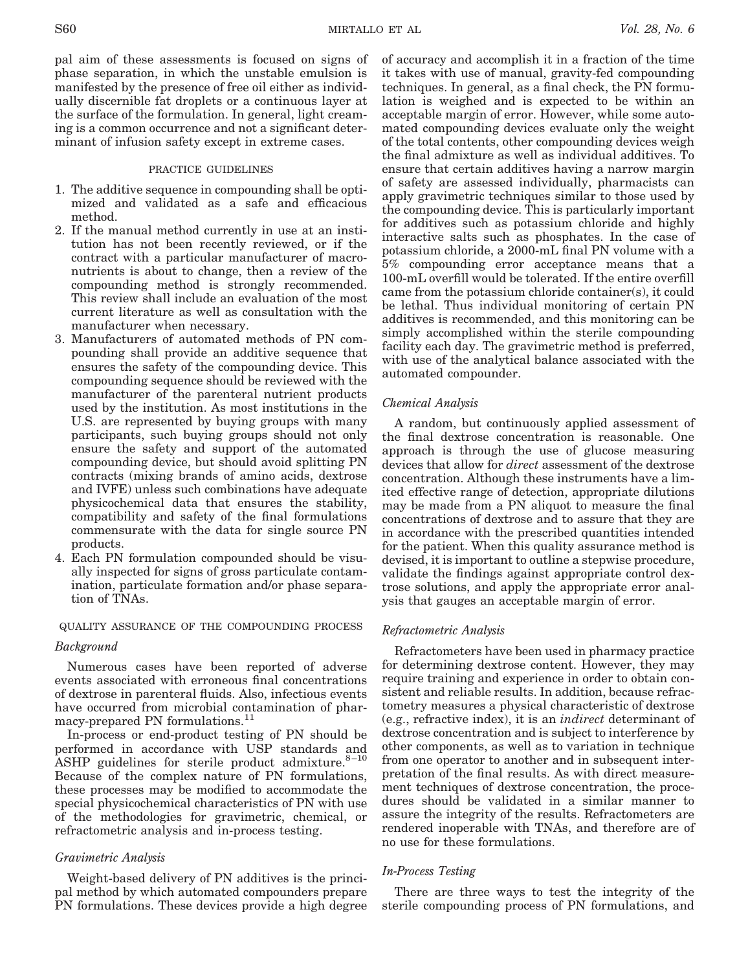pal aim of these assessments is focused on signs of phase separation, in which the unstable emulsion is manifested by the presence of free oil either as individually discernible fat droplets or a continuous layer at the surface of the formulation. In general, light creaming is a common occurrence and not a significant determinant of infusion safety except in extreme cases.

## PRACTICE GUIDELINES

- 1. The additive sequence in compounding shall be optimized and validated as a safe and efficacious method.
- 2. If the manual method currently in use at an institution has not been recently reviewed, or if the contract with a particular manufacturer of macronutrients is about to change, then a review of the compounding method is strongly recommended. This review shall include an evaluation of the most current literature as well as consultation with the manufacturer when necessary.
- 3. Manufacturers of automated methods of PN compounding shall provide an additive sequence that ensures the safety of the compounding device. This compounding sequence should be reviewed with the manufacturer of the parenteral nutrient products used by the institution. As most institutions in the U.S. are represented by buying groups with many participants, such buying groups should not only ensure the safety and support of the automated compounding device, but should avoid splitting PN contracts (mixing brands of amino acids, dextrose and IVFE) unless such combinations have adequate physicochemical data that ensures the stability, compatibility and safety of the final formulations commensurate with the data for single source PN products.
- 4. Each PN formulation compounded should be visually inspected for signs of gross particulate contamination, particulate formation and/or phase separation of TNAs.

## QUALITY ASSURANCE OF THE COMPOUNDING PROCESS

#### *Background*

Numerous cases have been reported of adverse events associated with erroneous final concentrations of dextrose in parenteral fluids. Also, infectious events have occurred from microbial contamination of pharmacy-prepared PN formulations.11

In-process or end-product testing of PN should be performed in accordance with USP standards and ASHP guidelines for sterile product admixture. $8-10$ Because of the complex nature of PN formulations, these processes may be modified to accommodate the special physicochemical characteristics of PN with use of the methodologies for gravimetric, chemical, or refractometric analysis and in-process testing.

## *Gravimetric Analysis*

Weight-based delivery of PN additives is the principal method by which automated compounders prepare PN formulations. These devices provide a high degree of accuracy and accomplish it in a fraction of the time it takes with use of manual, gravity-fed compounding techniques. In general, as a final check, the PN formulation is weighed and is expected to be within an acceptable margin of error. However, while some automated compounding devices evaluate only the weight of the total contents, other compounding devices weigh the final admixture as well as individual additives. To ensure that certain additives having a narrow margin of safety are assessed individually, pharmacists can apply gravimetric techniques similar to those used by the compounding device. This is particularly important for additives such as potassium chloride and highly interactive salts such as phosphates. In the case of potassium chloride, a 2000-mL final PN volume with a 5% compounding error acceptance means that a 100-mL overfill would be tolerated. If the entire overfill came from the potassium chloride container(s), it could be lethal. Thus individual monitoring of certain PN additives is recommended, and this monitoring can be simply accomplished within the sterile compounding facility each day. The gravimetric method is preferred, with use of the analytical balance associated with the automated compounder.

#### *Chemical Analysis*

A random, but continuously applied assessment of the final dextrose concentration is reasonable. One approach is through the use of glucose measuring devices that allow for *direct* assessment of the dextrose concentration. Although these instruments have a limited effective range of detection, appropriate dilutions may be made from a PN aliquot to measure the final concentrations of dextrose and to assure that they are in accordance with the prescribed quantities intended for the patient. When this quality assurance method is devised, it is important to outline a stepwise procedure, validate the findings against appropriate control dextrose solutions, and apply the appropriate error analysis that gauges an acceptable margin of error.

#### *Refractometric Analysis*

Refractometers have been used in pharmacy practice for determining dextrose content. However, they may require training and experience in order to obtain consistent and reliable results. In addition, because refractometry measures a physical characteristic of dextrose (e.g., refractive index), it is an *indirect* determinant of dextrose concentration and is subject to interference by other components, as well as to variation in technique from one operator to another and in subsequent interpretation of the final results. As with direct measurement techniques of dextrose concentration, the procedures should be validated in a similar manner to assure the integrity of the results. Refractometers are rendered inoperable with TNAs, and therefore are of no use for these formulations.

## *In-Process Testing*

There are three ways to test the integrity of the sterile compounding process of PN formulations, and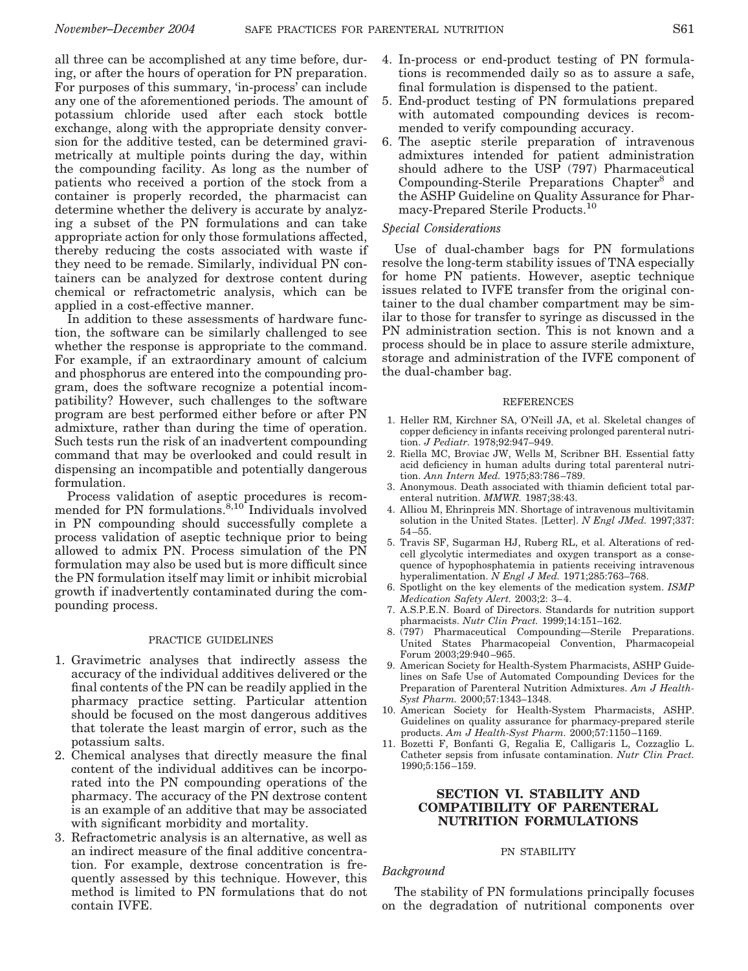- 5. End-product testing of PN formulations prepared with automated compounding devices is recommended to verify compounding accuracy.
- 6. The aseptic sterile preparation of intravenous admixtures intended for patient administration should adhere to the USP (797) Pharmaceutical Compounding-Sterile Preparations Chapter<sup>8</sup> and the ASHP Guideline on Quality Assurance for Pharmacy-Prepared Sterile Products.10

### *Special Considerations*

Use of dual-chamber bags for PN formulations resolve the long-term stability issues of TNA especially for home PN patients. However, aseptic technique issues related to IVFE transfer from the original container to the dual chamber compartment may be similar to those for transfer to syringe as discussed in the PN administration section. This is not known and a process should be in place to assure sterile admixture, storage and administration of the IVFE component of the dual-chamber bag.

#### **REFERENCES**

- 1. Heller RM, Kirchner SA, O'Neill JA, et al. Skeletal changes of copper deficiency in infants receiving prolonged parenteral nutrition. *J Pediatr.* 1978;92:947–949.
- 2. Riella MC, Broviac JW, Wells M, Scribner BH. Essential fatty acid deficiency in human adults during total parenteral nutrition. *Ann Intern Med.* 1975;83:786 –789.
- 3. Anonymous. Death associated with thiamin deficient total parenteral nutrition. *MMWR.* 1987;38:43.
- 4. Alliou M, Ehrinpreis MN. Shortage of intravenous multivitamin solution in the United States. [Letter]. *N Engl JMed.* 1997;337: 54 –55.
- 5. Travis SF, Sugarman HJ, Ruberg RL, et al. Alterations of redcell glycolytic intermediates and oxygen transport as a consequence of hypophosphatemia in patients receiving intravenous hyperalimentation. *N Engl J Med.* 1971;285:763–768.
- 6. Spotlight on the key elements of the medication system. *ISMP Medication Safety Alert.* 2003;2: 3– 4.
- 7. A.S.P.E.N. Board of Directors. Standards for nutrition support pharmacists. *Nutr Clin Pract.* 1999;14:151–162.
- 8. (797) Pharmaceutical Compounding—Sterile Preparations. United States Pharmacopeial Convention, Pharmacopeial Forum 2003;29:940 –965.
- 9. American Society for Health-System Pharmacists, ASHP Guidelines on Safe Use of Automated Compounding Devices for the Preparation of Parenteral Nutrition Admixtures. *Am J Health-Syst Pharm.* 2000;57:1343–1348.
- 10. American Society for Health-System Pharmacists, ASHP. Guidelines on quality assurance for pharmacy-prepared sterile products. *Am J Health-Syst Pharm.* 2000;57:1150 –1169.
- 11. Bozetti F, Bonfanti G, Regalia E, Calligaris L, Cozzaglio L. Catheter sepsis from infusate contamination. *Nutr Clin Pract.* 1990;5:156 –159.

## **SECTION VI. STABILITY AND COMPATIBILITY OF PARENTERAL NUTRITION FORMULATIONS**

#### PN STABILITY

#### *Background*

The stability of PN formulations principally focuses on the degradation of nutritional components over

all three can be accomplished at any time before, during, or after the hours of operation for PN preparation. For purposes of this summary, 'in-process' can include any one of the aforementioned periods. The amount of potassium chloride used after each stock bottle exchange, along with the appropriate density conversion for the additive tested, can be determined gravimetrically at multiple points during the day, within the compounding facility. As long as the number of patients who received a portion of the stock from a container is properly recorded, the pharmacist can determine whether the delivery is accurate by analyzing a subset of the PN formulations and can take appropriate action for only those formulations affected, thereby reducing the costs associated with waste if they need to be remade. Similarly, individual PN containers can be analyzed for dextrose content during chemical or refractometric analysis, which can be applied in a cost-effective manner.

In addition to these assessments of hardware function, the software can be similarly challenged to see whether the response is appropriate to the command. For example, if an extraordinary amount of calcium and phosphorus are entered into the compounding program, does the software recognize a potential incompatibility? However, such challenges to the software program are best performed either before or after PN admixture, rather than during the time of operation. Such tests run the risk of an inadvertent compounding command that may be overlooked and could result in dispensing an incompatible and potentially dangerous formulation.

Process validation of aseptic procedures is recommended for PN formulations.<sup>8,10</sup> Individuals involved in PN compounding should successfully complete a process validation of aseptic technique prior to being allowed to admix PN. Process simulation of the PN formulation may also be used but is more difficult since the PN formulation itself may limit or inhibit microbial growth if inadvertently contaminated during the compounding process.

#### PRACTICE GUIDELINES

- 1. Gravimetric analyses that indirectly assess the accuracy of the individual additives delivered or the final contents of the PN can be readily applied in the pharmacy practice setting. Particular attention should be focused on the most dangerous additives that tolerate the least margin of error, such as the potassium salts.
- 2. Chemical analyses that directly measure the final content of the individual additives can be incorporated into the PN compounding operations of the pharmacy. The accuracy of the PN dextrose content is an example of an additive that may be associated with significant morbidity and mortality.
- 3. Refractometric analysis is an alternative, as well as an indirect measure of the final additive concentration. For example, dextrose concentration is frequently assessed by this technique. However, this method is limited to PN formulations that do not contain IVFE.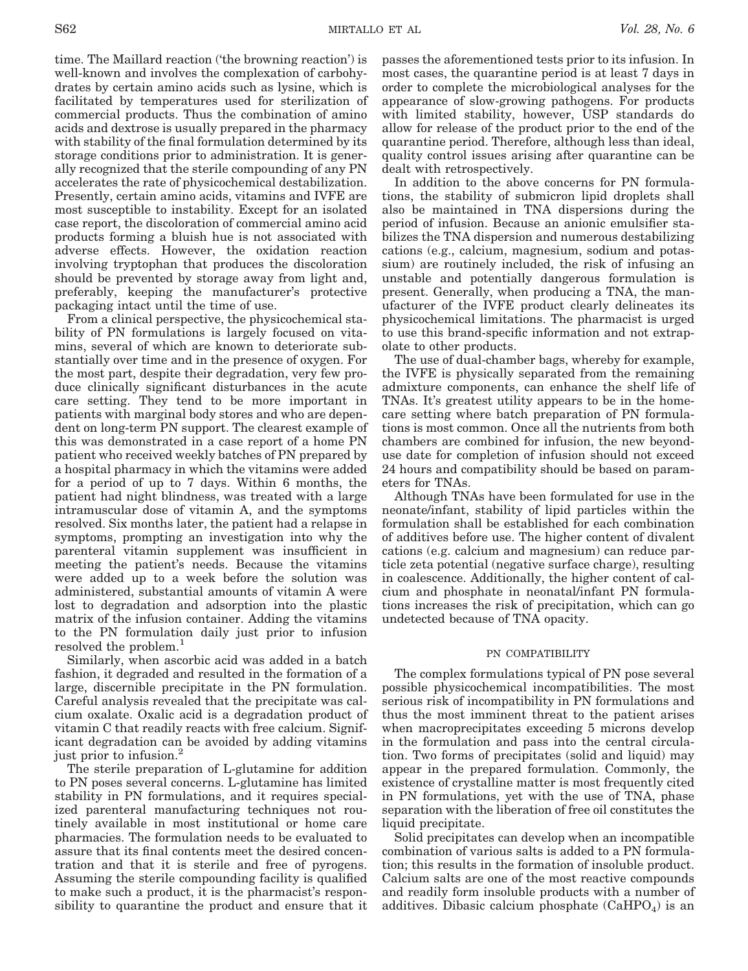time. The Maillard reaction ('the browning reaction') is well-known and involves the complexation of carbohydrates by certain amino acids such as lysine, which is facilitated by temperatures used for sterilization of commercial products. Thus the combination of amino acids and dextrose is usually prepared in the pharmacy with stability of the final formulation determined by its storage conditions prior to administration. It is generally recognized that the sterile compounding of any PN accelerates the rate of physicochemical destabilization. Presently, certain amino acids, vitamins and IVFE are most susceptible to instability. Except for an isolated case report, the discoloration of commercial amino acid products forming a bluish hue is not associated with adverse effects. However, the oxidation reaction involving tryptophan that produces the discoloration should be prevented by storage away from light and, preferably, keeping the manufacturer's protective packaging intact until the time of use.

From a clinical perspective, the physicochemical stability of PN formulations is largely focused on vitamins, several of which are known to deteriorate substantially over time and in the presence of oxygen. For the most part, despite their degradation, very few produce clinically significant disturbances in the acute care setting. They tend to be more important in patients with marginal body stores and who are dependent on long-term PN support. The clearest example of this was demonstrated in a case report of a home PN patient who received weekly batches of PN prepared by a hospital pharmacy in which the vitamins were added for a period of up to 7 days. Within 6 months, the patient had night blindness, was treated with a large intramuscular dose of vitamin A, and the symptoms resolved. Six months later, the patient had a relapse in symptoms, prompting an investigation into why the parenteral vitamin supplement was insufficient in meeting the patient's needs. Because the vitamins were added up to a week before the solution was administered, substantial amounts of vitamin A were lost to degradation and adsorption into the plastic matrix of the infusion container. Adding the vitamins to the PN formulation daily just prior to infusion resolved the problem.<sup>1</sup>

Similarly, when ascorbic acid was added in a batch fashion, it degraded and resulted in the formation of a large, discernible precipitate in the PN formulation. Careful analysis revealed that the precipitate was calcium oxalate. Oxalic acid is a degradation product of vitamin C that readily reacts with free calcium. Significant degradation can be avoided by adding vitamins just prior to infusion.<sup>2</sup>

The sterile preparation of L-glutamine for addition to PN poses several concerns. L-glutamine has limited stability in PN formulations, and it requires specialized parenteral manufacturing techniques not routinely available in most institutional or home care pharmacies. The formulation needs to be evaluated to assure that its final contents meet the desired concentration and that it is sterile and free of pyrogens. Assuming the sterile compounding facility is qualified to make such a product, it is the pharmacist's responsibility to quarantine the product and ensure that it passes the aforementioned tests prior to its infusion. In most cases, the quarantine period is at least 7 days in order to complete the microbiological analyses for the appearance of slow-growing pathogens. For products with limited stability, however, USP standards do allow for release of the product prior to the end of the quarantine period. Therefore, although less than ideal, quality control issues arising after quarantine can be dealt with retrospectively.

In addition to the above concerns for PN formulations, the stability of submicron lipid droplets shall also be maintained in TNA dispersions during the period of infusion. Because an anionic emulsifier stabilizes the TNA dispersion and numerous destabilizing cations (e.g., calcium, magnesium, sodium and potassium) are routinely included, the risk of infusing an unstable and potentially dangerous formulation is present. Generally, when producing a TNA, the manufacturer of the IVFE product clearly delineates its physicochemical limitations. The pharmacist is urged to use this brand-specific information and not extrapolate to other products.

The use of dual-chamber bags, whereby for example, the IVFE is physically separated from the remaining admixture components, can enhance the shelf life of TNAs. It's greatest utility appears to be in the homecare setting where batch preparation of PN formulations is most common. Once all the nutrients from both chambers are combined for infusion, the new beyonduse date for completion of infusion should not exceed 24 hours and compatibility should be based on parameters for TNAs.

Although TNAs have been formulated for use in the neonate/infant, stability of lipid particles within the formulation shall be established for each combination of additives before use. The higher content of divalent cations (e.g. calcium and magnesium) can reduce particle zeta potential (negative surface charge), resulting in coalescence. Additionally, the higher content of calcium and phosphate in neonatal/infant PN formulations increases the risk of precipitation, which can go undetected because of TNA opacity.

## PN COMPATIBILITY

The complex formulations typical of PN pose several possible physicochemical incompatibilities. The most serious risk of incompatibility in PN formulations and thus the most imminent threat to the patient arises when macroprecipitates exceeding 5 microns develop in the formulation and pass into the central circulation. Two forms of precipitates (solid and liquid) may appear in the prepared formulation. Commonly, the existence of crystalline matter is most frequently cited in PN formulations, yet with the use of TNA, phase separation with the liberation of free oil constitutes the liquid precipitate.

Solid precipitates can develop when an incompatible combination of various salts is added to a PN formulation; this results in the formation of insoluble product. Calcium salts are one of the most reactive compounds and readily form insoluble products with a number of additives. Dibasic calcium phosphate  $(CaHPO<sub>4</sub>)$  is an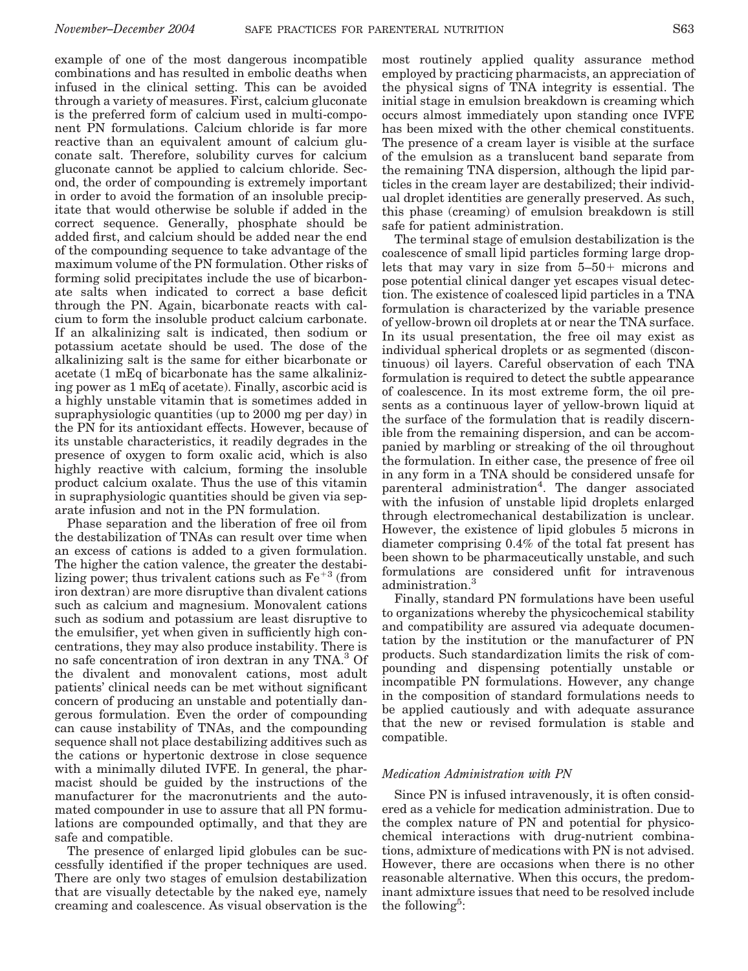example of one of the most dangerous incompatible combinations and has resulted in embolic deaths when infused in the clinical setting. This can be avoided through a variety of measures. First, calcium gluconate is the preferred form of calcium used in multi-component PN formulations. Calcium chloride is far more reactive than an equivalent amount of calcium gluconate salt. Therefore, solubility curves for calcium gluconate cannot be applied to calcium chloride. Second, the order of compounding is extremely important in order to avoid the formation of an insoluble precipitate that would otherwise be soluble if added in the correct sequence. Generally, phosphate should be added first, and calcium should be added near the end of the compounding sequence to take advantage of the maximum volume of the PN formulation. Other risks of forming solid precipitates include the use of bicarbonate salts when indicated to correct a base deficit through the PN. Again, bicarbonate reacts with calcium to form the insoluble product calcium carbonate. If an alkalinizing salt is indicated, then sodium or potassium acetate should be used. The dose of the alkalinizing salt is the same for either bicarbonate or acetate (1 mEq of bicarbonate has the same alkalinizing power as 1 mEq of acetate). Finally, ascorbic acid is a highly unstable vitamin that is sometimes added in supraphysiologic quantities (up to 2000 mg per day) in the PN for its antioxidant effects. However, because of its unstable characteristics, it readily degrades in the presence of oxygen to form oxalic acid, which is also highly reactive with calcium, forming the insoluble product calcium oxalate. Thus the use of this vitamin in supraphysiologic quantities should be given via separate infusion and not in the PN formulation.

Phase separation and the liberation of free oil from the destabilization of TNAs can result over time when an excess of cations is added to a given formulation. The higher the cation valence, the greater the destabilizing power; thus trivalent cations such as  $Fe^{+3}$  (from iron dextran) are more disruptive than divalent cations such as calcium and magnesium. Monovalent cations such as sodium and potassium are least disruptive to the emulsifier, yet when given in sufficiently high concentrations, they may also produce instability. There is no safe concentration of iron dextran in any TNA.3 Of the divalent and monovalent cations, most adult patients' clinical needs can be met without significant concern of producing an unstable and potentially dangerous formulation. Even the order of compounding can cause instability of TNAs, and the compounding sequence shall not place destabilizing additives such as the cations or hypertonic dextrose in close sequence with a minimally diluted IVFE. In general, the pharmacist should be guided by the instructions of the manufacturer for the macronutrients and the automated compounder in use to assure that all PN formulations are compounded optimally, and that they are safe and compatible.

The presence of enlarged lipid globules can be successfully identified if the proper techniques are used. There are only two stages of emulsion destabilization that are visually detectable by the naked eye, namely creaming and coalescence. As visual observation is the most routinely applied quality assurance method employed by practicing pharmacists, an appreciation of the physical signs of TNA integrity is essential. The initial stage in emulsion breakdown is creaming which occurs almost immediately upon standing once IVFE has been mixed with the other chemical constituents. The presence of a cream layer is visible at the surface of the emulsion as a translucent band separate from the remaining TNA dispersion, although the lipid particles in the cream layer are destabilized; their individual droplet identities are generally preserved. As such, this phase (creaming) of emulsion breakdown is still safe for patient administration.

The terminal stage of emulsion destabilization is the coalescence of small lipid particles forming large droplets that may vary in size from  $5-50+$  microns and pose potential clinical danger yet escapes visual detection. The existence of coalesced lipid particles in a TNA formulation is characterized by the variable presence of yellow-brown oil droplets at or near the TNA surface. In its usual presentation, the free oil may exist as individual spherical droplets or as segmented (discontinuous) oil layers. Careful observation of each TNA formulation is required to detect the subtle appearance of coalescence. In its most extreme form, the oil presents as a continuous layer of yellow-brown liquid at the surface of the formulation that is readily discernible from the remaining dispersion, and can be accompanied by marbling or streaking of the oil throughout the formulation. In either case, the presence of free oil in any form in a TNA should be considered unsafe for parenteral administration<sup>4</sup>. The danger associated with the infusion of unstable lipid droplets enlarged through electromechanical destabilization is unclear. However, the existence of lipid globules 5 microns in diameter comprising 0.4% of the total fat present has been shown to be pharmaceutically unstable, and such formulations are considered unfit for intravenous administration.3

Finally, standard PN formulations have been useful to organizations whereby the physicochemical stability and compatibility are assured via adequate documentation by the institution or the manufacturer of PN products. Such standardization limits the risk of compounding and dispensing potentially unstable or incompatible PN formulations. However, any change in the composition of standard formulations needs to be applied cautiously and with adequate assurance that the new or revised formulation is stable and compatible.

## *Medication Administration with PN*

Since PN is infused intravenously, it is often considered as a vehicle for medication administration. Due to the complex nature of PN and potential for physicochemical interactions with drug-nutrient combinations, admixture of medications with PN is not advised. However, there are occasions when there is no other reasonable alternative. When this occurs, the predominant admixture issues that need to be resolved include the following<sup>5</sup>: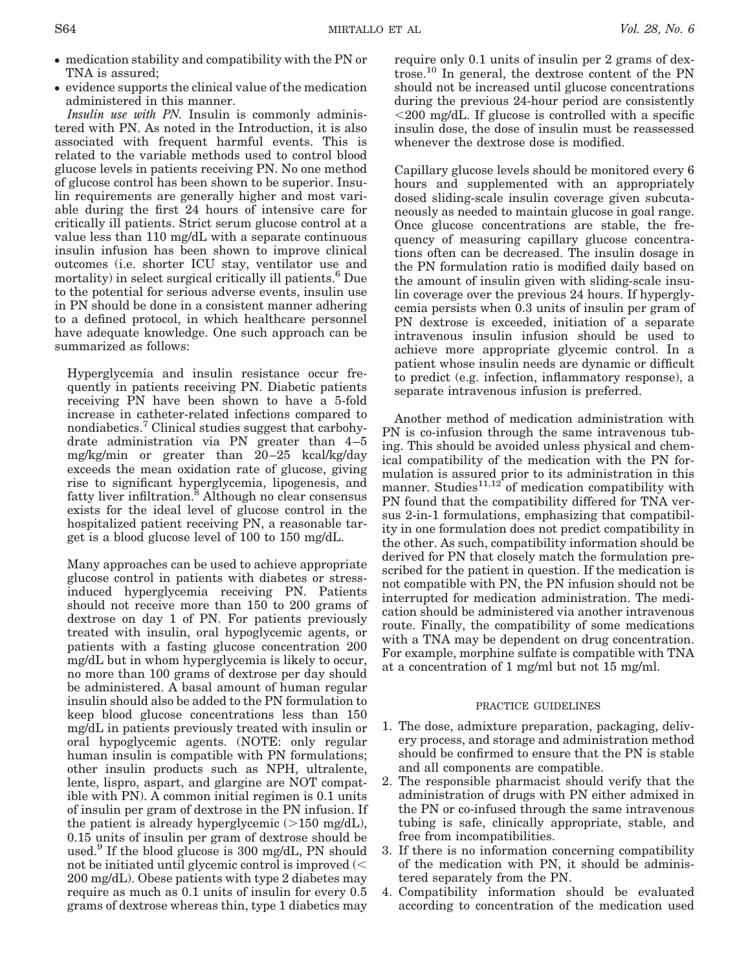- medication stability and compatibility with the PN or TNA is assured;
- evidence supports the clinical value of the medication administered in this manner.

*Insulin use with PN.* Insulin is commonly administered with PN. As noted in the Introduction, it is also associated with frequent harmful events. This is related to the variable methods used to control blood glucose levels in patients receiving PN. No one method of glucose control has been shown to be superior. Insulin requirements are generally higher and most variable during the first 24 hours of intensive care for critically ill patients. Strict serum glucose control at a value less than 110 mg/dL with a separate continuous insulin infusion has been shown to improve clinical outcomes (i.e. shorter ICU stay, ventilator use and mortality) in select surgical critically ill patients.6 Due to the potential for serious adverse events, insulin use in PN should be done in a consistent manner adhering to a defined protocol, in which healthcare personnel have adequate knowledge. One such approach can be summarized as follows:

Hyperglycemia and insulin resistance occur frequently in patients receiving PN. Diabetic patients receiving PN have been shown to have a 5-fold increase in catheter-related infections compared to nondiabetics.<sup>7</sup> Clinical studies suggest that carbohydrate administration via PN greater than 4-5 mg/kg/min or greater than 20 –25 kcal/kg/day exceeds the mean oxidation rate of glucose, giving rise to significant hyperglycemia, lipogenesis, and fatty liver infiltration.<sup>8</sup> Although no clear consensus exists for the ideal level of glucose control in the hospitalized patient receiving PN, a reasonable target is a blood glucose level of 100 to 150 mg/dL.

Many approaches can be used to achieve appropriate glucose control in patients with diabetes or stressinduced hyperglycemia receiving PN. Patients should not receive more than 150 to 200 grams of dextrose on day 1 of PN. For patients previously treated with insulin, oral hypoglycemic agents, or patients with a fasting glucose concentration 200 mg/dL but in whom hyperglycemia is likely to occur, no more than 100 grams of dextrose per day should be administered. A basal amount of human regular insulin should also be added to the PN formulation to keep blood glucose concentrations less than 150 mg/dL in patients previously treated with insulin or oral hypoglycemic agents. (NOTE: only regular human insulin is compatible with PN formulations; other insulin products such as NPH, ultralente, lente, lispro, aspart, and glargine are NOT compatible with PN). A common initial regimen is 0.1 units of insulin per gram of dextrose in the PN infusion. If the patient is already hyperglycemic  $(>150 \text{ mg/dL})$ , 0.15 units of insulin per gram of dextrose should be used.9 If the blood glucose is 300 mg/dL, PN should not be initiated until glycemic control is improved ( 200 mg/dL). Obese patients with type 2 diabetes may require as much as 0.1 units of insulin for every 0.5 grams of dextrose whereas thin, type 1 diabetics may require only 0.1 units of insulin per 2 grams of dextrose.10 In general, the dextrose content of the PN should not be increased until glucose concentrations during the previous 24-hour period are consistently  $\langle 200 \rangle$  mg/dL. If glucose is controlled with a specific insulin dose, the dose of insulin must be reassessed whenever the dextrose dose is modified.

Capillary glucose levels should be monitored every 6 hours and supplemented with an appropriately dosed sliding-scale insulin coverage given subcutaneously as needed to maintain glucose in goal range. Once glucose concentrations are stable, the frequency of measuring capillary glucose concentrations often can be decreased. The insulin dosage in the PN formulation ratio is modified daily based on the amount of insulin given with sliding-scale insulin coverage over the previous 24 hours. If hyperglycemia persists when 0.3 units of insulin per gram of PN dextrose is exceeded, initiation of a separate intravenous insulin infusion should be used to achieve more appropriate glycemic control. In a patient whose insulin needs are dynamic or difficult to predict (e.g. infection, inflammatory response), a separate intravenous infusion is preferred.

Another method of medication administration with PN is co-infusion through the same intravenous tubing. This should be avoided unless physical and chemical compatibility of the medication with the PN formulation is assured prior to its administration in this manner. Studies $11,12$  of medication compatibility with PN found that the compatibility differed for TNA versus 2-in-1 formulations, emphasizing that compatibility in one formulation does not predict compatibility in the other. As such, compatibility information should be derived for PN that closely match the formulation prescribed for the patient in question. If the medication is not compatible with PN, the PN infusion should not be interrupted for medication administration. The medication should be administered via another intravenous route. Finally, the compatibility of some medications with a TNA may be dependent on drug concentration. For example, morphine sulfate is compatible with TNA at a concentration of 1 mg/ml but not 15 mg/ml.

#### PRACTICE GUIDELINES

- 1. The dose, admixture preparation, packaging, delivery process, and storage and administration method should be confirmed to ensure that the PN is stable and all components are compatible.
- 2. The responsible pharmacist should verify that the administration of drugs with PN either admixed in the PN or co-infused through the same intravenous tubing is safe, clinically appropriate, stable, and free from incompatibilities.
- 3. If there is no information concerning compatibility of the medication with PN, it should be administered separately from the PN.
- 4. Compatibility information should be evaluated according to concentration of the medication used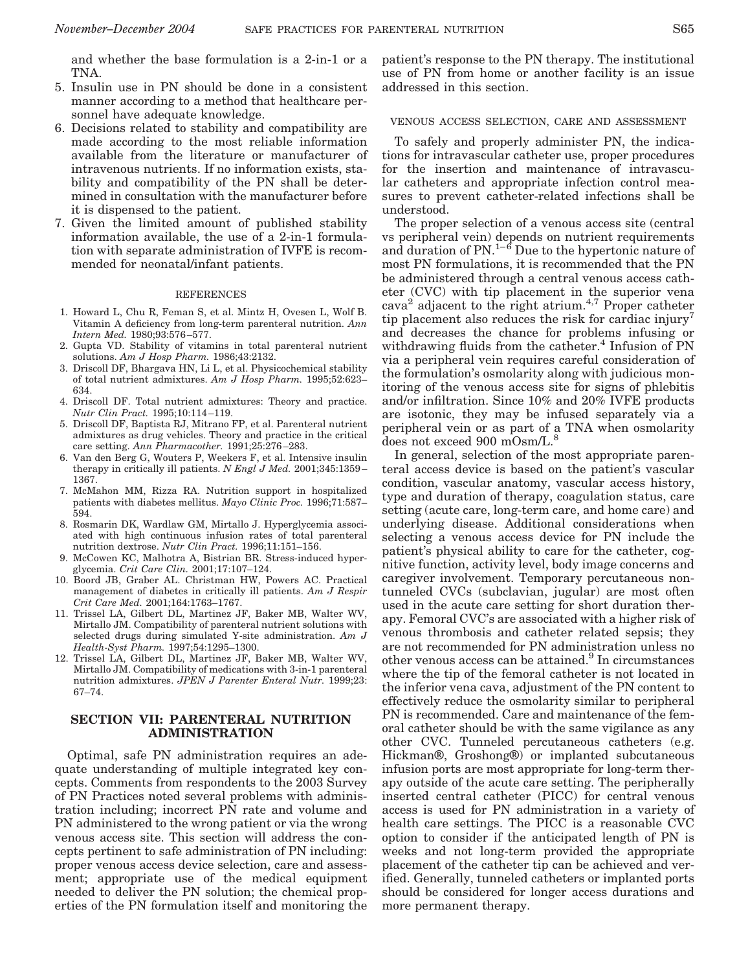and whether the base formulation is a 2-in-1 or a TNA.

- 5. Insulin use in PN should be done in a consistent manner according to a method that healthcare personnel have adequate knowledge.
- 6. Decisions related to stability and compatibility are made according to the most reliable information available from the literature or manufacturer of intravenous nutrients. If no information exists, stability and compatibility of the PN shall be determined in consultation with the manufacturer before it is dispensed to the patient.
- 7. Given the limited amount of published stability information available, the use of a 2-in-1 formulation with separate administration of IVFE is recommended for neonatal/infant patients.

#### REFERENCES

- 1. Howard L, Chu R, Feman S, et al. Mintz H, Ovesen L, Wolf B. Vitamin A deficiency from long-term parenteral nutrition. *Ann Intern Med.* 1980;93:576 –577.
- 2. Gupta VD. Stability of vitamins in total parenteral nutrient solutions. *Am J Hosp Pharm.* 1986;43:2132.
- 3. Driscoll DF, Bhargava HN, Li L, et al. Physicochemical stability of total nutrient admixtures. *Am J Hosp Pharm.* 1995;52:623– 634.
- 4. Driscoll DF. Total nutrient admixtures: Theory and practice. *Nutr Clin Pract.* 1995;10:114 –119.
- 5. Driscoll DF, Baptista RJ, Mitrano FP, et al. Parenteral nutrient admixtures as drug vehicles. Theory and practice in the critical care setting. *Ann Pharmacother.* 1991;25:276 –283.
- 6. Van den Berg G, Wouters P, Weekers F, et al. Intensive insulin therapy in critically ill patients. *N Engl J Med.* 2001;345:1359 – 1367.
- 7. McMahon MM, Rizza RA. Nutrition support in hospitalized patients with diabetes mellitus. *Mayo Clinic Proc.* 1996;71:587– 594.
- 8. Rosmarin DK, Wardlaw GM, Mirtallo J. Hyperglycemia associated with high continuous infusion rates of total parenteral nutrition dextrose. *Nutr Clin Pract.* 1996;11:151–156.
- 9. McCowen KC, Malhotra A, Bistrian BR. Stress-induced hyperglycemia. *Crit Care Clin.* 2001;17:107–124.
- 10. Boord JB, Graber AL. Christman HW, Powers AC. Practical management of diabetes in critically ill patients. *Am J Respir Crit Care Med.* 2001;164:1763–1767.
- 11. Trissel LA, Gilbert DL, Martinez JF, Baker MB, Walter WV, Mirtallo JM. Compatibility of parenteral nutrient solutions with selected drugs during simulated Y-site administration. *Am J Health-Syst Pharm.* 1997;54:1295–1300.
- 12. Trissel LA, Gilbert DL, Martinez JF, Baker MB, Walter WV, Mirtallo JM. Compatibility of medications with 3-in-1 parenteral nutrition admixtures. *JPEN J Parenter Enteral Nutr.* 1999;23: 67–74.

## **SECTION VII: PARENTERAL NUTRITION ADMINISTRATION**

Optimal, safe PN administration requires an adequate understanding of multiple integrated key concepts. Comments from respondents to the 2003 Survey of PN Practices noted several problems with administration including; incorrect PN rate and volume and PN administered to the wrong patient or via the wrong venous access site. This section will address the concepts pertinent to safe administration of PN including: proper venous access device selection, care and assessment; appropriate use of the medical equipment needed to deliver the PN solution; the chemical properties of the PN formulation itself and monitoring the patient's response to the PN therapy. The institutional use of PN from home or another facility is an issue addressed in this section.

#### VENOUS ACCESS SELECTION, CARE AND ASSESSMENT

To safely and properly administer PN, the indications for intravascular catheter use, proper procedures for the insertion and maintenance of intravascular catheters and appropriate infection control measures to prevent catheter-related infections shall be understood.

The proper selection of a venous access site (central vs peripheral vein) depends on nutrient requirements and duration of  $PN<sup>1–6</sup>$  Due to the hypertonic nature of most PN formulations, it is recommended that the PN be administered through a central venous access catheter (CVC) with tip placement in the superior vena cava<sup>2</sup> adjacent to the right atrium.<sup>4,7</sup> Proper catheter tip placement also reduces the risk for cardiac injury<sup>7</sup> and decreases the chance for problems infusing or withdrawing fluids from the catheter. $4$  Infusion of PN via a peripheral vein requires careful consideration of the formulation's osmolarity along with judicious monitoring of the venous access site for signs of phlebitis and/or infiltration. Since 10% and 20% IVFE products are isotonic, they may be infused separately via a peripheral vein or as part of a TNA when osmolarity does not exceed 900 mOsm/L.8

In general, selection of the most appropriate parenteral access device is based on the patient's vascular condition, vascular anatomy, vascular access history, type and duration of therapy, coagulation status, care setting (acute care, long-term care, and home care) and underlying disease. Additional considerations when selecting a venous access device for PN include the patient's physical ability to care for the catheter, cognitive function, activity level, body image concerns and caregiver involvement. Temporary percutaneous nontunneled CVCs (subclavian, jugular) are most often used in the acute care setting for short duration therapy. Femoral CVC's are associated with a higher risk of venous thrombosis and catheter related sepsis; they are not recommended for PN administration unless no other venous access can be attained.<sup>9</sup> In circumstances where the tip of the femoral catheter is not located in the inferior vena cava, adjustment of the PN content to effectively reduce the osmolarity similar to peripheral PN is recommended. Care and maintenance of the femoral catheter should be with the same vigilance as any other CVC. Tunneled percutaneous catheters (e.g. Hickman®, Groshong®) or implanted subcutaneous infusion ports are most appropriate for long-term therapy outside of the acute care setting. The peripherally inserted central catheter (PICC) for central venous access is used for PN administration in a variety of health care settings. The PICC is a reasonable CVC option to consider if the anticipated length of PN is weeks and not long-term provided the appropriate placement of the catheter tip can be achieved and verified. Generally, tunneled catheters or implanted ports should be considered for longer access durations and more permanent therapy.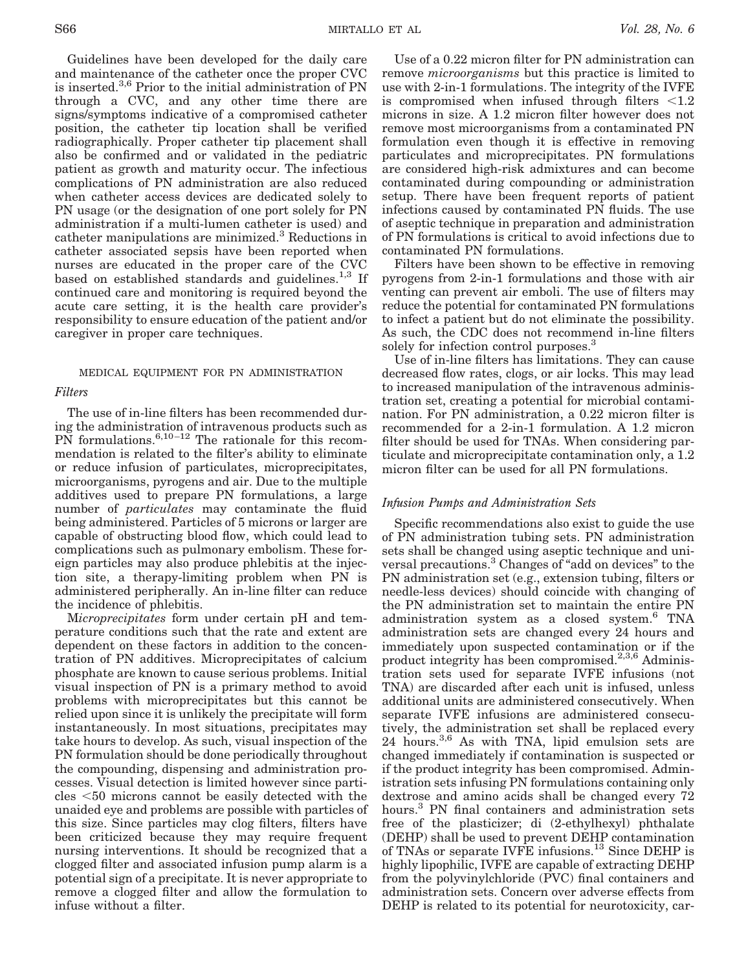Guidelines have been developed for the daily care and maintenance of the catheter once the proper CVC is inserted.3,6 Prior to the initial administration of PN through a CVC, and any other time there are signs/symptoms indicative of a compromised catheter position, the catheter tip location shall be verified radiographically. Proper catheter tip placement shall also be confirmed and or validated in the pediatric patient as growth and maturity occur. The infectious complications of PN administration are also reduced when catheter access devices are dedicated solely to PN usage (or the designation of one port solely for PN administration if a multi-lumen catheter is used) and catheter manipulations are minimized.3 Reductions in catheter associated sepsis have been reported when nurses are educated in the proper care of the CVC based on established standards and guidelines.<sup>1,3</sup> If continued care and monitoring is required beyond the acute care setting, it is the health care provider's responsibility to ensure education of the patient and/or caregiver in proper care techniques.

#### MEDICAL EQUIPMENT FOR PN ADMINISTRATION

#### *Filters*

The use of in-line filters has been recommended during the administration of intravenous products such as PN formulations.<sup>6,10-12</sup> The rationale for this recommendation is related to the filter's ability to eliminate or reduce infusion of particulates, microprecipitates, microorganisms, pyrogens and air. Due to the multiple additives used to prepare PN formulations, a large number of *particulates* may contaminate the fluid being administered. Particles of 5 microns or larger are capable of obstructing blood flow, which could lead to complications such as pulmonary embolism. These foreign particles may also produce phlebitis at the injection site, a therapy-limiting problem when PN is administered peripherally. An in-line filter can reduce the incidence of phlebitis.

M*icroprecipitates* form under certain pH and temperature conditions such that the rate and extent are dependent on these factors in addition to the concentration of PN additives. Microprecipitates of calcium phosphate are known to cause serious problems. Initial visual inspection of PN is a primary method to avoid problems with microprecipitates but this cannot be relied upon since it is unlikely the precipitate will form instantaneously. In most situations, precipitates may take hours to develop. As such, visual inspection of the PN formulation should be done periodically throughout the compounding, dispensing and administration processes. Visual detection is limited however since particles 50 microns cannot be easily detected with the unaided eye and problems are possible with particles of this size. Since particles may clog filters, filters have been criticized because they may require frequent nursing interventions. It should be recognized that a clogged filter and associated infusion pump alarm is a potential sign of a precipitate. It is never appropriate to remove a clogged filter and allow the formulation to infuse without a filter.

Use of a 0.22 micron filter for PN administration can remove *microorganisms* but this practice is limited to use with 2-in-1 formulations. The integrity of the IVFE is compromised when infused through filters  $\leq 1.2$ microns in size. A 1.2 micron filter however does not remove most microorganisms from a contaminated PN formulation even though it is effective in removing particulates and microprecipitates. PN formulations are considered high-risk admixtures and can become contaminated during compounding or administration setup. There have been frequent reports of patient infections caused by contaminated PN fluids. The use of aseptic technique in preparation and administration of PN formulations is critical to avoid infections due to contaminated PN formulations.

Filters have been shown to be effective in removing pyrogens from 2-in-1 formulations and those with air venting can prevent air emboli. The use of filters may reduce the potential for contaminated PN formulations to infect a patient but do not eliminate the possibility. As such, the CDC does not recommend in-line filters solely for infection control purposes.<sup>3</sup>

Use of in-line filters has limitations. They can cause decreased flow rates, clogs, or air locks. This may lead to increased manipulation of the intravenous administration set, creating a potential for microbial contamination. For PN administration, a 0.22 micron filter is recommended for a 2-in-1 formulation. A 1.2 micron filter should be used for TNAs. When considering particulate and microprecipitate contamination only, a 1.2 micron filter can be used for all PN formulations.

## *Infusion Pumps and Administration Sets*

Specific recommendations also exist to guide the use of PN administration tubing sets. PN administration sets shall be changed using aseptic technique and universal precautions.<sup>3</sup> Changes of "add on devices" to the PN administration set (e.g., extension tubing, filters or needle-less devices) should coincide with changing of the PN administration set to maintain the entire PN administration system as a closed system.6 TNA administration sets are changed every 24 hours and immediately upon suspected contamination or if the product integrity has been compromised.<sup>2,3,6</sup> Administration sets used for separate IVFE infusions (not TNA) are discarded after each unit is infused, unless additional units are administered consecutively. When separate IVFE infusions are administered consecutively, the administration set shall be replaced every 24 hours.3,6 As with TNA, lipid emulsion sets are changed immediately if contamination is suspected or if the product integrity has been compromised. Administration sets infusing PN formulations containing only dextrose and amino acids shall be changed every 72 hours.3 PN final containers and administration sets free of the plasticizer; di (2-ethylhexyl) phthalate (DEHP) shall be used to prevent DEHP contamination of TNAs or separate IVFE infusions.<sup>13</sup> Since DEHP is highly lipophilic, IVFE are capable of extracting DEHP from the polyvinylchloride (PVC) final containers and administration sets. Concern over adverse effects from DEHP is related to its potential for neurotoxicity, car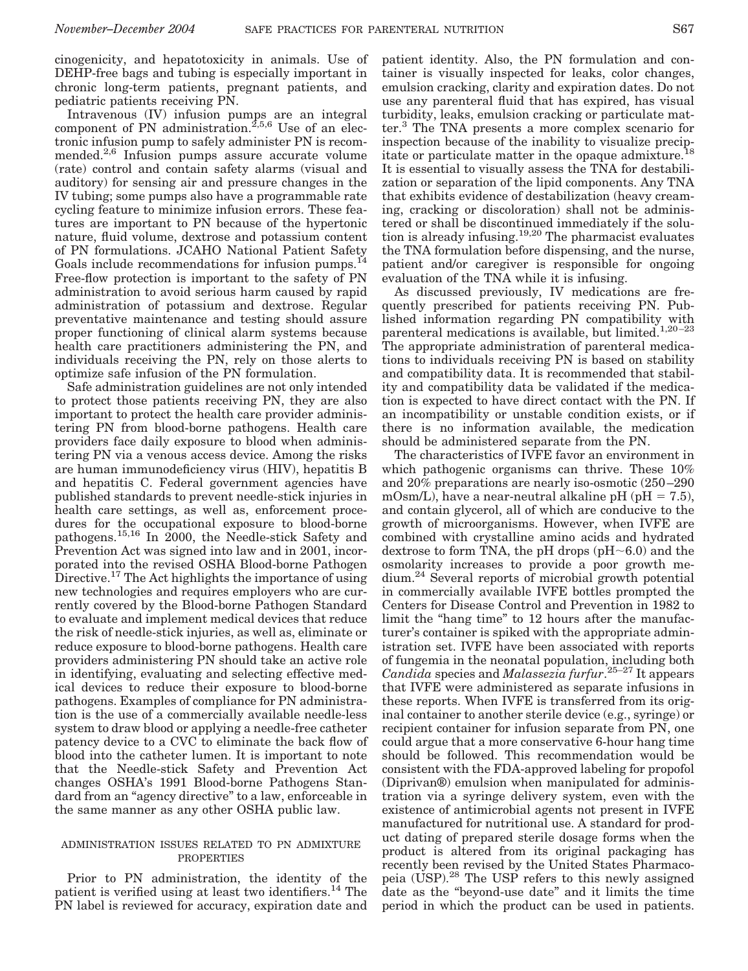cinogenicity, and hepatotoxicity in animals. Use of DEHP-free bags and tubing is especially important in chronic long-term patients, pregnant patients, and pediatric patients receiving PN.

Intravenous (IV) infusion pumps are an integral component of PN administration.<sup>2,5,6</sup> Use of an electronic infusion pump to safely administer PN is recommended.2,6 Infusion pumps assure accurate volume (rate) control and contain safety alarms (visual and auditory) for sensing air and pressure changes in the IV tubing; some pumps also have a programmable rate cycling feature to minimize infusion errors. These features are important to PN because of the hypertonic nature, fluid volume, dextrose and potassium content of PN formulations. JCAHO National Patient Safety Goals include recommendations for infusion pumps.<sup>14</sup> Free-flow protection is important to the safety of PN administration to avoid serious harm caused by rapid administration of potassium and dextrose. Regular preventative maintenance and testing should assure proper functioning of clinical alarm systems because health care practitioners administering the PN, and individuals receiving the PN, rely on those alerts to optimize safe infusion of the PN formulation.

Safe administration guidelines are not only intended to protect those patients receiving PN, they are also important to protect the health care provider administering PN from blood-borne pathogens. Health care providers face daily exposure to blood when administering PN via a venous access device. Among the risks are human immunodeficiency virus (HIV), hepatitis B and hepatitis C. Federal government agencies have published standards to prevent needle-stick injuries in health care settings, as well as, enforcement procedures for the occupational exposure to blood-borne pathogens.<sup>15,16</sup> In 2000, the Needle-stick Safety and Prevention Act was signed into law and in 2001, incorporated into the revised OSHA Blood-borne Pathogen Directive.<sup>17</sup> The Act highlights the importance of using new technologies and requires employers who are currently covered by the Blood-borne Pathogen Standard to evaluate and implement medical devices that reduce the risk of needle-stick injuries, as well as, eliminate or reduce exposure to blood-borne pathogens. Health care providers administering PN should take an active role in identifying, evaluating and selecting effective medical devices to reduce their exposure to blood-borne pathogens. Examples of compliance for PN administration is the use of a commercially available needle-less system to draw blood or applying a needle-free catheter patency device to a CVC to eliminate the back flow of blood into the catheter lumen. It is important to note that the Needle-stick Safety and Prevention Act changes OSHA's 1991 Blood-borne Pathogens Standard from an "agency directive" to a law, enforceable in the same manner as any other OSHA public law.

#### ADMINISTRATION ISSUES RELATED TO PN ADMIXTURE PROPERTIES

Prior to PN administration, the identity of the patient is verified using at least two identifiers.<sup>14</sup> The PN label is reviewed for accuracy, expiration date and patient identity. Also, the PN formulation and container is visually inspected for leaks, color changes, emulsion cracking, clarity and expiration dates. Do not use any parenteral fluid that has expired, has visual turbidity, leaks, emulsion cracking or particulate matter.3 The TNA presents a more complex scenario for inspection because of the inability to visualize precipitate or particulate matter in the opaque admixture.<sup>1</sup> It is essential to visually assess the TNA for destabilization or separation of the lipid components. Any TNA that exhibits evidence of destabilization (heavy creaming, cracking or discoloration) shall not be administered or shall be discontinued immediately if the solution is already infusing.19,20 The pharmacist evaluates the TNA formulation before dispensing, and the nurse, patient and/or caregiver is responsible for ongoing evaluation of the TNA while it is infusing.

As discussed previously, IV medications are frequently prescribed for patients receiving PN. Published information regarding PN compatibility with parenteral medications is available, but limited.<sup>1,20-23</sup> The appropriate administration of parenteral medications to individuals receiving PN is based on stability and compatibility data. It is recommended that stability and compatibility data be validated if the medication is expected to have direct contact with the PN. If an incompatibility or unstable condition exists, or if there is no information available, the medication should be administered separate from the PN.

The characteristics of IVFE favor an environment in which pathogenic organisms can thrive. These 10% and 20% preparations are nearly iso-osmotic (250 –290 m $\mathrm{Osm/L}$ ), have a near-neutral alkaline pH (pH = 7.5), and contain glycerol, all of which are conducive to the growth of microorganisms. However, when IVFE are combined with crystalline amino acids and hydrated dextrose to form TNA, the pH drops  $pH-6.0$  and the osmolarity increases to provide a poor growth medium.24 Several reports of microbial growth potential in commercially available IVFE bottles prompted the Centers for Disease Control and Prevention in 1982 to limit the "hang time" to 12 hours after the manufacturer's container is spiked with the appropriate administration set. IVFE have been associated with reports of fungemia in the neonatal population, including both *Candida* species and *Malassezia furfur*. 25–27 It appears that IVFE were administered as separate infusions in these reports. When IVFE is transferred from its original container to another sterile device (e.g., syringe) or recipient container for infusion separate from PN, one could argue that a more conservative 6-hour hang time should be followed. This recommendation would be consistent with the FDA-approved labeling for propofol (Diprivan®) emulsion when manipulated for administration via a syringe delivery system, even with the existence of antimicrobial agents not present in IVFE manufactured for nutritional use. A standard for product dating of prepared sterile dosage forms when the product is altered from its original packaging has recently been revised by the United States Pharmacopeia (USP).28 The USP refers to this newly assigned date as the "beyond-use date" and it limits the time period in which the product can be used in patients.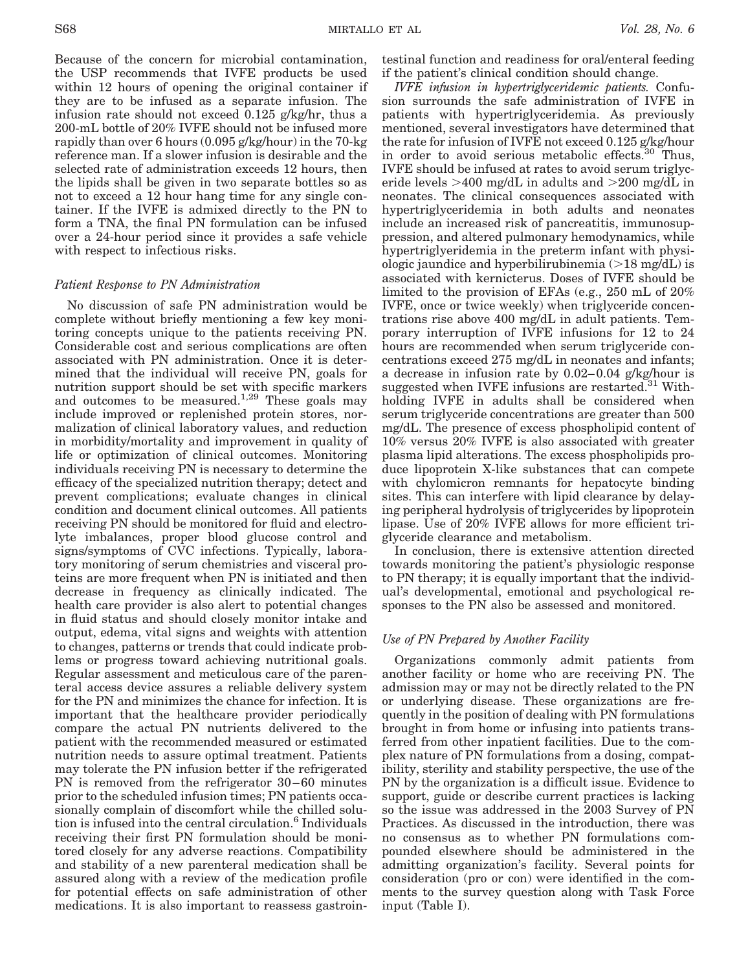Because of the concern for microbial contamination, the USP recommends that IVFE products be used within 12 hours of opening the original container if they are to be infused as a separate infusion. The infusion rate should not exceed 0.125 g/kg/hr, thus a 200-mL bottle of 20% IVFE should not be infused more rapidly than over 6 hours (0.095 g/kg/hour) in the 70-kg reference man. If a slower infusion is desirable and the selected rate of administration exceeds 12 hours, then the lipids shall be given in two separate bottles so as not to exceed a 12 hour hang time for any single container. If the IVFE is admixed directly to the PN to form a TNA, the final PN formulation can be infused over a 24-hour period since it provides a safe vehicle with respect to infectious risks.

## *Patient Response to PN Administration*

No discussion of safe PN administration would be complete without briefly mentioning a few key monitoring concepts unique to the patients receiving PN. Considerable cost and serious complications are often associated with PN administration. Once it is determined that the individual will receive PN, goals for nutrition support should be set with specific markers and outcomes to be measured.<sup>1,29</sup> These goals may include improved or replenished protein stores, normalization of clinical laboratory values, and reduction in morbidity/mortality and improvement in quality of life or optimization of clinical outcomes. Monitoring individuals receiving PN is necessary to determine the efficacy of the specialized nutrition therapy; detect and prevent complications; evaluate changes in clinical condition and document clinical outcomes. All patients receiving PN should be monitored for fluid and electrolyte imbalances, proper blood glucose control and signs/symptoms of CVC infections. Typically, laboratory monitoring of serum chemistries and visceral proteins are more frequent when PN is initiated and then decrease in frequency as clinically indicated. The health care provider is also alert to potential changes in fluid status and should closely monitor intake and output, edema, vital signs and weights with attention to changes, patterns or trends that could indicate problems or progress toward achieving nutritional goals. Regular assessment and meticulous care of the parenteral access device assures a reliable delivery system for the PN and minimizes the chance for infection. It is important that the healthcare provider periodically compare the actual PN nutrients delivered to the patient with the recommended measured or estimated nutrition needs to assure optimal treatment. Patients may tolerate the PN infusion better if the refrigerated PN is removed from the refrigerator 30 – 60 minutes prior to the scheduled infusion times; PN patients occasionally complain of discomfort while the chilled solution is infused into the central circulation.<sup>6</sup> Individuals receiving their first PN formulation should be monitored closely for any adverse reactions. Compatibility and stability of a new parenteral medication shall be assured along with a review of the medication profile for potential effects on safe administration of other medications. It is also important to reassess gastroin-

testinal function and readiness for oral/enteral feeding if the patient's clinical condition should change.

*IVFE infusion in hypertriglyceridemic patients.* Confusion surrounds the safe administration of IVFE in patients with hypertriglyceridemia. As previously mentioned, several investigators have determined that the rate for infusion of IVFE not exceed 0.125 g/kg/hour in order to avoid serious metabolic effects.<sup>30</sup> Thus, IVFE should be infused at rates to avoid serum triglyceride levels  $>400$  mg/dL in adults and  $>200$  mg/dL in neonates. The clinical consequences associated with hypertriglyceridemia in both adults and neonates include an increased risk of pancreatitis, immunosuppression, and altered pulmonary hemodynamics, while hypertriglyeridemia in the preterm infant with physiologic jaundice and hyperbilirubinemia  $(>18 \text{ mg/dL})$  is associated with kernicterus. Doses of IVFE should be limited to the provision of EFAs (e.g., 250 mL of 20% IVFE, once or twice weekly) when triglyceride concentrations rise above 400 mg/dL in adult patients. Temporary interruption of IVFE infusions for 12 to 24 hours are recommended when serum triglyceride concentrations exceed 275 mg/dL in neonates and infants; a decrease in infusion rate by  $0.02-0.04$  g/kg/hour is suggested when IVFE infusions are restarted.<sup>31</sup> Withholding IVFE in adults shall be considered when serum triglyceride concentrations are greater than 500 mg/dL. The presence of excess phospholipid content of 10% versus 20% IVFE is also associated with greater plasma lipid alterations. The excess phospholipids produce lipoprotein X-like substances that can compete with chylomicron remnants for hepatocyte binding sites. This can interfere with lipid clearance by delaying peripheral hydrolysis of triglycerides by lipoprotein lipase. Use of 20% IVFE allows for more efficient triglyceride clearance and metabolism.

In conclusion, there is extensive attention directed towards monitoring the patient's physiologic response to PN therapy; it is equally important that the individual's developmental, emotional and psychological responses to the PN also be assessed and monitored.

#### *Use of PN Prepared by Another Facility*

Organizations commonly admit patients from another facility or home who are receiving PN. The admission may or may not be directly related to the PN or underlying disease. These organizations are frequently in the position of dealing with PN formulations brought in from home or infusing into patients transferred from other inpatient facilities. Due to the complex nature of PN formulations from a dosing, compatibility, sterility and stability perspective, the use of the PN by the organization is a difficult issue. Evidence to support, guide or describe current practices is lacking so the issue was addressed in the 2003 Survey of PN Practices. As discussed in the introduction, there was no consensus as to whether PN formulations compounded elsewhere should be administered in the admitting organization's facility. Several points for consideration (pro or con) were identified in the comments to the survey question along with Task Force input (Table I).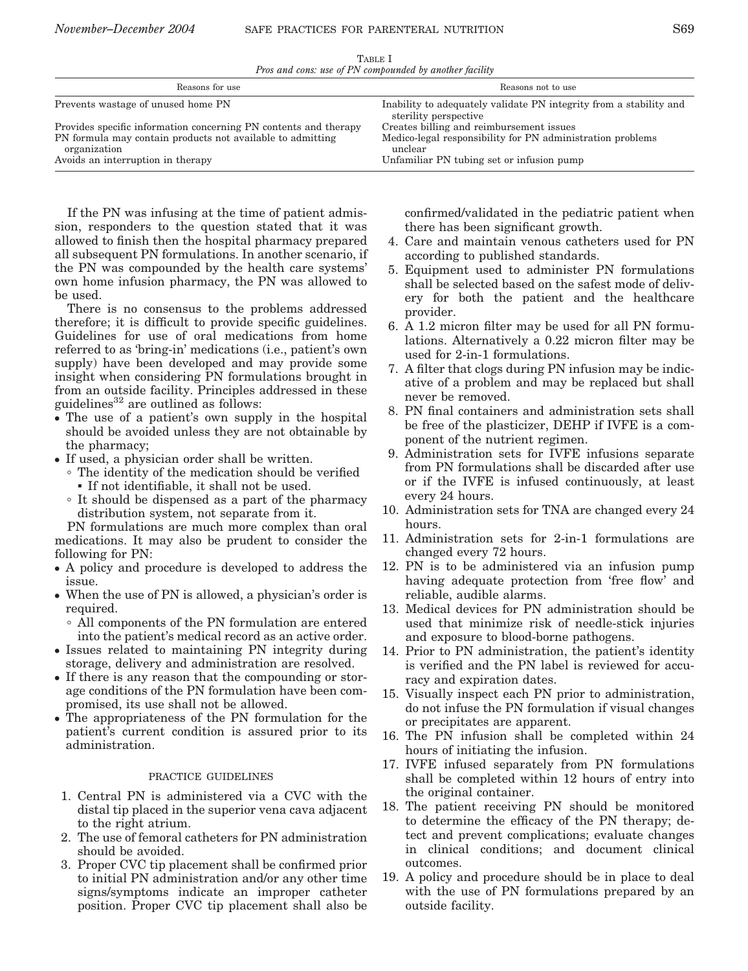TABLE I

*Pros and cons: use of PN compounded by another facility*

| <i>LIOS and cons. use of LIV compounded by another factury</i>             |                                                                                             |  |
|----------------------------------------------------------------------------|---------------------------------------------------------------------------------------------|--|
| Reasons for use                                                            | Reasons not to use                                                                          |  |
| Prevents wastage of unused home PN                                         | Inability to adequately validate PN integrity from a stability and<br>sterility perspective |  |
| Provides specific information concerning PN contents and therapy           | Creates billing and reimbursement issues                                                    |  |
| PN formula may contain products not available to admitting<br>organization | Medico-legal responsibility for PN administration problems<br>unclear                       |  |
| Avoids an interruption in the rapy                                         | Unfamiliar PN tubing set or infusion pump                                                   |  |

If the PN was infusing at the time of patient admission, responders to the question stated that it was allowed to finish then the hospital pharmacy prepared all subsequent PN formulations. In another scenario, if the PN was compounded by the health care systems' own home infusion pharmacy, the PN was allowed to be used.

There is no consensus to the problems addressed therefore; it is difficult to provide specific guidelines. Guidelines for use of oral medications from home referred to as 'bring-in' medications (i.e., patient's own supply) have been developed and may provide some insight when considering PN formulations brought in from an outside facility. Principles addressed in these guidelines $32$  are outlined as follows:

- The use of a patient's own supply in the hospital should be avoided unless they are not obtainable by the pharmacy;
- If used, a physician order shall be written.
- The identity of the medication should be verified ▪ If not identifiable, it shall not be used.
- It should be dispensed as a part of the pharmacy distribution system, not separate from it.

PN formulations are much more complex than oral medications. It may also be prudent to consider the following for PN:

- A policy and procedure is developed to address the issue.
- When the use of PN is allowed, a physician's order is required.
	- All components of the PN formulation are entered into the patient's medical record as an active order.
- Issues related to maintaining PN integrity during storage, delivery and administration are resolved.
- If there is any reason that the compounding or storage conditions of the PN formulation have been compromised, its use shall not be allowed.
- The appropriateness of the PN formulation for the patient's current condition is assured prior to its administration.

## PRACTICE GUIDELINES

- 1. Central PN is administered via a CVC with the distal tip placed in the superior vena cava adjacent to the right atrium.
- 2. The use of femoral catheters for PN administration should be avoided.
- 3. Proper CVC tip placement shall be confirmed prior to initial PN administration and/or any other time signs/symptoms indicate an improper catheter position. Proper CVC tip placement shall also be

confirmed/validated in the pediatric patient when there has been significant growth.

- 4. Care and maintain venous catheters used for PN according to published standards.
- 5. Equipment used to administer PN formulations shall be selected based on the safest mode of delivery for both the patient and the healthcare provider.
- 6. A 1.2 micron filter may be used for all PN formulations. Alternatively a 0.22 micron filter may be used for 2-in-1 formulations.
- 7. A filter that clogs during PN infusion may be indicative of a problem and may be replaced but shall never be removed.
- 8. PN final containers and administration sets shall be free of the plasticizer, DEHP if IVFE is a component of the nutrient regimen.
- 9. Administration sets for IVFE infusions separate from PN formulations shall be discarded after use or if the IVFE is infused continuously, at least every 24 hours.
- 10. Administration sets for TNA are changed every 24 hours.
- 11. Administration sets for 2-in-1 formulations are changed every 72 hours.
- 12. PN is to be administered via an infusion pump having adequate protection from 'free flow' and reliable, audible alarms.
- 13. Medical devices for PN administration should be used that minimize risk of needle-stick injuries and exposure to blood-borne pathogens.
- 14. Prior to PN administration, the patient's identity is verified and the PN label is reviewed for accuracy and expiration dates.
- 15. Visually inspect each PN prior to administration, do not infuse the PN formulation if visual changes or precipitates are apparent.
- 16. The PN infusion shall be completed within 24 hours of initiating the infusion.
- 17. IVFE infused separately from PN formulations shall be completed within 12 hours of entry into the original container.
- 18. The patient receiving PN should be monitored to determine the efficacy of the PN therapy; detect and prevent complications; evaluate changes in clinical conditions; and document clinical outcomes.
- 19. A policy and procedure should be in place to deal with the use of PN formulations prepared by an outside facility.